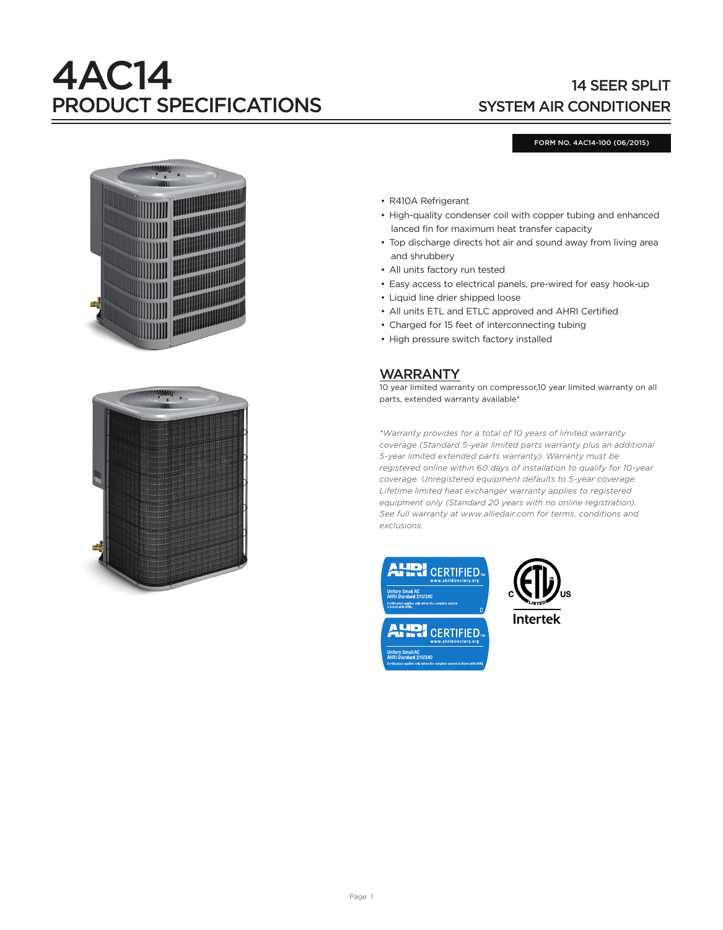# 4AC14 PRODUCT SPECIFICATIONS

# 14 SEER SPLIT SYSTEM AIR CONDITIONER

#### FORM NO. 4AC14-100 (06/2015)





- R410A Refrigerant
- High-quality condenser coil with copper tubing and enhanced lanced fin for maximum heat transfer capacity
- Top discharge directs hot air and sound away from living area and shrubbery
- All units factory run tested
- Easy access to electrical panels, pre-wired for easy hook-up
- Liquid line drier shipped loose
- All units ETL and ETLC approved and AHRI Certified
- Charged for 15 feet of interconnecting tubing
- High pressure switch factory installed

# WARRANTY

10 year limited warranty on compressor,10 year limited warranty on all parts, extended warranty available\*

*\*Warranty provides for a total of 10 years of limited warranty coverage (Standard 5-year limited parts warranty plus an additional 5-year limited extended parts warranty). Warranty must be registered online within 60 days of installation to qualify for 10-year coverage. Unregistered equipment defaults to 5-year coverage. Lifetime limited heat exchanger warranty applies to registered equipment only (Standard 20 years with no online registration). See full warranty at www.alliedair.com for terms, conditions and exclusions.*





**Intertek**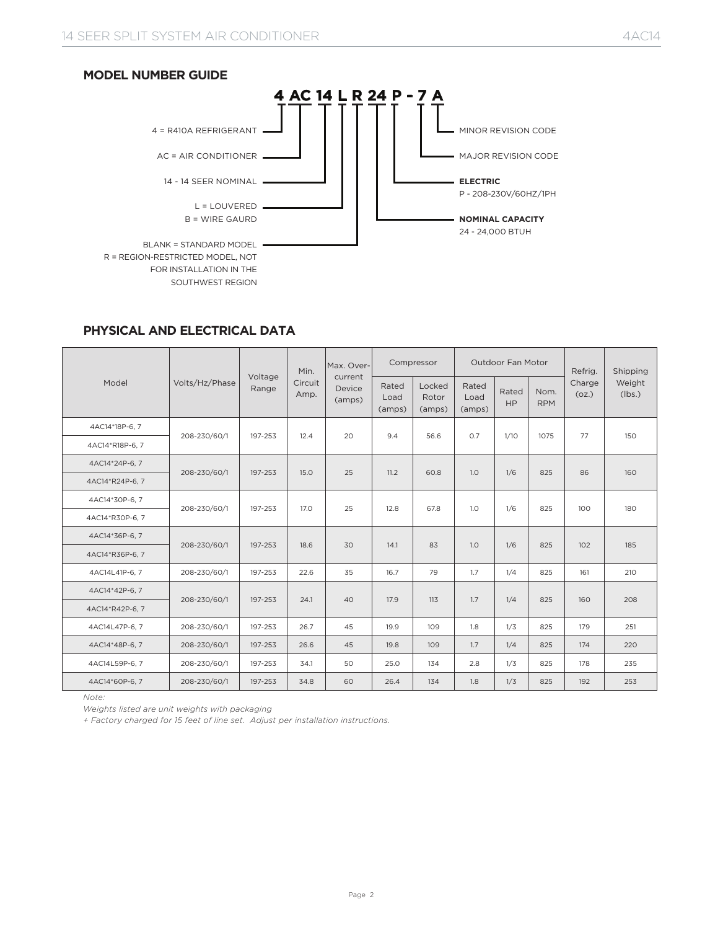

# **PHYSICAL AND ELECTRICAL DATA**

|                 |                | Voltage | Min.            | Max. Over-                  |                         | Compressor                |                         | Outdoor Fan Motor  |                    | Refrig.         | Shipping<br>Weight<br>(lbs.)<br>150<br>160<br>180<br>185<br>210<br>208<br>251<br>220<br>235 |
|-----------------|----------------|---------|-----------------|-----------------------------|-------------------------|---------------------------|-------------------------|--------------------|--------------------|-----------------|---------------------------------------------------------------------------------------------|
| Model           | Volts/Hz/Phase | Range   | Circuit<br>Amp. | current<br>Device<br>(amps) | Rated<br>Load<br>(amps) | Locked<br>Rotor<br>(amps) | Rated<br>Load<br>(amps) | Rated<br><b>HP</b> | Nom.<br><b>RPM</b> | Charge<br>(oz.) |                                                                                             |
| 4AC14*18P-6, 7  | 208-230/60/1   | 197-253 | 12.4            | 20                          | 9.4                     | 56.6                      | 0.7                     | 1/10               | 1075               | 77              |                                                                                             |
| 4AC14*R18P-6, 7 |                |         |                 |                             |                         |                           |                         |                    |                    |                 |                                                                                             |
| 4AC14*24P-6.7   | 208-230/60/1   | 197-253 | 15.0            | 25                          | 11.2                    | 60.8                      | 1.0                     | 1/6                | 825                | 86              |                                                                                             |
| 4AC14*R24P-6, 7 |                |         |                 |                             |                         |                           |                         |                    |                    |                 |                                                                                             |
| 4AC14*30P-6, 7  |                | 197-253 | 17.0            | 25                          | 12.8                    | 67.8                      | 1.0                     | 1/6                | 825                | 100             |                                                                                             |
| 4AC14*R30P-6, 7 | 208-230/60/1   |         |                 |                             |                         |                           |                         |                    |                    |                 |                                                                                             |
| 4AC14*36P-6, 7  | 208-230/60/1   | 197-253 | 18.6            | 30                          | 14.1                    | 83                        | 1.0                     | 1/6                | 825                | 102             |                                                                                             |
| 4AC14*R36P-6, 7 |                |         |                 |                             |                         |                           |                         |                    |                    |                 |                                                                                             |
| 4AC14L41P-6, 7  | 208-230/60/1   | 197-253 | 22.6            | 35                          | 16.7                    | 79                        | 1.7                     | 1/4                | 825                | 161             |                                                                                             |
| 4AC14*42P-6, 7  | 208-230/60/1   | 197-253 | 24.1            | 40                          | 17.9                    | 113                       | 1.7                     | 1/4                | 825                | 160             |                                                                                             |
| 4AC14*R42P-6, 7 |                |         |                 |                             |                         |                           |                         |                    |                    |                 |                                                                                             |
| 4AC14L47P-6, 7  | 208-230/60/1   | 197-253 | 26.7            | 45                          | 19.9                    | 109                       | 1.8                     | 1/3                | 825                | 179             |                                                                                             |
| 4AC14*48P-6, 7  | 208-230/60/1   | 197-253 | 26.6            | 45                          | 19.8                    | 109                       | 1.7                     | 1/4                | 825                | 174             |                                                                                             |
| 4AC14L59P-6, 7  | 208-230/60/1   | 197-253 | 34.1            | 50                          | 25.0                    | 134                       | 2.8                     | 1/3                | 825                | 178             |                                                                                             |
| 4AC14*60P-6, 7  | 208-230/60/1   | 197-253 | 34.8            | 60                          | 26.4                    | 134                       | 1.8                     | 1/3                | 825                | 192             | 253                                                                                         |

*Note:* 

*Weights listed are unit weights with packaging* 

*+ Factory charged for 15 feet of line set. Adjust per installation instructions.*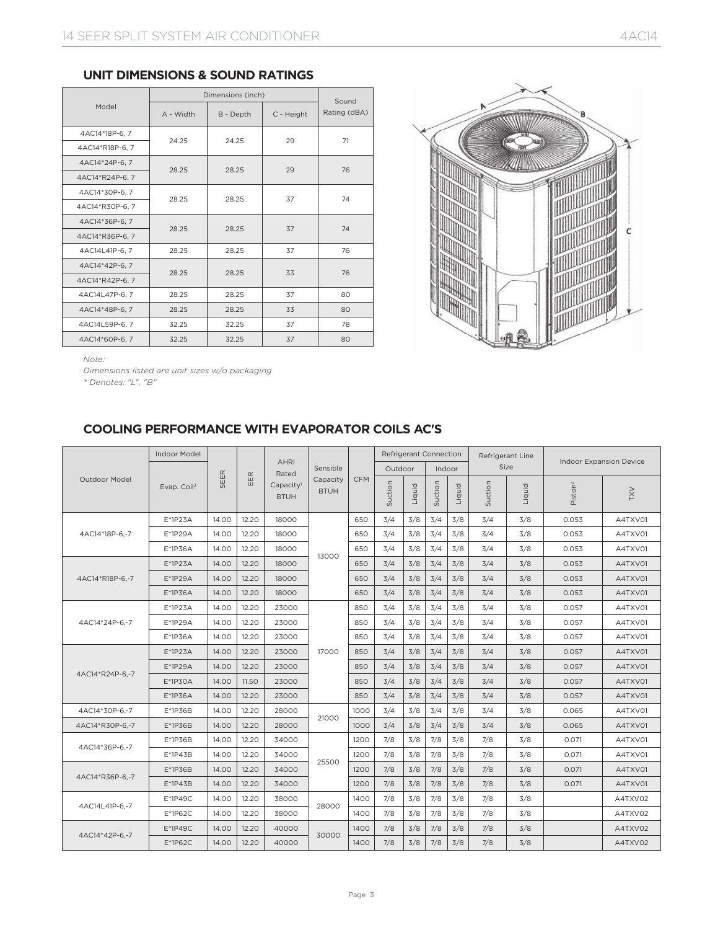|                 |           | Dimensions (inch) |            | Sound        |  |
|-----------------|-----------|-------------------|------------|--------------|--|
| Model           | A - Width | B - Depth         | C - Height | Rating (dBA) |  |
| 4AC14*18P-6, 7  | 24.25     | 24.25             | 29         | 71           |  |
| 4AC14*R18P-6, 7 |           |                   |            |              |  |
| 4AC14*24P-6.7   |           |                   | 29         | 76           |  |
| 4AC14*R24P-6.7  | 28.25     | 28.25             |            |              |  |
| 4AC14*30P-6, 7  | 28.25     | 28.25             |            | 74           |  |
| 4AC14*R30P-6.7  |           |                   | 37         |              |  |
| 4AC14*36P-6, 7  | 28.25     | 28.25             | 37         | 74           |  |
| 4AC14*R36P-6, 7 |           |                   |            |              |  |
| 4AC14L41P-6, 7  | 28.25     | 28.25             | 37         | 76           |  |
| 4AC14*42P-6.7   | 28.25     | 28.25             | 33         | 76           |  |
| 4AC14*R42P-6, 7 |           |                   |            |              |  |
| 4AC14L47P-6, 7  | 28.25     | 28.25             | 37         | 80           |  |
| 4AC14*48P-6.7   | 28.25     | 28.25             | 33         | 80           |  |
| 4AC14L59P-6.7   | 32.25     | 32.25             | 37         | 78           |  |
| 4AC14*60P-6, 7  | 32.25     | 32.25             | 37         | 80           |  |



*Note:* 

*Dimensions listed are unit sizes w/o packaging*

*\* Denotes: "L", "B"*

# **COOLING PERFORMANCE WITH EVAPORATOR COILS AC'S**

|                 | Indoor Model            |       |       |                                      |                         |            |         |        |                                                                                                                                                                                                                                                                                                                                                                                                                                                                                                                                                                                                                                                                                                                                                                                                                                                                                                                             |     | Refrigerant Line |     |  |         |
|-----------------|-------------------------|-------|-------|--------------------------------------|-------------------------|------------|---------|--------|-----------------------------------------------------------------------------------------------------------------------------------------------------------------------------------------------------------------------------------------------------------------------------------------------------------------------------------------------------------------------------------------------------------------------------------------------------------------------------------------------------------------------------------------------------------------------------------------------------------------------------------------------------------------------------------------------------------------------------------------------------------------------------------------------------------------------------------------------------------------------------------------------------------------------------|-----|------------------|-----|--|---------|
|                 |                         |       |       | <b>AHRI</b><br>Rated                 | Sensible                |            | Outdoor |        |                                                                                                                                                                                                                                                                                                                                                                                                                                                                                                                                                                                                                                                                                                                                                                                                                                                                                                                             |     |                  |     |  |         |
| Outdoor Model   | Evap. Coil <sup>3</sup> | SEER  | EER   | Capacity <sup>1</sup><br><b>BTUH</b> | Capacity<br><b>BTUH</b> | <b>CFM</b> | Suction | Liquid | <b>Refrigerant Connection</b><br><b>Indoor Expansion Device</b><br>Size<br>Indoor<br>Suction<br>Suction<br>Piston <sup>2</sup><br>Liquid<br>Liquid<br><b>XXL</b><br>3/4<br>3/4<br>3/8<br>3/8<br>0.053<br>3/4<br>3/8<br>3/4<br>3/8<br>0.053<br>3/4<br>3/8<br>3/4<br>3/8<br>0.053<br>3/4<br>3/8<br>3/4<br>3/8<br>0.053<br>3/4<br>3/8<br>3/4<br>3/8<br>0.053<br>3/4<br>3/8<br>3/4<br>3/8<br>0.053<br>3/4<br>3/8<br>3/4<br>3/8<br>0.057<br>3/4<br>3/8<br>3/4<br>3/8<br>0.057<br>3/4<br>3/8<br>3/4<br>3/8<br>0.057<br>3/4<br>3/8<br>3/4<br>3/8<br>0.057<br>3/4<br>3/8<br>3/4<br>3/8<br>0.057<br>3/4<br>3/8<br>3/4<br>0.057<br>3/8<br>3/4<br>3/8<br>3/4<br>3/8<br>0.057<br>3/4<br>3/8<br>3/4<br>3/8<br>0.065<br>3/4<br>3/8<br>3/4<br>3/8<br>0.065<br>7/8<br>3/8<br>7/8<br>3/8<br>0.071<br>7/8<br>3/8<br>7/8<br>3/8<br>0.071<br>7/8<br>3/8<br>7/8<br>3/8<br>0.071<br>7/8<br>3/8<br>7/8<br>3/8<br>0.071<br>7/8<br>3/8<br>7/8<br>3/8 |     |                  |     |  |         |
|                 | $E*1P23A$               | 14.00 | 12.20 | 18000                                |                         | 650        | 3/4     | 3/8    |                                                                                                                                                                                                                                                                                                                                                                                                                                                                                                                                                                                                                                                                                                                                                                                                                                                                                                                             |     |                  |     |  | A4TXV01 |
| 4AC14*18P-6,-7  | E*1P29A                 | 14.00 | 12.20 | 18000                                |                         | 650        | 3/4     | 3/8    |                                                                                                                                                                                                                                                                                                                                                                                                                                                                                                                                                                                                                                                                                                                                                                                                                                                                                                                             |     |                  |     |  | A4TXV01 |
|                 | E*1P36A                 | 14.00 | 12.20 | 18000                                |                         | 650        | 3/4     | 3/8    |                                                                                                                                                                                                                                                                                                                                                                                                                                                                                                                                                                                                                                                                                                                                                                                                                                                                                                                             |     |                  |     |  | A4TXV01 |
|                 | $E*1P23A$               | 14.00 | 12.20 | 18000                                | 13000                   | 650        | 3/4     | 3/8    |                                                                                                                                                                                                                                                                                                                                                                                                                                                                                                                                                                                                                                                                                                                                                                                                                                                                                                                             |     |                  |     |  | A4TXV01 |
| 4AC14*R18P-6,-7 | $E*1P29A$               | 14.00 | 12.20 | 18000                                |                         | 650        | 3/4     | 3/8    |                                                                                                                                                                                                                                                                                                                                                                                                                                                                                                                                                                                                                                                                                                                                                                                                                                                                                                                             |     |                  |     |  | A4TXV01 |
|                 | $E*1P36A$               | 14.00 | 12.20 | 18000                                |                         | 650        | 3/4     | 3/8    |                                                                                                                                                                                                                                                                                                                                                                                                                                                                                                                                                                                                                                                                                                                                                                                                                                                                                                                             |     |                  |     |  | A4TXV01 |
|                 | $E*1P23A$               | 14.00 | 12.20 | 23000                                |                         | 850        | 3/4     | 3/8    |                                                                                                                                                                                                                                                                                                                                                                                                                                                                                                                                                                                                                                                                                                                                                                                                                                                                                                                             |     |                  |     |  | A4TXV01 |
| 4AC14*24P-6.-7  | $E*1P29A$               | 14.00 | 12.20 | 23000                                |                         | 850        | 3/4     | 3/8    |                                                                                                                                                                                                                                                                                                                                                                                                                                                                                                                                                                                                                                                                                                                                                                                                                                                                                                                             |     |                  |     |  | A4TXV01 |
|                 | E*1P36A                 | 14.00 | 12.20 | 23000                                |                         | 850        | 3/4     | 3/8    |                                                                                                                                                                                                                                                                                                                                                                                                                                                                                                                                                                                                                                                                                                                                                                                                                                                                                                                             |     |                  |     |  | A4TXV01 |
|                 | $E*1P23A$               | 14.00 | 12.20 | 23000                                | 17000                   | 850        | 3/4     | 3/8    |                                                                                                                                                                                                                                                                                                                                                                                                                                                                                                                                                                                                                                                                                                                                                                                                                                                                                                                             |     |                  |     |  | A4TXV01 |
|                 | $E*1P29A$               | 14.00 | 12.20 | 23000                                |                         | 850        | 3/4     | 3/8    |                                                                                                                                                                                                                                                                                                                                                                                                                                                                                                                                                                                                                                                                                                                                                                                                                                                                                                                             |     |                  |     |  | A4TXV01 |
| 4AC14*R24P-6,-7 | $E*1P3OA$               | 14.00 | 11.50 | 23000                                |                         | 850        | 3/4     | 3/8    |                                                                                                                                                                                                                                                                                                                                                                                                                                                                                                                                                                                                                                                                                                                                                                                                                                                                                                                             |     |                  |     |  | A4TXV01 |
|                 | $E*1P36A$               | 14.00 | 12.20 | 23000                                |                         | 850        | 3/4     | 3/8    |                                                                                                                                                                                                                                                                                                                                                                                                                                                                                                                                                                                                                                                                                                                                                                                                                                                                                                                             |     |                  |     |  | A4TXV01 |
| 4AC14*30P-6,-7  | E*1P36B                 | 14.00 | 12.20 | 28000                                | 21000                   | 1000       | 3/4     | 3/8    |                                                                                                                                                                                                                                                                                                                                                                                                                                                                                                                                                                                                                                                                                                                                                                                                                                                                                                                             |     |                  |     |  | A4TXV01 |
| 4AC14*R30P-6,-7 | E*1P36B                 | 14.00 | 12.20 | 28000                                |                         | 1000       | 3/4     | 3/8    |                                                                                                                                                                                                                                                                                                                                                                                                                                                                                                                                                                                                                                                                                                                                                                                                                                                                                                                             |     |                  |     |  | A4TXV01 |
| 4AC14*36P-6.-7  | E*1P36B                 | 14.00 | 12.20 | 34000                                |                         | 1200       | 7/8     | 3/8    |                                                                                                                                                                                                                                                                                                                                                                                                                                                                                                                                                                                                                                                                                                                                                                                                                                                                                                                             |     |                  |     |  | A4TXV01 |
|                 | $E^*$ 1P43B             | 14.00 | 12.20 | 34000                                | 25500                   | 1200       | 7/8     | 3/8    |                                                                                                                                                                                                                                                                                                                                                                                                                                                                                                                                                                                                                                                                                                                                                                                                                                                                                                                             |     |                  |     |  | A4TXV01 |
| 4AC14*R36P-6.-7 | E*1P36B                 | 14.00 | 12.20 | 34000                                |                         | 1200       | 7/8     | 3/8    |                                                                                                                                                                                                                                                                                                                                                                                                                                                                                                                                                                                                                                                                                                                                                                                                                                                                                                                             |     |                  |     |  | A4TXV01 |
|                 | $E*1P43B$               | 14.00 | 12.20 | 34000                                |                         | 1200       | 7/8     | 3/8    |                                                                                                                                                                                                                                                                                                                                                                                                                                                                                                                                                                                                                                                                                                                                                                                                                                                                                                                             |     |                  |     |  | A4TXV01 |
|                 | E*1P49C                 | 14.00 | 12.20 | 38000                                | 28000                   | 1400       | 7/8     | 3/8    |                                                                                                                                                                                                                                                                                                                                                                                                                                                                                                                                                                                                                                                                                                                                                                                                                                                                                                                             |     |                  |     |  | A4TXV02 |
| 4AC14L41P-6.-7  | E*1P62C                 | 14.00 | 12.20 | 38000                                |                         | 1400       | 7/8     | 3/8    | 7/8                                                                                                                                                                                                                                                                                                                                                                                                                                                                                                                                                                                                                                                                                                                                                                                                                                                                                                                         | 3/8 | 7/8              | 3/8 |  | A4TXV02 |
| 4AC14*42P-6,-7  | $E*1P49C$               | 14.00 | 12.20 | 40000                                | 30000                   | 1400       | 7/8     | 3/8    | 7/8                                                                                                                                                                                                                                                                                                                                                                                                                                                                                                                                                                                                                                                                                                                                                                                                                                                                                                                         | 3/8 | 7/8              | 3/8 |  | A4TXV02 |
|                 | $E*1P62C$               | 14.00 | 12.20 | 40000                                |                         | 1400       | 7/8     | 3/8    | 7/8                                                                                                                                                                                                                                                                                                                                                                                                                                                                                                                                                                                                                                                                                                                                                                                                                                                                                                                         | 3/8 | 7/8              | 3/8 |  | A4TXV02 |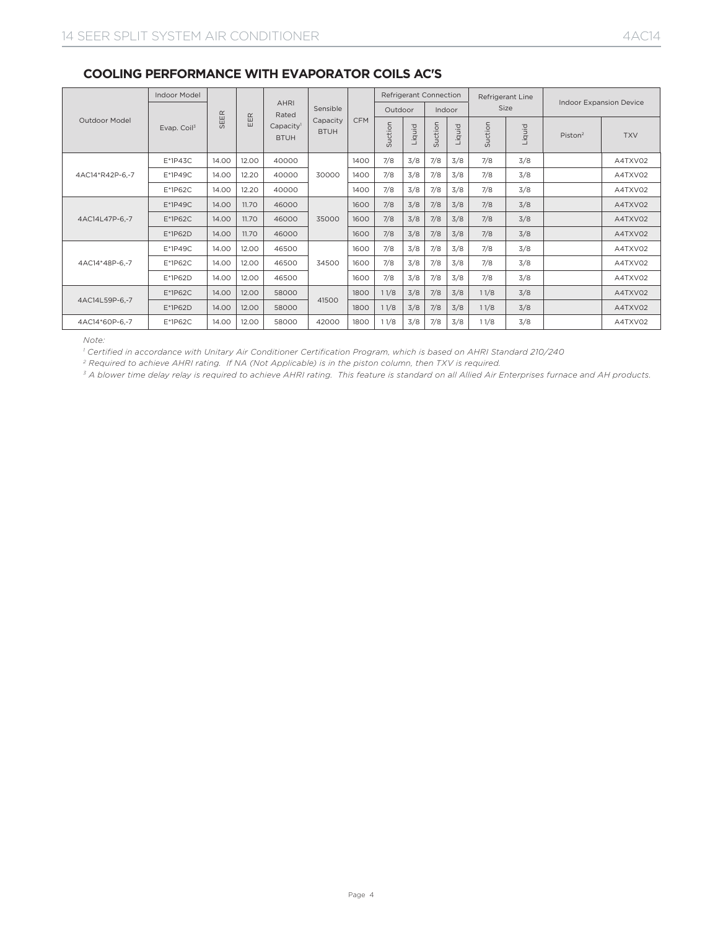|                 | <b>Indoor Model</b> |          |           | <b>AHRI</b>                          |                         |            |         | Refrigerant Connection |         |        | Refrigerant Line |        | <b>Indoor Expansion Device</b> |            |
|-----------------|---------------------|----------|-----------|--------------------------------------|-------------------------|------------|---------|------------------------|---------|--------|------------------|--------|--------------------------------|------------|
|                 |                     | $\alpha$ | $\propto$ | Rated                                | Sensible                |            | Outdoor |                        | Indoor  |        | Size             |        |                                |            |
| Outdoor Model   | Evap. Coil $3$      | SEEI     | ш<br>画    | Capacity <sup>1</sup><br><b>BTUH</b> | Capacity<br><b>BTUH</b> | <b>CFM</b> | Suction | Liquid                 | Suction | Liquid | Suction          | Liquid | Piston <sup>2</sup>            | <b>TXV</b> |
|                 | $E*1P43C$           | 14.00    | 12.00     | 40000                                |                         | 1400       | 7/8     | 3/8                    | 7/8     | 3/8    | 7/8              | 3/8    |                                | A4TXV02    |
| 4AC14*R42P-6.-7 | $E*1P49C$           | 14.00    | 12.20     | 40000                                | 30000                   | 1400       | 7/8     | 3/8                    | 7/8     | 3/8    | 7/8              | 3/8    |                                | A4TXV02    |
|                 | E*1P62C             | 14.00    | 12.20     | 40000                                |                         | 1400       | 7/8     | 3/8                    | 7/8     | 3/8    | 7/8              | 3/8    |                                | A4TXV02    |
|                 | $E*1P49C$           | 14.00    | 11.70     | 46000                                | 35000                   | 1600       | 7/8     | 3/8                    | 7/8     | 3/8    | 7/8              | 3/8    |                                | A4TXV02    |
| 4AC14L47P-6,-7  | $E*1P62C$           | 14.00    | 11.70     | 46000                                |                         | 1600       | 7/8     | 3/8                    | 7/8     | 3/8    | 7/8              | 3/8    |                                | A4TXV02    |
|                 | E*1P62D             | 14.00    | 11.70     | 46000                                |                         | 1600       | 7/8     | 3/8                    | 7/8     | 3/8    | 7/8              | 3/8    |                                | A4TXV02    |
|                 | $E*1P49C$           | 14.00    | 12.00     | 46500                                |                         | 1600       | 7/8     | 3/8                    | 7/8     | 3/8    | 7/8              | 3/8    |                                | A4TXV02    |
| 4AC14*48P-6.-7  | $E*1P62C$           | 14.00    | 12.00     | 46500                                | 34500                   | 1600       | 7/8     | 3/8                    | 7/8     | 3/8    | 7/8              | 3/8    |                                | A4TXV02    |
|                 | E*1P62D             | 14.00    | 12.00     | 46500                                |                         | 1600       | 7/8     | 3/8                    | 7/8     | 3/8    | 7/8              | 3/8    |                                | A4TXV02    |
| 4AC14L59P-6.-7  | $E*1P62C$           | 14.00    | 12.00     | 58000                                |                         | 1800       | 11/8    | 3/8                    | 7/8     | 3/8    | 11/8             | 3/8    |                                | A4TXV02    |
|                 | E*1P62D             | 14.00    | 12.00     | 58000                                | 41500                   | 1800       | 11/8    | 3/8                    | 7/8     | 3/8    | 11/8             | 3/8    |                                | A4TXV02    |
| 4AC14*60P-6.-7  | E*1P62C             | 14.00    | 12.00     | 58000                                | 42000                   | 1800       | 11/8    | 3/8                    | 7/8     | 3/8    | 11/8             | 3/8    |                                | A4TXV02    |

## **COOLING PERFORMANCE WITH EVAPORATOR COILS AC'S**

*Note:* 

<sup>1</sup> Certified in accordance with Unitary Air Conditioner Certification Program, which is based on AHRI Standard 210/240

<sup>2</sup> Required to achieve AHRI rating. If NA (Not Applicable) is in the piston column, then TXV is required.<br><sup>3</sup> A blower time delay relay is required to achieve AHRI rating. This feature is standard on all Allied Air Enter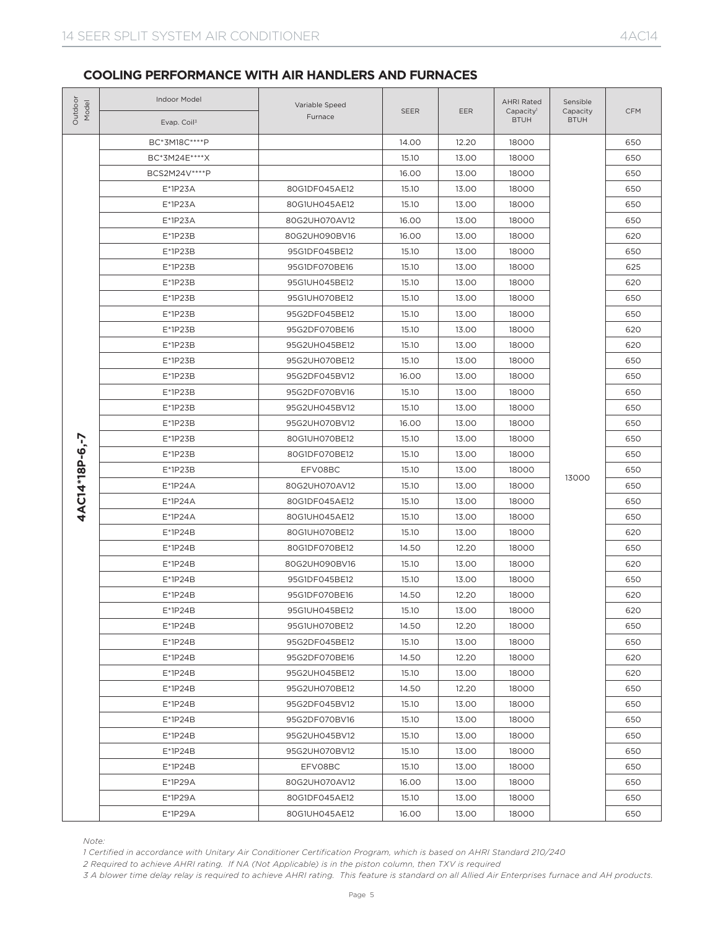| Outdoor<br>Model | Indoor Model<br>Evap. Coil <sup>3</sup>                                                                                                                                                                                                                    | Variable Speed<br>Furnace | <b>SEER</b>                                                                                                                                                                                                                                                                                                                                                                                                                                                                                                                                                                                                                                                                                                                                                                                                                                                                                                                                                                                                                                                                                                                                                                                                                                                                                                  | EER   | <b>AHRI Rated</b><br>Capacity <sup>1</sup><br><b>BTUH</b> | Sensible<br>Capacity<br><b>BTUH</b> | <b>CFM</b> |
|------------------|------------------------------------------------------------------------------------------------------------------------------------------------------------------------------------------------------------------------------------------------------------|---------------------------|--------------------------------------------------------------------------------------------------------------------------------------------------------------------------------------------------------------------------------------------------------------------------------------------------------------------------------------------------------------------------------------------------------------------------------------------------------------------------------------------------------------------------------------------------------------------------------------------------------------------------------------------------------------------------------------------------------------------------------------------------------------------------------------------------------------------------------------------------------------------------------------------------------------------------------------------------------------------------------------------------------------------------------------------------------------------------------------------------------------------------------------------------------------------------------------------------------------------------------------------------------------------------------------------------------------|-------|-----------------------------------------------------------|-------------------------------------|------------|
|                  | BC*3M18C****P                                                                                                                                                                                                                                              |                           | 14.00                                                                                                                                                                                                                                                                                                                                                                                                                                                                                                                                                                                                                                                                                                                                                                                                                                                                                                                                                                                                                                                                                                                                                                                                                                                                                                        | 12.20 | 18000                                                     |                                     | 650        |
|                  | BC*3M24E****X                                                                                                                                                                                                                                              |                           | 15.10                                                                                                                                                                                                                                                                                                                                                                                                                                                                                                                                                                                                                                                                                                                                                                                                                                                                                                                                                                                                                                                                                                                                                                                                                                                                                                        | 13.00 | 18000                                                     |                                     | 650        |
|                  | BCS2M24V****P                                                                                                                                                                                                                                              |                           | 16.00<br>13.00<br>18000<br>15.10<br>13.00<br>18000<br>15.10<br>13.00<br>18000<br>16.00<br>13.00<br>18000<br>16.00<br>13.00<br>18000<br>15.10<br>13.00<br>18000<br>15.10<br>13.00<br>18000<br>15.10<br>13.00<br>18000<br>15.10<br>13.00<br>18000<br>15.10<br>13.00<br>18000<br>15.10<br>13.00<br>18000<br>15.10<br>13.00<br>18000<br>15.10<br>13.00<br>18000<br>16.00<br>13.00<br>18000<br>15.10<br>13.00<br>18000<br>15.10<br>13.00<br>18000<br>16.00<br>13.00<br>18000<br>15.10<br>13.00<br>18000<br>15.10<br>13.00<br>18000<br>15.10<br>13.00<br>18000<br>13000<br>15.10<br>13.00<br>18000<br>15.10<br>13.00<br>18000<br>15.10<br>13.00<br>18000<br>15.10<br>13.00<br>18000<br>14.50<br>12.20<br>18000<br>15.10<br>13.00<br>18000<br>15.10<br>13.00<br>18000<br>14.50<br>12.20<br>18000<br>13.00<br>18000<br>15.10<br>14.50<br>12.20<br>18000<br>15.10<br>13.00<br>18000<br>14.50<br>12.20<br>18000<br>15.10<br>13.00<br>18000<br>14.50<br>12.20<br>18000<br>15.10<br>13.00<br>18000<br>15.10<br>13.00<br>18000<br>15.10<br>13.00<br>18000<br>15.10<br>13.00<br>18000<br>15.10<br>13.00<br>18000<br>16.00<br>13.00<br>18000<br>13.00<br>15.10<br>18000<br>13.00<br>16.00<br>18000<br>1 Certified in accordance with Unitary Air Conditioner Certification Program, which is based on AHRI Standard 210/240 | 650   |                                                           |                                     |            |
|                  | $E*1P23A$                                                                                                                                                                                                                                                  | 80G1DF045AE12             |                                                                                                                                                                                                                                                                                                                                                                                                                                                                                                                                                                                                                                                                                                                                                                                                                                                                                                                                                                                                                                                                                                                                                                                                                                                                                                              |       |                                                           |                                     | 650        |
|                  | $E*1P23A$                                                                                                                                                                                                                                                  | 80G1UH045AE12             |                                                                                                                                                                                                                                                                                                                                                                                                                                                                                                                                                                                                                                                                                                                                                                                                                                                                                                                                                                                                                                                                                                                                                                                                                                                                                                              |       |                                                           |                                     | 650        |
|                  | $E*1P23A$                                                                                                                                                                                                                                                  | 80G2UH070AV12             |                                                                                                                                                                                                                                                                                                                                                                                                                                                                                                                                                                                                                                                                                                                                                                                                                                                                                                                                                                                                                                                                                                                                                                                                                                                                                                              |       |                                                           |                                     | 650        |
|                  | $E*1P23B$                                                                                                                                                                                                                                                  | 80G2UH090BV16             |                                                                                                                                                                                                                                                                                                                                                                                                                                                                                                                                                                                                                                                                                                                                                                                                                                                                                                                                                                                                                                                                                                                                                                                                                                                                                                              |       |                                                           |                                     | 620        |
|                  | $E*1P23B$                                                                                                                                                                                                                                                  | 95G1DF045BE12             |                                                                                                                                                                                                                                                                                                                                                                                                                                                                                                                                                                                                                                                                                                                                                                                                                                                                                                                                                                                                                                                                                                                                                                                                                                                                                                              |       |                                                           |                                     | 650        |
|                  | $E*1P23B$                                                                                                                                                                                                                                                  | 95G1DF070BE16             |                                                                                                                                                                                                                                                                                                                                                                                                                                                                                                                                                                                                                                                                                                                                                                                                                                                                                                                                                                                                                                                                                                                                                                                                                                                                                                              |       |                                                           |                                     | 625        |
|                  | $E*1P23B$                                                                                                                                                                                                                                                  | 95G1UH045BE12             |                                                                                                                                                                                                                                                                                                                                                                                                                                                                                                                                                                                                                                                                                                                                                                                                                                                                                                                                                                                                                                                                                                                                                                                                                                                                                                              |       |                                                           |                                     | 620        |
|                  | $E*1P23B$                                                                                                                                                                                                                                                  | 95G1UH070BE12             |                                                                                                                                                                                                                                                                                                                                                                                                                                                                                                                                                                                                                                                                                                                                                                                                                                                                                                                                                                                                                                                                                                                                                                                                                                                                                                              |       |                                                           |                                     | 650        |
|                  | $E*1P23B$                                                                                                                                                                                                                                                  | 95G2DF045BE12             |                                                                                                                                                                                                                                                                                                                                                                                                                                                                                                                                                                                                                                                                                                                                                                                                                                                                                                                                                                                                                                                                                                                                                                                                                                                                                                              |       |                                                           |                                     | 650        |
|                  | $E*1P23B$                                                                                                                                                                                                                                                  | 95G2DF070BE16             |                                                                                                                                                                                                                                                                                                                                                                                                                                                                                                                                                                                                                                                                                                                                                                                                                                                                                                                                                                                                                                                                                                                                                                                                                                                                                                              |       |                                                           |                                     | 620        |
|                  | $E*1P23B$                                                                                                                                                                                                                                                  | 95G2UH045BE12             |                                                                                                                                                                                                                                                                                                                                                                                                                                                                                                                                                                                                                                                                                                                                                                                                                                                                                                                                                                                                                                                                                                                                                                                                                                                                                                              |       |                                                           |                                     | 620        |
|                  | $E*1P23B$                                                                                                                                                                                                                                                  | 95G2UH070BE12             |                                                                                                                                                                                                                                                                                                                                                                                                                                                                                                                                                                                                                                                                                                                                                                                                                                                                                                                                                                                                                                                                                                                                                                                                                                                                                                              |       |                                                           |                                     | 650        |
|                  | $E*1P23B$                                                                                                                                                                                                                                                  | 95G2DF045BV12             |                                                                                                                                                                                                                                                                                                                                                                                                                                                                                                                                                                                                                                                                                                                                                                                                                                                                                                                                                                                                                                                                                                                                                                                                                                                                                                              |       |                                                           |                                     | 650        |
|                  | $E*1P23B$                                                                                                                                                                                                                                                  | 95G2DF070BV16             |                                                                                                                                                                                                                                                                                                                                                                                                                                                                                                                                                                                                                                                                                                                                                                                                                                                                                                                                                                                                                                                                                                                                                                                                                                                                                                              |       |                                                           |                                     | 650        |
|                  | $E*1P23B$                                                                                                                                                                                                                                                  | 95G2UH045BV12             |                                                                                                                                                                                                                                                                                                                                                                                                                                                                                                                                                                                                                                                                                                                                                                                                                                                                                                                                                                                                                                                                                                                                                                                                                                                                                                              |       |                                                           |                                     | 650        |
|                  | $E*1P23B$                                                                                                                                                                                                                                                  | 95G2UH070BV12             |                                                                                                                                                                                                                                                                                                                                                                                                                                                                                                                                                                                                                                                                                                                                                                                                                                                                                                                                                                                                                                                                                                                                                                                                                                                                                                              |       |                                                           |                                     | 650        |
|                  | $E*1P23B$                                                                                                                                                                                                                                                  | 80G1UH070BE12             |                                                                                                                                                                                                                                                                                                                                                                                                                                                                                                                                                                                                                                                                                                                                                                                                                                                                                                                                                                                                                                                                                                                                                                                                                                                                                                              |       |                                                           |                                     | 650        |
|                  | $E*1P23B$                                                                                                                                                                                                                                                  | 80G1DF070BE12             |                                                                                                                                                                                                                                                                                                                                                                                                                                                                                                                                                                                                                                                                                                                                                                                                                                                                                                                                                                                                                                                                                                                                                                                                                                                                                                              |       |                                                           |                                     | 650        |
|                  | $E*1P23B$                                                                                                                                                                                                                                                  | EFV08BC                   |                                                                                                                                                                                                                                                                                                                                                                                                                                                                                                                                                                                                                                                                                                                                                                                                                                                                                                                                                                                                                                                                                                                                                                                                                                                                                                              |       |                                                           |                                     | 650        |
|                  | $E^*1P24A$                                                                                                                                                                                                                                                 | 80G2UH070AV12             |                                                                                                                                                                                                                                                                                                                                                                                                                                                                                                                                                                                                                                                                                                                                                                                                                                                                                                                                                                                                                                                                                                                                                                                                                                                                                                              |       |                                                           |                                     | 650        |
| 4AC14*18P-6,-7   | $E^*1P24A$                                                                                                                                                                                                                                                 | 80G1DF045AE12             |                                                                                                                                                                                                                                                                                                                                                                                                                                                                                                                                                                                                                                                                                                                                                                                                                                                                                                                                                                                                                                                                                                                                                                                                                                                                                                              |       |                                                           |                                     | 650        |
|                  | $E*1P24A$                                                                                                                                                                                                                                                  | 80G1UH045AE12             |                                                                                                                                                                                                                                                                                                                                                                                                                                                                                                                                                                                                                                                                                                                                                                                                                                                                                                                                                                                                                                                                                                                                                                                                                                                                                                              |       |                                                           |                                     | 650        |
|                  | $E*1P24B$                                                                                                                                                                                                                                                  | 80G1UH070BE12             |                                                                                                                                                                                                                                                                                                                                                                                                                                                                                                                                                                                                                                                                                                                                                                                                                                                                                                                                                                                                                                                                                                                                                                                                                                                                                                              |       |                                                           |                                     | 620        |
|                  | $E*1P24B$                                                                                                                                                                                                                                                  | 80G1DF070BE12             |                                                                                                                                                                                                                                                                                                                                                                                                                                                                                                                                                                                                                                                                                                                                                                                                                                                                                                                                                                                                                                                                                                                                                                                                                                                                                                              |       |                                                           |                                     | 650        |
|                  | $E*1P24B$                                                                                                                                                                                                                                                  | 80G2UH090BV16             |                                                                                                                                                                                                                                                                                                                                                                                                                                                                                                                                                                                                                                                                                                                                                                                                                                                                                                                                                                                                                                                                                                                                                                                                                                                                                                              |       |                                                           |                                     | 620        |
|                  | $E*1P24B$                                                                                                                                                                                                                                                  | 95G1DF045BE12             |                                                                                                                                                                                                                                                                                                                                                                                                                                                                                                                                                                                                                                                                                                                                                                                                                                                                                                                                                                                                                                                                                                                                                                                                                                                                                                              |       |                                                           |                                     | 650        |
|                  | E*1P24B                                                                                                                                                                                                                                                    | 95G1DF070BE16             |                                                                                                                                                                                                                                                                                                                                                                                                                                                                                                                                                                                                                                                                                                                                                                                                                                                                                                                                                                                                                                                                                                                                                                                                                                                                                                              |       |                                                           |                                     | 620        |
|                  | E*1P24B                                                                                                                                                                                                                                                    | 95G1UH045BE12             |                                                                                                                                                                                                                                                                                                                                                                                                                                                                                                                                                                                                                                                                                                                                                                                                                                                                                                                                                                                                                                                                                                                                                                                                                                                                                                              |       |                                                           |                                     | 620        |
|                  | E*1P24B                                                                                                                                                                                                                                                    | 95G1UH070BE12             |                                                                                                                                                                                                                                                                                                                                                                                                                                                                                                                                                                                                                                                                                                                                                                                                                                                                                                                                                                                                                                                                                                                                                                                                                                                                                                              |       |                                                           |                                     | 650        |
|                  | E*1P24B                                                                                                                                                                                                                                                    | 95G2DF045BE12             |                                                                                                                                                                                                                                                                                                                                                                                                                                                                                                                                                                                                                                                                                                                                                                                                                                                                                                                                                                                                                                                                                                                                                                                                                                                                                                              |       |                                                           |                                     | 650        |
|                  | E*1P24B                                                                                                                                                                                                                                                    | 95G2DF070BE16             |                                                                                                                                                                                                                                                                                                                                                                                                                                                                                                                                                                                                                                                                                                                                                                                                                                                                                                                                                                                                                                                                                                                                                                                                                                                                                                              |       |                                                           |                                     | 620        |
|                  | E*1P24B                                                                                                                                                                                                                                                    | 95G2UH045BE12             |                                                                                                                                                                                                                                                                                                                                                                                                                                                                                                                                                                                                                                                                                                                                                                                                                                                                                                                                                                                                                                                                                                                                                                                                                                                                                                              |       |                                                           |                                     | 620        |
|                  | E*1P24B                                                                                                                                                                                                                                                    | 95G2UH070BE12             |                                                                                                                                                                                                                                                                                                                                                                                                                                                                                                                                                                                                                                                                                                                                                                                                                                                                                                                                                                                                                                                                                                                                                                                                                                                                                                              |       |                                                           |                                     | 650        |
|                  | $E*1P24B$                                                                                                                                                                                                                                                  | 95G2DF045BV12             |                                                                                                                                                                                                                                                                                                                                                                                                                                                                                                                                                                                                                                                                                                                                                                                                                                                                                                                                                                                                                                                                                                                                                                                                                                                                                                              |       |                                                           |                                     | 650        |
|                  | E*1P24B                                                                                                                                                                                                                                                    | 95G2DF070BV16             |                                                                                                                                                                                                                                                                                                                                                                                                                                                                                                                                                                                                                                                                                                                                                                                                                                                                                                                                                                                                                                                                                                                                                                                                                                                                                                              |       |                                                           |                                     | 650        |
|                  | E*1P24B                                                                                                                                                                                                                                                    | 95G2UH045BV12             |                                                                                                                                                                                                                                                                                                                                                                                                                                                                                                                                                                                                                                                                                                                                                                                                                                                                                                                                                                                                                                                                                                                                                                                                                                                                                                              |       |                                                           |                                     | 650        |
|                  | $E*1P24B$                                                                                                                                                                                                                                                  | 95G2UH070BV12             |                                                                                                                                                                                                                                                                                                                                                                                                                                                                                                                                                                                                                                                                                                                                                                                                                                                                                                                                                                                                                                                                                                                                                                                                                                                                                                              |       |                                                           |                                     | 650        |
|                  | E*1P24B                                                                                                                                                                                                                                                    | EFV08BC                   |                                                                                                                                                                                                                                                                                                                                                                                                                                                                                                                                                                                                                                                                                                                                                                                                                                                                                                                                                                                                                                                                                                                                                                                                                                                                                                              |       |                                                           |                                     | 650        |
|                  | E*1P29A                                                                                                                                                                                                                                                    | 80G2UH070AV12             |                                                                                                                                                                                                                                                                                                                                                                                                                                                                                                                                                                                                                                                                                                                                                                                                                                                                                                                                                                                                                                                                                                                                                                                                                                                                                                              |       |                                                           |                                     | 650        |
|                  | E*1P29A                                                                                                                                                                                                                                                    | 80G1DF045AE12             |                                                                                                                                                                                                                                                                                                                                                                                                                                                                                                                                                                                                                                                                                                                                                                                                                                                                                                                                                                                                                                                                                                                                                                                                                                                                                                              |       |                                                           |                                     | 650        |
|                  | E*1P29A                                                                                                                                                                                                                                                    | 80G1UH045AE12             |                                                                                                                                                                                                                                                                                                                                                                                                                                                                                                                                                                                                                                                                                                                                                                                                                                                                                                                                                                                                                                                                                                                                                                                                                                                                                                              |       |                                                           |                                     | 650        |
|                  |                                                                                                                                                                                                                                                            |                           |                                                                                                                                                                                                                                                                                                                                                                                                                                                                                                                                                                                                                                                                                                                                                                                                                                                                                                                                                                                                                                                                                                                                                                                                                                                                                                              |       |                                                           |                                     |            |
| Note:            | 2 Required to achieve AHRI rating. If NA (Not Applicable) is in the piston column, then TXV is required<br>3 A blower time delay relay is required to achieve AHRI rating. This feature is standard on all Allied Air Enterprises furnace and AH products. |                           |                                                                                                                                                                                                                                                                                                                                                                                                                                                                                                                                                                                                                                                                                                                                                                                                                                                                                                                                                                                                                                                                                                                                                                                                                                                                                                              |       |                                                           |                                     |            |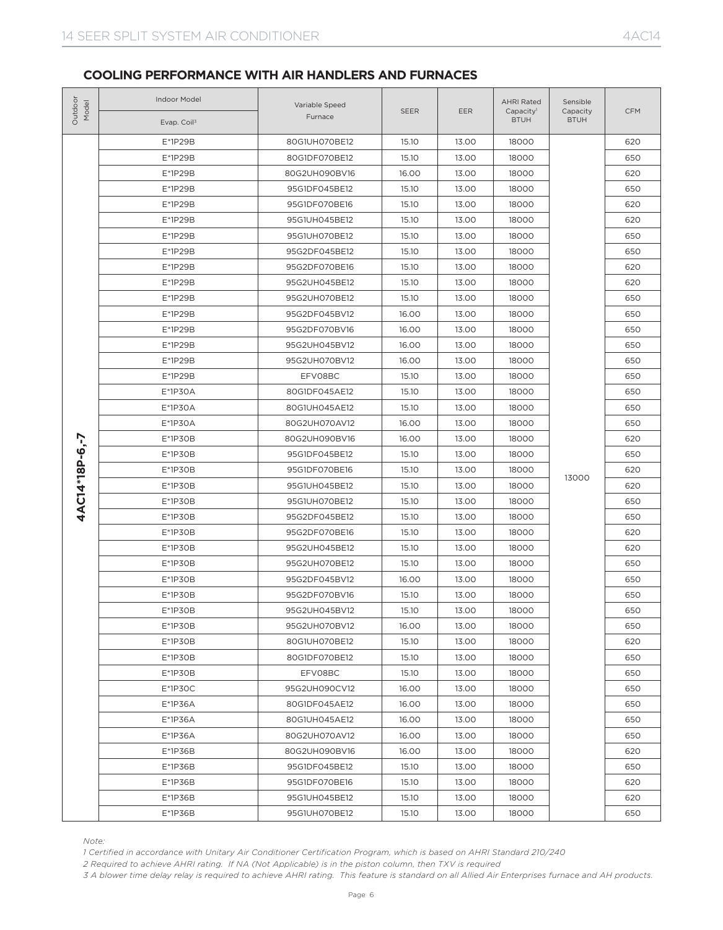| Outdoor<br>Model | Indoor Model<br>Evap. Coil <sup>3</sup>                                                                                                         | Variable Speed<br>Furnace | <b>SEER</b>                                                                                                                                                                                                                                                                                                                                                                                                                                                                                                                                                                                                                                                                                                                                                                                                                                                                                                                                                                                                          | <b>EER</b> | <b>AHRI Rated</b><br>Capacity <sup>1</sup><br><b>BTUH</b>                                                                                                                                                                                                                                                                                                                                                | Sensible<br>Capacity<br><b>BTUH</b> | <b>CFM</b> |
|------------------|-------------------------------------------------------------------------------------------------------------------------------------------------|---------------------------|----------------------------------------------------------------------------------------------------------------------------------------------------------------------------------------------------------------------------------------------------------------------------------------------------------------------------------------------------------------------------------------------------------------------------------------------------------------------------------------------------------------------------------------------------------------------------------------------------------------------------------------------------------------------------------------------------------------------------------------------------------------------------------------------------------------------------------------------------------------------------------------------------------------------------------------------------------------------------------------------------------------------|------------|----------------------------------------------------------------------------------------------------------------------------------------------------------------------------------------------------------------------------------------------------------------------------------------------------------------------------------------------------------------------------------------------------------|-------------------------------------|------------|
|                  | E*1P29B                                                                                                                                         | 80G1UH070BE12             | 15.10                                                                                                                                                                                                                                                                                                                                                                                                                                                                                                                                                                                                                                                                                                                                                                                                                                                                                                                                                                                                                | 13.00      | 18000                                                                                                                                                                                                                                                                                                                                                                                                    |                                     | 620        |
|                  | E*1P29B                                                                                                                                         | 80G1DF070BE12             | 15.10                                                                                                                                                                                                                                                                                                                                                                                                                                                                                                                                                                                                                                                                                                                                                                                                                                                                                                                                                                                                                | 13.00      | 18000<br>18000<br>18000<br>18000<br>18000<br>18000<br>18000<br>18000<br>18000<br>18000<br>18000<br>18000<br>18000<br>18000<br>18000<br>18000<br>18000<br>18000<br>18000<br>18000<br>18000<br>13000<br>18000<br>18000<br>18000<br>18000<br>18000<br>18000<br>18000<br>18000<br>18000<br>18000<br>18000<br>18000<br>18000<br>18000<br>18000<br>18000<br>18000<br>18000<br>18000<br>18000<br>18000<br>18000 | 650                                 |            |
|                  | E*1P29B                                                                                                                                         | 80G2UH090BV16             | 16.00<br>13.00<br>15.10<br>13.00<br>15.10<br>13.00<br>13.00<br>15.10<br>15.10<br>13.00<br>15.10<br>13.00<br>13.00<br>15.10<br>15.10<br>13.00<br>15.10<br>13.00<br>16.00<br>13.00<br>16.00<br>13.00<br>16.00<br>13.00<br>16.00<br>13.00<br>15.10<br>13.00<br>15.10<br>13.00<br>15.10<br>13.00<br>16.00<br>13.00<br>16.00<br>13.00<br>13.00<br>15.10<br>15.10<br>13.00<br>15.10<br>13.00<br>15.10<br>13.00<br>15.10<br>13.00<br>15.10<br>13.00<br>15.10<br>13.00<br>15.10<br>13.00<br>16.00<br>13.00<br>15.10<br>13.00<br>15.10<br>13.00<br>16.00<br>13.00<br>15.10<br>13.00<br>15.10<br>13.00<br>13.00<br>15.10<br>16.00<br>13.00<br>16.00<br>13.00<br>16.00<br>13.00<br>16.00<br>13.00<br>16.00<br>13.00<br>15.10<br>13.00<br>15.10<br>13.00<br>13.00<br>15.10<br>13.00<br>15.10<br>1 Certified in accordance with Unitary Air Conditioner Certification Program, which is based on AHRI Standard 210/240<br>2 Required to achieve AHRI rating. If NA (Not Applicable) is in the piston column, then TXV is required |            | 620                                                                                                                                                                                                                                                                                                                                                                                                      |                                     |            |
|                  | E*1P29B                                                                                                                                         | 95G1DF045BE12             |                                                                                                                                                                                                                                                                                                                                                                                                                                                                                                                                                                                                                                                                                                                                                                                                                                                                                                                                                                                                                      | 650        |                                                                                                                                                                                                                                                                                                                                                                                                          |                                     |            |
|                  | E*1P29B                                                                                                                                         | 95G1DF070BE16             |                                                                                                                                                                                                                                                                                                                                                                                                                                                                                                                                                                                                                                                                                                                                                                                                                                                                                                                                                                                                                      |            |                                                                                                                                                                                                                                                                                                                                                                                                          |                                     | 620        |
|                  | E*1P29B                                                                                                                                         | 95G1UH045BE12             |                                                                                                                                                                                                                                                                                                                                                                                                                                                                                                                                                                                                                                                                                                                                                                                                                                                                                                                                                                                                                      |            |                                                                                                                                                                                                                                                                                                                                                                                                          |                                     | 620        |
|                  | E*1P29B                                                                                                                                         | 95G1UH070BE12             |                                                                                                                                                                                                                                                                                                                                                                                                                                                                                                                                                                                                                                                                                                                                                                                                                                                                                                                                                                                                                      |            |                                                                                                                                                                                                                                                                                                                                                                                                          |                                     | 650        |
|                  | E*1P29B                                                                                                                                         | 95G2DF045BE12             |                                                                                                                                                                                                                                                                                                                                                                                                                                                                                                                                                                                                                                                                                                                                                                                                                                                                                                                                                                                                                      |            |                                                                                                                                                                                                                                                                                                                                                                                                          |                                     | 650        |
|                  | E*1P29B                                                                                                                                         | 95G2DF070BE16             |                                                                                                                                                                                                                                                                                                                                                                                                                                                                                                                                                                                                                                                                                                                                                                                                                                                                                                                                                                                                                      |            |                                                                                                                                                                                                                                                                                                                                                                                                          |                                     | 620        |
|                  | E*1P29B                                                                                                                                         | 95G2UH045BE12             |                                                                                                                                                                                                                                                                                                                                                                                                                                                                                                                                                                                                                                                                                                                                                                                                                                                                                                                                                                                                                      |            |                                                                                                                                                                                                                                                                                                                                                                                                          |                                     | 620        |
|                  | E*1P29B                                                                                                                                         | 95G2UH070BE12             |                                                                                                                                                                                                                                                                                                                                                                                                                                                                                                                                                                                                                                                                                                                                                                                                                                                                                                                                                                                                                      |            |                                                                                                                                                                                                                                                                                                                                                                                                          |                                     | 650        |
|                  | E*1P29B                                                                                                                                         | 95G2DF045BV12             |                                                                                                                                                                                                                                                                                                                                                                                                                                                                                                                                                                                                                                                                                                                                                                                                                                                                                                                                                                                                                      |            |                                                                                                                                                                                                                                                                                                                                                                                                          |                                     | 650        |
|                  | E*1P29B                                                                                                                                         | 95G2DF070BV16             |                                                                                                                                                                                                                                                                                                                                                                                                                                                                                                                                                                                                                                                                                                                                                                                                                                                                                                                                                                                                                      |            |                                                                                                                                                                                                                                                                                                                                                                                                          |                                     | 650        |
|                  | E*1P29B                                                                                                                                         | 95G2UH045BV12             |                                                                                                                                                                                                                                                                                                                                                                                                                                                                                                                                                                                                                                                                                                                                                                                                                                                                                                                                                                                                                      |            |                                                                                                                                                                                                                                                                                                                                                                                                          |                                     | 650        |
|                  | E*1P29B                                                                                                                                         | 95G2UH070BV12             |                                                                                                                                                                                                                                                                                                                                                                                                                                                                                                                                                                                                                                                                                                                                                                                                                                                                                                                                                                                                                      |            |                                                                                                                                                                                                                                                                                                                                                                                                          |                                     | 650        |
|                  | E*1P29B                                                                                                                                         | EFV08BC                   |                                                                                                                                                                                                                                                                                                                                                                                                                                                                                                                                                                                                                                                                                                                                                                                                                                                                                                                                                                                                                      |            |                                                                                                                                                                                                                                                                                                                                                                                                          |                                     | 650        |
|                  | $E*1P3OA$                                                                                                                                       | 80G1DF045AE12             |                                                                                                                                                                                                                                                                                                                                                                                                                                                                                                                                                                                                                                                                                                                                                                                                                                                                                                                                                                                                                      |            |                                                                                                                                                                                                                                                                                                                                                                                                          |                                     | 650        |
|                  | $E*1P3OA$                                                                                                                                       | 80G1UH045AE12             |                                                                                                                                                                                                                                                                                                                                                                                                                                                                                                                                                                                                                                                                                                                                                                                                                                                                                                                                                                                                                      |            |                                                                                                                                                                                                                                                                                                                                                                                                          |                                     | 650        |
|                  | E*1P30A                                                                                                                                         | 80G2UH070AV12             |                                                                                                                                                                                                                                                                                                                                                                                                                                                                                                                                                                                                                                                                                                                                                                                                                                                                                                                                                                                                                      |            |                                                                                                                                                                                                                                                                                                                                                                                                          |                                     | 650        |
|                  | $E*1P3OB$                                                                                                                                       | 80G2UH090BV16             |                                                                                                                                                                                                                                                                                                                                                                                                                                                                                                                                                                                                                                                                                                                                                                                                                                                                                                                                                                                                                      |            |                                                                                                                                                                                                                                                                                                                                                                                                          |                                     | 620        |
|                  | $E*1P3OB$                                                                                                                                       | 95G1DF045BE12             |                                                                                                                                                                                                                                                                                                                                                                                                                                                                                                                                                                                                                                                                                                                                                                                                                                                                                                                                                                                                                      |            |                                                                                                                                                                                                                                                                                                                                                                                                          |                                     | 650        |
|                  | E*1P30B                                                                                                                                         | 95G1DF070BE16             |                                                                                                                                                                                                                                                                                                                                                                                                                                                                                                                                                                                                                                                                                                                                                                                                                                                                                                                                                                                                                      |            |                                                                                                                                                                                                                                                                                                                                                                                                          |                                     | 620        |
| 4AC14*18P-6,-7   | E*1P30B                                                                                                                                         | 95G1UH045BE12             |                                                                                                                                                                                                                                                                                                                                                                                                                                                                                                                                                                                                                                                                                                                                                                                                                                                                                                                                                                                                                      |            |                                                                                                                                                                                                                                                                                                                                                                                                          |                                     | 620        |
|                  | E*1P30B                                                                                                                                         | 95G1UH070BE12             |                                                                                                                                                                                                                                                                                                                                                                                                                                                                                                                                                                                                                                                                                                                                                                                                                                                                                                                                                                                                                      |            |                                                                                                                                                                                                                                                                                                                                                                                                          |                                     | 650        |
|                  | $E*1P3OB$                                                                                                                                       | 95G2DF045BE12             |                                                                                                                                                                                                                                                                                                                                                                                                                                                                                                                                                                                                                                                                                                                                                                                                                                                                                                                                                                                                                      |            |                                                                                                                                                                                                                                                                                                                                                                                                          |                                     | 650        |
|                  | $E*1P3OB$                                                                                                                                       | 95G2DF070BE16             |                                                                                                                                                                                                                                                                                                                                                                                                                                                                                                                                                                                                                                                                                                                                                                                                                                                                                                                                                                                                                      |            |                                                                                                                                                                                                                                                                                                                                                                                                          |                                     | 620        |
|                  | $E*1P3OB$                                                                                                                                       | 95G2UH045BE12             |                                                                                                                                                                                                                                                                                                                                                                                                                                                                                                                                                                                                                                                                                                                                                                                                                                                                                                                                                                                                                      |            |                                                                                                                                                                                                                                                                                                                                                                                                          |                                     | 620        |
|                  | $E*1P3OB$                                                                                                                                       | 95G2UH070BE12             |                                                                                                                                                                                                                                                                                                                                                                                                                                                                                                                                                                                                                                                                                                                                                                                                                                                                                                                                                                                                                      |            |                                                                                                                                                                                                                                                                                                                                                                                                          |                                     | 650        |
|                  | E*1P30B                                                                                                                                         | 95G2DF045BV12             |                                                                                                                                                                                                                                                                                                                                                                                                                                                                                                                                                                                                                                                                                                                                                                                                                                                                                                                                                                                                                      |            |                                                                                                                                                                                                                                                                                                                                                                                                          |                                     | 650        |
|                  | E*1P30B                                                                                                                                         | 95G2DF070BV16             |                                                                                                                                                                                                                                                                                                                                                                                                                                                                                                                                                                                                                                                                                                                                                                                                                                                                                                                                                                                                                      |            |                                                                                                                                                                                                                                                                                                                                                                                                          |                                     | 650        |
|                  | $E*1P3OB$                                                                                                                                       | 95G2UH045BV12             |                                                                                                                                                                                                                                                                                                                                                                                                                                                                                                                                                                                                                                                                                                                                                                                                                                                                                                                                                                                                                      |            |                                                                                                                                                                                                                                                                                                                                                                                                          |                                     | 650        |
|                  | $E*1P3OB$                                                                                                                                       | 95G2UH070BV12             |                                                                                                                                                                                                                                                                                                                                                                                                                                                                                                                                                                                                                                                                                                                                                                                                                                                                                                                                                                                                                      |            |                                                                                                                                                                                                                                                                                                                                                                                                          |                                     | 650        |
|                  | $E*1P3OB$                                                                                                                                       | 80G1UH070BE12             |                                                                                                                                                                                                                                                                                                                                                                                                                                                                                                                                                                                                                                                                                                                                                                                                                                                                                                                                                                                                                      |            |                                                                                                                                                                                                                                                                                                                                                                                                          |                                     | 620        |
|                  | E*1P30B                                                                                                                                         | 80G1DF070BE12             |                                                                                                                                                                                                                                                                                                                                                                                                                                                                                                                                                                                                                                                                                                                                                                                                                                                                                                                                                                                                                      |            |                                                                                                                                                                                                                                                                                                                                                                                                          |                                     | 650        |
|                  | $E*1P3OB$                                                                                                                                       | EFV08BC                   |                                                                                                                                                                                                                                                                                                                                                                                                                                                                                                                                                                                                                                                                                                                                                                                                                                                                                                                                                                                                                      |            |                                                                                                                                                                                                                                                                                                                                                                                                          |                                     | 650        |
|                  | $E*1P3OC$                                                                                                                                       | 95G2UH090CV12             |                                                                                                                                                                                                                                                                                                                                                                                                                                                                                                                                                                                                                                                                                                                                                                                                                                                                                                                                                                                                                      |            |                                                                                                                                                                                                                                                                                                                                                                                                          |                                     | 650        |
|                  | E*1P36A                                                                                                                                         | 80G1DF045AE12             |                                                                                                                                                                                                                                                                                                                                                                                                                                                                                                                                                                                                                                                                                                                                                                                                                                                                                                                                                                                                                      |            |                                                                                                                                                                                                                                                                                                                                                                                                          |                                     | 650        |
|                  | E*1P36A                                                                                                                                         | 80G1UH045AE12             |                                                                                                                                                                                                                                                                                                                                                                                                                                                                                                                                                                                                                                                                                                                                                                                                                                                                                                                                                                                                                      |            |                                                                                                                                                                                                                                                                                                                                                                                                          |                                     | 650        |
|                  | E*1P36A                                                                                                                                         | 80G2UH070AV12             |                                                                                                                                                                                                                                                                                                                                                                                                                                                                                                                                                                                                                                                                                                                                                                                                                                                                                                                                                                                                                      |            |                                                                                                                                                                                                                                                                                                                                                                                                          |                                     | 650        |
|                  | E*1P36B                                                                                                                                         | 80G2UH090BV16             |                                                                                                                                                                                                                                                                                                                                                                                                                                                                                                                                                                                                                                                                                                                                                                                                                                                                                                                                                                                                                      |            |                                                                                                                                                                                                                                                                                                                                                                                                          |                                     | 620        |
|                  | $E*1P36B$                                                                                                                                       | 95G1DF045BE12             |                                                                                                                                                                                                                                                                                                                                                                                                                                                                                                                                                                                                                                                                                                                                                                                                                                                                                                                                                                                                                      |            |                                                                                                                                                                                                                                                                                                                                                                                                          |                                     | 650        |
|                  | $E*1P36B$                                                                                                                                       | 95G1DF070BE16             |                                                                                                                                                                                                                                                                                                                                                                                                                                                                                                                                                                                                                                                                                                                                                                                                                                                                                                                                                                                                                      |            |                                                                                                                                                                                                                                                                                                                                                                                                          |                                     | 620        |
|                  | E*1P36B                                                                                                                                         | 95G1UH045BE12             |                                                                                                                                                                                                                                                                                                                                                                                                                                                                                                                                                                                                                                                                                                                                                                                                                                                                                                                                                                                                                      |            |                                                                                                                                                                                                                                                                                                                                                                                                          |                                     | 620        |
|                  | E*1P36B                                                                                                                                         | 95G1UH070BE12             |                                                                                                                                                                                                                                                                                                                                                                                                                                                                                                                                                                                                                                                                                                                                                                                                                                                                                                                                                                                                                      |            |                                                                                                                                                                                                                                                                                                                                                                                                          |                                     | 650        |
| Note:            | 3 A blower time delay relay is required to achieve AHRI rating. This feature is standard on all Allied Air Enterprises furnace and AH products. |                           |                                                                                                                                                                                                                                                                                                                                                                                                                                                                                                                                                                                                                                                                                                                                                                                                                                                                                                                                                                                                                      |            |                                                                                                                                                                                                                                                                                                                                                                                                          |                                     |            |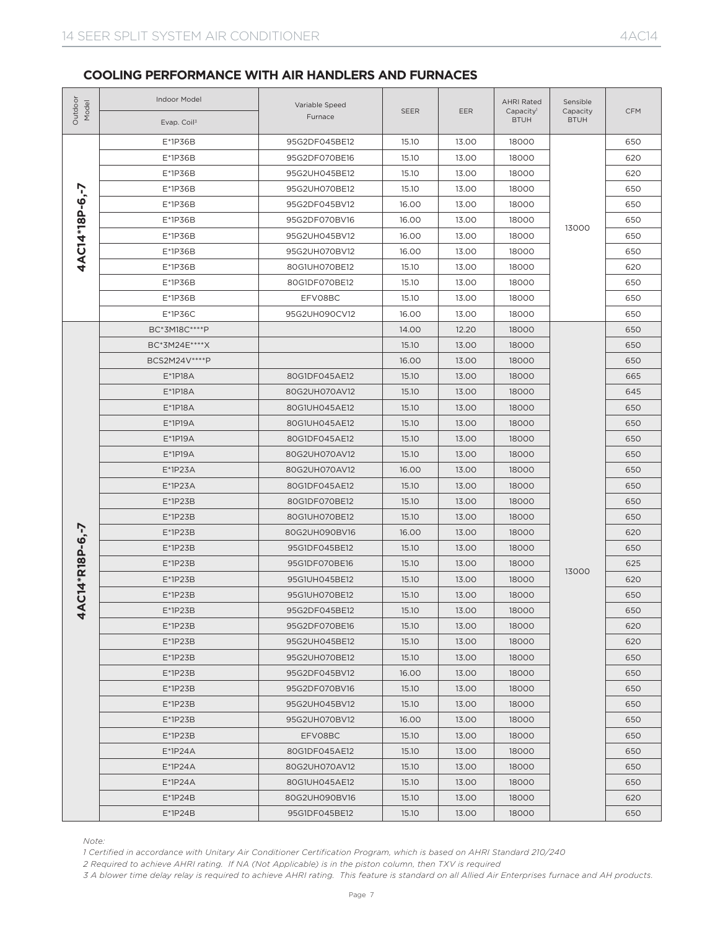| Outdoor<br>Model | Indoor Model<br>Evap. Coil <sup>3</sup>                                                                                                                                                                                                                                                                                                                                             | Variable Speed<br>Furnace | SEER                    | EER   | <b>AHRI Rated</b><br>Capacity <sup>1</sup><br><b>BTUH</b> | Sensible<br>Capacity<br><b>BTUH</b> | <b>CFM</b> |
|------------------|-------------------------------------------------------------------------------------------------------------------------------------------------------------------------------------------------------------------------------------------------------------------------------------------------------------------------------------------------------------------------------------|---------------------------|-------------------------|-------|-----------------------------------------------------------|-------------------------------------|------------|
|                  | E*1P36B                                                                                                                                                                                                                                                                                                                                                                             | 95G2DF045BE12             | 15.10                   | 13.00 | 18000                                                     |                                     | 650        |
|                  | E*1P36B                                                                                                                                                                                                                                                                                                                                                                             | 95G2DF070BE16             | 15.10                   | 13.00 | 18000                                                     |                                     | 620        |
|                  | E*1P36B                                                                                                                                                                                                                                                                                                                                                                             | 95G2UH045BE12             | 15.10                   | 13.00 | 18000                                                     |                                     | 620        |
|                  | E*1P36B                                                                                                                                                                                                                                                                                                                                                                             | 95G2UH070BE12             | 15.10                   | 13.00 | 18000                                                     |                                     | 650        |
|                  | E*1P36B                                                                                                                                                                                                                                                                                                                                                                             | 95G2DF045BV12             | 16.00                   | 13.00 | 18000                                                     |                                     | 650        |
|                  | E*1P36B                                                                                                                                                                                                                                                                                                                                                                             | 95G2DF070BV16             | 16.00                   | 13.00 | 18000                                                     |                                     | 650        |
| 4AC14*18P-6,-7   | E*1P36B                                                                                                                                                                                                                                                                                                                                                                             | 95G2UH045BV12             | 16.00                   | 13.00 | 18000                                                     | 13000                               | 650        |
|                  | E*1P36B                                                                                                                                                                                                                                                                                                                                                                             | 95G2UH070BV12             | 16.00                   | 13.00 | 18000                                                     |                                     | 650        |
|                  | E*1P36B                                                                                                                                                                                                                                                                                                                                                                             | 80G1UH070BE12             | 15.10                   | 13.00 | 18000                                                     |                                     | 620        |
|                  | $E*1P36B$                                                                                                                                                                                                                                                                                                                                                                           | 80G1DF070BE12             | 15.10                   | 13.00 | 18000                                                     |                                     | 650        |
|                  | E*1P36B                                                                                                                                                                                                                                                                                                                                                                             | EFV08BC                   | 15.10                   | 13.00 | 18000                                                     |                                     | 650        |
|                  | $E*1P36C$                                                                                                                                                                                                                                                                                                                                                                           | 95G2UH090CV12             | 16.00                   | 13.00 | 18000                                                     |                                     | 650        |
|                  | BC*3M18C****P                                                                                                                                                                                                                                                                                                                                                                       |                           | 14.00                   | 12.20 | 18000                                                     |                                     | 650        |
|                  | BC*3M24E****X                                                                                                                                                                                                                                                                                                                                                                       |                           | 15.10                   | 13.00 | 18000                                                     |                                     | 650        |
|                  | BCS2M24V****P                                                                                                                                                                                                                                                                                                                                                                       |                           | 16.00                   | 13.00 | 18000                                                     |                                     | 650        |
|                  | E*1P18A                                                                                                                                                                                                                                                                                                                                                                             | 80G1DF045AE12             | 15.10                   | 13.00 | 18000                                                     |                                     | 665        |
|                  | $E*1P18A$                                                                                                                                                                                                                                                                                                                                                                           | 80G2UH070AV12             | 15.10                   | 13.00 | 18000                                                     |                                     | 645        |
|                  | E*1P18A                                                                                                                                                                                                                                                                                                                                                                             | 80G1UH045AE12             | 15.10                   | 13.00 | 18000                                                     |                                     | 650        |
|                  | $E*1P19A$                                                                                                                                                                                                                                                                                                                                                                           | 80G1UH045AE12             | 15.10<br>13.00<br>18000 |       | 650                                                       |                                     |            |
|                  | $E*1P19A$                                                                                                                                                                                                                                                                                                                                                                           | 80G1DF045AE12             | 15.10                   | 13.00 | 18000                                                     |                                     | 650        |
|                  | E*1P19A                                                                                                                                                                                                                                                                                                                                                                             | 80G2UH070AV12             | 15.10                   | 13.00 | 18000                                                     |                                     | 650        |
|                  | $E*1P23A$                                                                                                                                                                                                                                                                                                                                                                           | 80G2UH070AV12             | 16.00                   | 13.00 | 18000                                                     |                                     | 650        |
|                  | $E*1P23A$                                                                                                                                                                                                                                                                                                                                                                           | 80G1DF045AE12             | 15.10                   | 13.00 | 18000                                                     |                                     | 650        |
|                  | $E*1P23B$                                                                                                                                                                                                                                                                                                                                                                           | 80G1DF070BE12             | 15.10                   | 13.00 | 18000                                                     |                                     | 650        |
|                  | $E*1P23B$                                                                                                                                                                                                                                                                                                                                                                           | 80G1UH070BE12             | 15.10                   | 13.00 | 18000                                                     |                                     | 650        |
|                  | $E*1P23B$                                                                                                                                                                                                                                                                                                                                                                           | 80G2UH090BV16             | 16.00                   | 13.00 | 18000                                                     |                                     | 620        |
| C14*R18P-6,-7    | $E*1P23B$                                                                                                                                                                                                                                                                                                                                                                           | 95G1DF045BE12             | 15.10                   | 13.00 | 18000                                                     |                                     | 650        |
|                  | $E*1P23B$                                                                                                                                                                                                                                                                                                                                                                           | 95G1DF070BE16             | 15.10                   | 13.00 | 18000                                                     |                                     | 625        |
|                  | $E*1P23B$                                                                                                                                                                                                                                                                                                                                                                           | 95G1UH045BE12             | 15.10                   | 13.00 | 18000                                                     | 13000                               | 620        |
|                  | $E*1P23B$                                                                                                                                                                                                                                                                                                                                                                           | 95G1UH070BE12             | 15.10                   | 13.00 | 18000                                                     |                                     | 650        |
| $\overline{4}$   | $E*1P23B$                                                                                                                                                                                                                                                                                                                                                                           | 95G2DF045BE12             | 15.10                   | 13.00 | 18000                                                     |                                     | 650        |
|                  | $E*1P23B$                                                                                                                                                                                                                                                                                                                                                                           | 95G2DF070BE16             | 15.10                   | 13.00 | 18000                                                     |                                     | 620        |
|                  | $E*1P23B$                                                                                                                                                                                                                                                                                                                                                                           | 95G2UH045BE12             | 15.10                   | 13.00 | 18000                                                     |                                     | 620        |
|                  | $E*1P23B$                                                                                                                                                                                                                                                                                                                                                                           | 95G2UH070BE12             | 15.10                   | 13.00 | 18000                                                     |                                     | 650        |
|                  | $E*1P23B$                                                                                                                                                                                                                                                                                                                                                                           | 95G2DF045BV12             | 16.00                   | 13.00 | 18000                                                     |                                     | 650        |
|                  | $E*1P23B$                                                                                                                                                                                                                                                                                                                                                                           | 95G2DF070BV16             | 15.10                   | 13.00 | 18000                                                     |                                     | 650        |
|                  | $E*1P23B$                                                                                                                                                                                                                                                                                                                                                                           | 95G2UH045BV12             | 15.10                   | 13.00 | 18000                                                     |                                     | 650        |
|                  | $E*1P23B$                                                                                                                                                                                                                                                                                                                                                                           | 95G2UH070BV12             | 16.00                   | 13.00 | 18000                                                     |                                     | 650        |
|                  | $E*1P23B$                                                                                                                                                                                                                                                                                                                                                                           | EFV08BC                   | 15.10                   | 13.00 | 18000                                                     |                                     | 650        |
|                  | $E^*$ 1P24A                                                                                                                                                                                                                                                                                                                                                                         | 80G1DF045AE12             | 15.10                   | 13.00 | 18000                                                     |                                     | 650        |
|                  | $E^*$ 1P24A                                                                                                                                                                                                                                                                                                                                                                         | 80G2UH070AV12             | 15.10                   | 13.00 | 18000                                                     |                                     | 650        |
|                  | $E^*$ 1P24A                                                                                                                                                                                                                                                                                                                                                                         | 80G1UH045AE12             | 15.10                   | 13.00 | 18000                                                     |                                     | 650        |
|                  | $E^*$ 1P24B                                                                                                                                                                                                                                                                                                                                                                         | 80G2UH090BV16             | 15.10                   | 13.00 | 18000                                                     |                                     | 620        |
|                  | $E*1P24B$                                                                                                                                                                                                                                                                                                                                                                           | 95G1DF045BE12             | 15.10                   | 13.00 | 18000                                                     |                                     | 650        |
| Note:            | 1 Certified in accordance with Unitary Air Conditioner Certification Program, which is based on AHRI Standard 210/240<br>2 Required to achieve AHRI rating. If NA (Not Applicable) is in the piston column, then TXV is required<br>3 A blower time delay relay is required to achieve AHRI rating. This feature is standard on all Allied Air Enterprises furnace and AH products. |                           |                         |       |                                                           |                                     |            |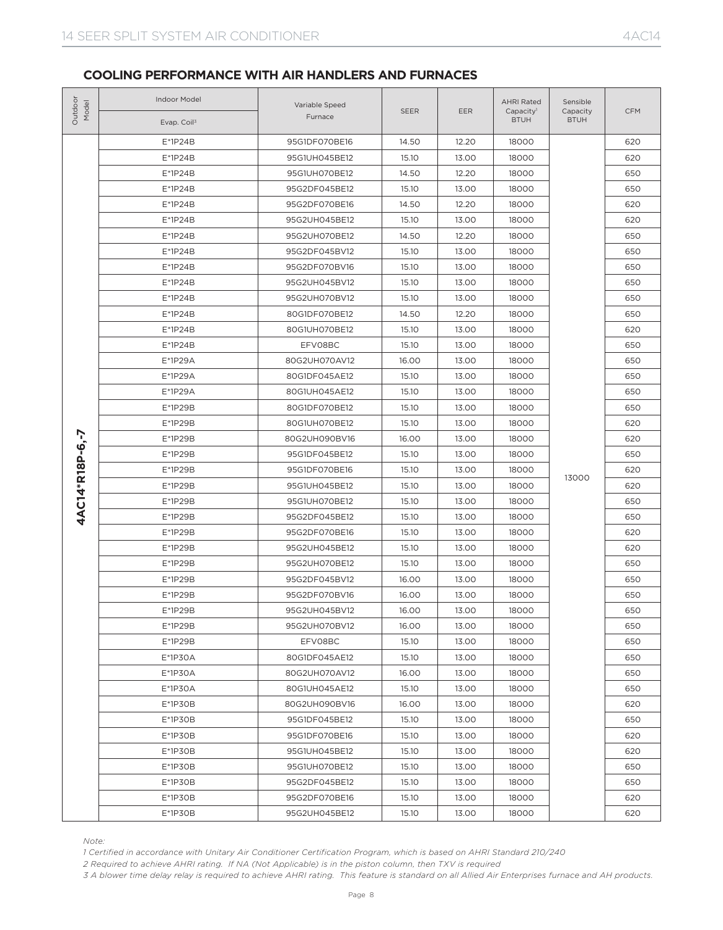| Outdoor<br>Model | Indoor Model<br>Evap. Coil <sup>3</sup>                                                                                                         | Variable Speed<br>Furnace                                                                                                                                                                                                                                                                                                                                                                                                                                                                                                                                                                                                                                                                                                                                                                                                                                                                                                                                                                                                                                                                                                                                                                                                                                                                                                                                                                                                                                                                                                                                                                                                                                                                                                                                                                                                                                                                                                                                                                                                                                                                                                                    | <b>SEER</b> | EER   | <b>AHRI Rated</b><br>Capacity <sup>1</sup><br><b>BTUH</b> | Sensible<br>Capacity<br><b>BTUH</b> | <b>CFM</b> |
|------------------|-------------------------------------------------------------------------------------------------------------------------------------------------|----------------------------------------------------------------------------------------------------------------------------------------------------------------------------------------------------------------------------------------------------------------------------------------------------------------------------------------------------------------------------------------------------------------------------------------------------------------------------------------------------------------------------------------------------------------------------------------------------------------------------------------------------------------------------------------------------------------------------------------------------------------------------------------------------------------------------------------------------------------------------------------------------------------------------------------------------------------------------------------------------------------------------------------------------------------------------------------------------------------------------------------------------------------------------------------------------------------------------------------------------------------------------------------------------------------------------------------------------------------------------------------------------------------------------------------------------------------------------------------------------------------------------------------------------------------------------------------------------------------------------------------------------------------------------------------------------------------------------------------------------------------------------------------------------------------------------------------------------------------------------------------------------------------------------------------------------------------------------------------------------------------------------------------------------------------------------------------------------------------------------------------------|-------------|-------|-----------------------------------------------------------|-------------------------------------|------------|
|                  | $E*1P24B$                                                                                                                                       | 95G1DF070BE16                                                                                                                                                                                                                                                                                                                                                                                                                                                                                                                                                                                                                                                                                                                                                                                                                                                                                                                                                                                                                                                                                                                                                                                                                                                                                                                                                                                                                                                                                                                                                                                                                                                                                                                                                                                                                                                                                                                                                                                                                                                                                                                                | 14.50       | 12.20 | 18000                                                     |                                     | 620        |
| 4AC14*R18P-6,-7  | $E*1P24B$                                                                                                                                       | 95G1UH045BE12                                                                                                                                                                                                                                                                                                                                                                                                                                                                                                                                                                                                                                                                                                                                                                                                                                                                                                                                                                                                                                                                                                                                                                                                                                                                                                                                                                                                                                                                                                                                                                                                                                                                                                                                                                                                                                                                                                                                                                                                                                                                                                                                | 15.10       | 13.00 | 18000                                                     |                                     | 620        |
|                  | $E*1P24B$                                                                                                                                       | 95G1UH070BE12<br>14.50<br>12.20<br>18000<br>95G2DF045BE12<br>15.10<br>13.00<br>18000<br>14.50<br>12.20<br>18000<br>95G2DF070BE16<br>13.00<br>95G2UH045BE12<br>15.10<br>18000<br>14.50<br>12.20<br>95G2UH070BE12<br>18000<br>95G2DF045BV12<br>15.10<br>13.00<br>18000<br>13.00<br>95G2DF070BV16<br>15.10<br>18000<br>95G2UH045BV12<br>15.10<br>13.00<br>18000<br>95G2UH070BV12<br>15.10<br>13.00<br>18000<br>80G1DF070BE12<br>14.50<br>12.20<br>18000<br>80G1UH070BE12<br>15.10<br>13.00<br>18000<br>EFV08BC<br>15.10<br>13.00<br>18000<br>80G2UH070AV12<br>16.00<br>13.00<br>18000<br>80G1DF045AE12<br>15.10<br>13.00<br>18000<br>13.00<br>80G1UH045AE12<br>15.10<br>18000<br>80G1DF070BE12<br>15.10<br>13.00<br>18000<br>15.10<br>13.00<br>18000<br>80G1UH070BE12<br>16.00<br>18000<br>80G2UH090BV16<br>13.00<br>13.00<br>95G1DF045BE12<br>15.10<br>18000<br>95G1DF070BE16<br>15.10<br>13.00<br>18000<br>95G1UH045BE12<br>15.10<br>13.00<br>18000<br>95G1UH070BE12<br>15.10<br>13.00<br>18000<br>95G2DF045BE12<br>15.10<br>13.00<br>18000<br>95G2DF070BE16<br>15.10<br>13.00<br>18000<br>95G2UH045BE12<br>15.10<br>13.00<br>18000<br>95G2UH070BE12<br>15.10<br>13.00<br>18000<br>95G2DF045BV12<br>16.00<br>13.00<br>18000<br>95G2DF070BV16<br>16.00<br>13.00<br>18000<br>95G2UH045BV12<br>16.00<br>13.00<br>18000<br>16.00<br>13.00<br>18000<br>95G2UH070BV12<br>EFV08BC<br>15.10<br>13.00<br>18000<br>80G1DF045AE12<br>15.10<br>13.00<br>18000<br>80G2UH070AV12<br>16.00<br>13.00<br>18000<br>13.00<br>80G1UH045AE12<br>15.10<br>18000<br>16.00<br>13.00<br>18000<br>80G2UH090BV16<br>95G1DF045BE12<br>15.10<br>13.00<br>18000<br>95G1DF070BE16<br>15.10<br>13.00<br>18000<br>95G1UH045BE12<br>15.10<br>13.00<br>18000<br>95G1UH070BE12<br>15.10<br>13.00<br>18000<br>95G2DF045BE12<br>15.10<br>13.00<br>18000<br>95G2DF070BE16<br>15.10<br>13.00<br>18000<br>95G2UH045BE12<br>15.10<br>13.00<br>18000<br>1 Certified in accordance with Unitary Air Conditioner Certification Program, which is based on AHRI Standard 210/240<br>2 Required to achieve AHRI rating. If NA (Not Applicable) is in the piston column, then TXV is required |             | 650   |                                                           |                                     |            |
|                  | $E*1P24B$                                                                                                                                       |                                                                                                                                                                                                                                                                                                                                                                                                                                                                                                                                                                                                                                                                                                                                                                                                                                                                                                                                                                                                                                                                                                                                                                                                                                                                                                                                                                                                                                                                                                                                                                                                                                                                                                                                                                                                                                                                                                                                                                                                                                                                                                                                              |             |       |                                                           |                                     | 650        |
|                  | $E*1P24B$                                                                                                                                       |                                                                                                                                                                                                                                                                                                                                                                                                                                                                                                                                                                                                                                                                                                                                                                                                                                                                                                                                                                                                                                                                                                                                                                                                                                                                                                                                                                                                                                                                                                                                                                                                                                                                                                                                                                                                                                                                                                                                                                                                                                                                                                                                              |             |       |                                                           |                                     | 620        |
|                  | $E*1P24B$                                                                                                                                       |                                                                                                                                                                                                                                                                                                                                                                                                                                                                                                                                                                                                                                                                                                                                                                                                                                                                                                                                                                                                                                                                                                                                                                                                                                                                                                                                                                                                                                                                                                                                                                                                                                                                                                                                                                                                                                                                                                                                                                                                                                                                                                                                              |             |       |                                                           |                                     | 620        |
|                  | $E*1P24B$                                                                                                                                       |                                                                                                                                                                                                                                                                                                                                                                                                                                                                                                                                                                                                                                                                                                                                                                                                                                                                                                                                                                                                                                                                                                                                                                                                                                                                                                                                                                                                                                                                                                                                                                                                                                                                                                                                                                                                                                                                                                                                                                                                                                                                                                                                              |             |       |                                                           |                                     | 650        |
|                  | $E*1P24B$                                                                                                                                       |                                                                                                                                                                                                                                                                                                                                                                                                                                                                                                                                                                                                                                                                                                                                                                                                                                                                                                                                                                                                                                                                                                                                                                                                                                                                                                                                                                                                                                                                                                                                                                                                                                                                                                                                                                                                                                                                                                                                                                                                                                                                                                                                              |             |       |                                                           |                                     | 650        |
|                  | $E*1P24B$                                                                                                                                       |                                                                                                                                                                                                                                                                                                                                                                                                                                                                                                                                                                                                                                                                                                                                                                                                                                                                                                                                                                                                                                                                                                                                                                                                                                                                                                                                                                                                                                                                                                                                                                                                                                                                                                                                                                                                                                                                                                                                                                                                                                                                                                                                              |             |       |                                                           |                                     | 650        |
|                  | $E*1P24B$                                                                                                                                       |                                                                                                                                                                                                                                                                                                                                                                                                                                                                                                                                                                                                                                                                                                                                                                                                                                                                                                                                                                                                                                                                                                                                                                                                                                                                                                                                                                                                                                                                                                                                                                                                                                                                                                                                                                                                                                                                                                                                                                                                                                                                                                                                              |             |       |                                                           |                                     | 650        |
|                  | E*1P24B                                                                                                                                         |                                                                                                                                                                                                                                                                                                                                                                                                                                                                                                                                                                                                                                                                                                                                                                                                                                                                                                                                                                                                                                                                                                                                                                                                                                                                                                                                                                                                                                                                                                                                                                                                                                                                                                                                                                                                                                                                                                                                                                                                                                                                                                                                              |             |       |                                                           |                                     | 650        |
|                  | $E*1P24B$                                                                                                                                       |                                                                                                                                                                                                                                                                                                                                                                                                                                                                                                                                                                                                                                                                                                                                                                                                                                                                                                                                                                                                                                                                                                                                                                                                                                                                                                                                                                                                                                                                                                                                                                                                                                                                                                                                                                                                                                                                                                                                                                                                                                                                                                                                              |             |       |                                                           |                                     | 650        |
|                  | $E*1P24B$                                                                                                                                       |                                                                                                                                                                                                                                                                                                                                                                                                                                                                                                                                                                                                                                                                                                                                                                                                                                                                                                                                                                                                                                                                                                                                                                                                                                                                                                                                                                                                                                                                                                                                                                                                                                                                                                                                                                                                                                                                                                                                                                                                                                                                                                                                              |             |       |                                                           |                                     | 620        |
|                  | $E*1P24B$                                                                                                                                       |                                                                                                                                                                                                                                                                                                                                                                                                                                                                                                                                                                                                                                                                                                                                                                                                                                                                                                                                                                                                                                                                                                                                                                                                                                                                                                                                                                                                                                                                                                                                                                                                                                                                                                                                                                                                                                                                                                                                                                                                                                                                                                                                              |             |       |                                                           |                                     | 650        |
|                  | E*1P29A                                                                                                                                         |                                                                                                                                                                                                                                                                                                                                                                                                                                                                                                                                                                                                                                                                                                                                                                                                                                                                                                                                                                                                                                                                                                                                                                                                                                                                                                                                                                                                                                                                                                                                                                                                                                                                                                                                                                                                                                                                                                                                                                                                                                                                                                                                              |             |       |                                                           |                                     | 650        |
|                  | E*1P29A                                                                                                                                         |                                                                                                                                                                                                                                                                                                                                                                                                                                                                                                                                                                                                                                                                                                                                                                                                                                                                                                                                                                                                                                                                                                                                                                                                                                                                                                                                                                                                                                                                                                                                                                                                                                                                                                                                                                                                                                                                                                                                                                                                                                                                                                                                              |             |       |                                                           |                                     | 650        |
|                  | E*1P29A                                                                                                                                         |                                                                                                                                                                                                                                                                                                                                                                                                                                                                                                                                                                                                                                                                                                                                                                                                                                                                                                                                                                                                                                                                                                                                                                                                                                                                                                                                                                                                                                                                                                                                                                                                                                                                                                                                                                                                                                                                                                                                                                                                                                                                                                                                              |             |       |                                                           |                                     | 650        |
|                  | E*1P29B                                                                                                                                         |                                                                                                                                                                                                                                                                                                                                                                                                                                                                                                                                                                                                                                                                                                                                                                                                                                                                                                                                                                                                                                                                                                                                                                                                                                                                                                                                                                                                                                                                                                                                                                                                                                                                                                                                                                                                                                                                                                                                                                                                                                                                                                                                              |             |       |                                                           |                                     | 650        |
|                  | E*1P29B                                                                                                                                         |                                                                                                                                                                                                                                                                                                                                                                                                                                                                                                                                                                                                                                                                                                                                                                                                                                                                                                                                                                                                                                                                                                                                                                                                                                                                                                                                                                                                                                                                                                                                                                                                                                                                                                                                                                                                                                                                                                                                                                                                                                                                                                                                              |             |       |                                                           |                                     | 620        |
|                  | E*1P29B                                                                                                                                         |                                                                                                                                                                                                                                                                                                                                                                                                                                                                                                                                                                                                                                                                                                                                                                                                                                                                                                                                                                                                                                                                                                                                                                                                                                                                                                                                                                                                                                                                                                                                                                                                                                                                                                                                                                                                                                                                                                                                                                                                                                                                                                                                              |             |       |                                                           |                                     | 620        |
|                  | E*1P29B                                                                                                                                         |                                                                                                                                                                                                                                                                                                                                                                                                                                                                                                                                                                                                                                                                                                                                                                                                                                                                                                                                                                                                                                                                                                                                                                                                                                                                                                                                                                                                                                                                                                                                                                                                                                                                                                                                                                                                                                                                                                                                                                                                                                                                                                                                              |             |       |                                                           |                                     | 650        |
|                  | E*1P29B                                                                                                                                         |                                                                                                                                                                                                                                                                                                                                                                                                                                                                                                                                                                                                                                                                                                                                                                                                                                                                                                                                                                                                                                                                                                                                                                                                                                                                                                                                                                                                                                                                                                                                                                                                                                                                                                                                                                                                                                                                                                                                                                                                                                                                                                                                              |             |       |                                                           |                                     | 620        |
|                  | E*1P29B                                                                                                                                         |                                                                                                                                                                                                                                                                                                                                                                                                                                                                                                                                                                                                                                                                                                                                                                                                                                                                                                                                                                                                                                                                                                                                                                                                                                                                                                                                                                                                                                                                                                                                                                                                                                                                                                                                                                                                                                                                                                                                                                                                                                                                                                                                              |             |       |                                                           | 13000                               | 620        |
|                  | E*1P29B                                                                                                                                         |                                                                                                                                                                                                                                                                                                                                                                                                                                                                                                                                                                                                                                                                                                                                                                                                                                                                                                                                                                                                                                                                                                                                                                                                                                                                                                                                                                                                                                                                                                                                                                                                                                                                                                                                                                                                                                                                                                                                                                                                                                                                                                                                              |             |       |                                                           |                                     | 650        |
|                  | E*1P29B                                                                                                                                         |                                                                                                                                                                                                                                                                                                                                                                                                                                                                                                                                                                                                                                                                                                                                                                                                                                                                                                                                                                                                                                                                                                                                                                                                                                                                                                                                                                                                                                                                                                                                                                                                                                                                                                                                                                                                                                                                                                                                                                                                                                                                                                                                              |             |       |                                                           |                                     | 650        |
|                  | E*1P29B                                                                                                                                         |                                                                                                                                                                                                                                                                                                                                                                                                                                                                                                                                                                                                                                                                                                                                                                                                                                                                                                                                                                                                                                                                                                                                                                                                                                                                                                                                                                                                                                                                                                                                                                                                                                                                                                                                                                                                                                                                                                                                                                                                                                                                                                                                              |             |       |                                                           |                                     | 620        |
|                  | E*1P29B                                                                                                                                         |                                                                                                                                                                                                                                                                                                                                                                                                                                                                                                                                                                                                                                                                                                                                                                                                                                                                                                                                                                                                                                                                                                                                                                                                                                                                                                                                                                                                                                                                                                                                                                                                                                                                                                                                                                                                                                                                                                                                                                                                                                                                                                                                              |             |       |                                                           |                                     | 620        |
|                  | E*1P29B                                                                                                                                         |                                                                                                                                                                                                                                                                                                                                                                                                                                                                                                                                                                                                                                                                                                                                                                                                                                                                                                                                                                                                                                                                                                                                                                                                                                                                                                                                                                                                                                                                                                                                                                                                                                                                                                                                                                                                                                                                                                                                                                                                                                                                                                                                              |             |       |                                                           |                                     | 650        |
|                  | E*1P29B                                                                                                                                         |                                                                                                                                                                                                                                                                                                                                                                                                                                                                                                                                                                                                                                                                                                                                                                                                                                                                                                                                                                                                                                                                                                                                                                                                                                                                                                                                                                                                                                                                                                                                                                                                                                                                                                                                                                                                                                                                                                                                                                                                                                                                                                                                              |             |       |                                                           |                                     | 650        |
|                  | E*1P29B                                                                                                                                         |                                                                                                                                                                                                                                                                                                                                                                                                                                                                                                                                                                                                                                                                                                                                                                                                                                                                                                                                                                                                                                                                                                                                                                                                                                                                                                                                                                                                                                                                                                                                                                                                                                                                                                                                                                                                                                                                                                                                                                                                                                                                                                                                              |             |       |                                                           |                                     | 650        |
|                  | E*1P29B                                                                                                                                         |                                                                                                                                                                                                                                                                                                                                                                                                                                                                                                                                                                                                                                                                                                                                                                                                                                                                                                                                                                                                                                                                                                                                                                                                                                                                                                                                                                                                                                                                                                                                                                                                                                                                                                                                                                                                                                                                                                                                                                                                                                                                                                                                              |             |       |                                                           |                                     | 650        |
|                  | E*1P29B                                                                                                                                         |                                                                                                                                                                                                                                                                                                                                                                                                                                                                                                                                                                                                                                                                                                                                                                                                                                                                                                                                                                                                                                                                                                                                                                                                                                                                                                                                                                                                                                                                                                                                                                                                                                                                                                                                                                                                                                                                                                                                                                                                                                                                                                                                              |             |       |                                                           |                                     | 650        |
|                  | E*1P29B                                                                                                                                         |                                                                                                                                                                                                                                                                                                                                                                                                                                                                                                                                                                                                                                                                                                                                                                                                                                                                                                                                                                                                                                                                                                                                                                                                                                                                                                                                                                                                                                                                                                                                                                                                                                                                                                                                                                                                                                                                                                                                                                                                                                                                                                                                              |             |       |                                                           |                                     | 650        |
|                  | E*1P30A                                                                                                                                         |                                                                                                                                                                                                                                                                                                                                                                                                                                                                                                                                                                                                                                                                                                                                                                                                                                                                                                                                                                                                                                                                                                                                                                                                                                                                                                                                                                                                                                                                                                                                                                                                                                                                                                                                                                                                                                                                                                                                                                                                                                                                                                                                              |             |       |                                                           |                                     | 650        |
|                  | $E*1P3OA$                                                                                                                                       |                                                                                                                                                                                                                                                                                                                                                                                                                                                                                                                                                                                                                                                                                                                                                                                                                                                                                                                                                                                                                                                                                                                                                                                                                                                                                                                                                                                                                                                                                                                                                                                                                                                                                                                                                                                                                                                                                                                                                                                                                                                                                                                                              |             |       |                                                           |                                     | 650        |
|                  | E*1P30A                                                                                                                                         |                                                                                                                                                                                                                                                                                                                                                                                                                                                                                                                                                                                                                                                                                                                                                                                                                                                                                                                                                                                                                                                                                                                                                                                                                                                                                                                                                                                                                                                                                                                                                                                                                                                                                                                                                                                                                                                                                                                                                                                                                                                                                                                                              |             |       |                                                           |                                     | 650        |
|                  | $E*1P3OB$                                                                                                                                       |                                                                                                                                                                                                                                                                                                                                                                                                                                                                                                                                                                                                                                                                                                                                                                                                                                                                                                                                                                                                                                                                                                                                                                                                                                                                                                                                                                                                                                                                                                                                                                                                                                                                                                                                                                                                                                                                                                                                                                                                                                                                                                                                              |             |       |                                                           |                                     | 620        |
|                  | $E*1P3OB$                                                                                                                                       |                                                                                                                                                                                                                                                                                                                                                                                                                                                                                                                                                                                                                                                                                                                                                                                                                                                                                                                                                                                                                                                                                                                                                                                                                                                                                                                                                                                                                                                                                                                                                                                                                                                                                                                                                                                                                                                                                                                                                                                                                                                                                                                                              |             |       |                                                           |                                     | 650        |
|                  | $E*1P3OB$                                                                                                                                       |                                                                                                                                                                                                                                                                                                                                                                                                                                                                                                                                                                                                                                                                                                                                                                                                                                                                                                                                                                                                                                                                                                                                                                                                                                                                                                                                                                                                                                                                                                                                                                                                                                                                                                                                                                                                                                                                                                                                                                                                                                                                                                                                              |             |       |                                                           |                                     | 620        |
|                  | $E*1P3OB$                                                                                                                                       |                                                                                                                                                                                                                                                                                                                                                                                                                                                                                                                                                                                                                                                                                                                                                                                                                                                                                                                                                                                                                                                                                                                                                                                                                                                                                                                                                                                                                                                                                                                                                                                                                                                                                                                                                                                                                                                                                                                                                                                                                                                                                                                                              |             |       |                                                           |                                     | 620        |
|                  | $E*1P3OB$                                                                                                                                       |                                                                                                                                                                                                                                                                                                                                                                                                                                                                                                                                                                                                                                                                                                                                                                                                                                                                                                                                                                                                                                                                                                                                                                                                                                                                                                                                                                                                                                                                                                                                                                                                                                                                                                                                                                                                                                                                                                                                                                                                                                                                                                                                              |             |       |                                                           |                                     | 650        |
|                  | $E*1P3OB$                                                                                                                                       |                                                                                                                                                                                                                                                                                                                                                                                                                                                                                                                                                                                                                                                                                                                                                                                                                                                                                                                                                                                                                                                                                                                                                                                                                                                                                                                                                                                                                                                                                                                                                                                                                                                                                                                                                                                                                                                                                                                                                                                                                                                                                                                                              |             |       |                                                           |                                     | 650        |
|                  | $E*1P3OB$                                                                                                                                       |                                                                                                                                                                                                                                                                                                                                                                                                                                                                                                                                                                                                                                                                                                                                                                                                                                                                                                                                                                                                                                                                                                                                                                                                                                                                                                                                                                                                                                                                                                                                                                                                                                                                                                                                                                                                                                                                                                                                                                                                                                                                                                                                              |             |       |                                                           |                                     | 620        |
|                  | $E*1P3OB$                                                                                                                                       |                                                                                                                                                                                                                                                                                                                                                                                                                                                                                                                                                                                                                                                                                                                                                                                                                                                                                                                                                                                                                                                                                                                                                                                                                                                                                                                                                                                                                                                                                                                                                                                                                                                                                                                                                                                                                                                                                                                                                                                                                                                                                                                                              |             |       |                                                           |                                     | 620        |
| Note:            | 3 A blower time delay relay is required to achieve AHRI rating. This feature is standard on all Allied Air Enterprises furnace and AH products. |                                                                                                                                                                                                                                                                                                                                                                                                                                                                                                                                                                                                                                                                                                                                                                                                                                                                                                                                                                                                                                                                                                                                                                                                                                                                                                                                                                                                                                                                                                                                                                                                                                                                                                                                                                                                                                                                                                                                                                                                                                                                                                                                              |             |       |                                                           |                                     |            |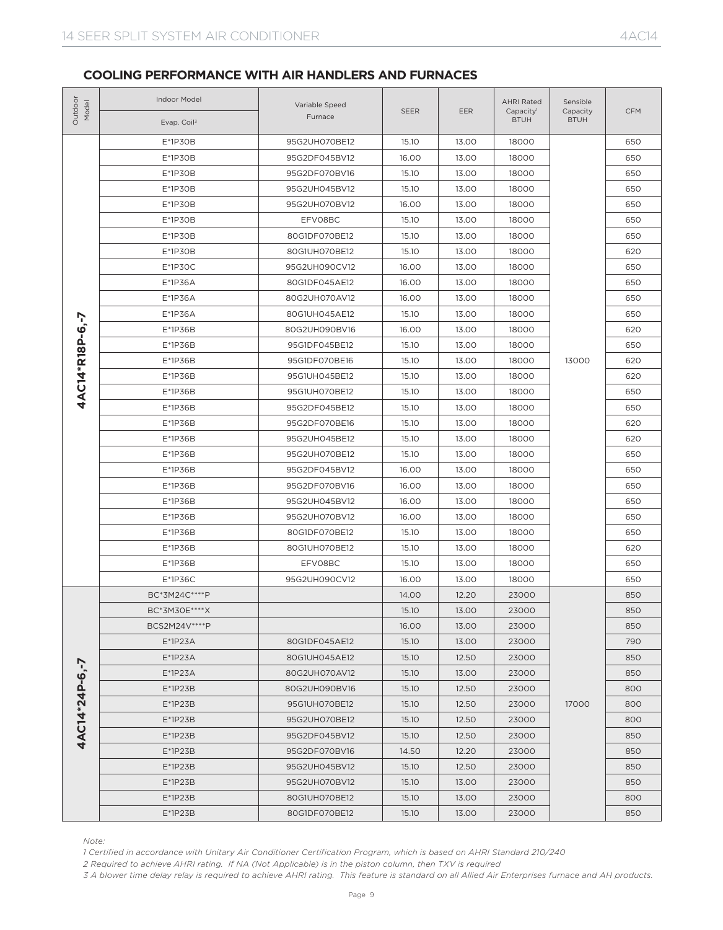| Outdoor<br>Model | Indoor Model<br>Evap. Coil <sup>3</sup> | Variable Speed<br>Furnace                                                                                                                                                                                                                                                                                                                                                                                                                                                                                                                                                                                                                                                                                                                                                                                                                                                                                                                                                                                                                                                                                                                                                                                                                                                                                                                                                                                                                                                                                                                                                                                                                                                                                                                                                                                                                                                                                                                                                                                                                                                                                                                                                                                                                                                                                                                                                                                                                                                                                                                                                                                                                                                                                                                                       | <b>SEER</b> | <b>EER</b> | <b>AHRI Rated</b><br>Capacity <sup>1</sup><br><b>BTUH</b> | Sensible<br>Capacity<br><b>BTUH</b> | <b>CFM</b> |
|------------------|-----------------------------------------|-----------------------------------------------------------------------------------------------------------------------------------------------------------------------------------------------------------------------------------------------------------------------------------------------------------------------------------------------------------------------------------------------------------------------------------------------------------------------------------------------------------------------------------------------------------------------------------------------------------------------------------------------------------------------------------------------------------------------------------------------------------------------------------------------------------------------------------------------------------------------------------------------------------------------------------------------------------------------------------------------------------------------------------------------------------------------------------------------------------------------------------------------------------------------------------------------------------------------------------------------------------------------------------------------------------------------------------------------------------------------------------------------------------------------------------------------------------------------------------------------------------------------------------------------------------------------------------------------------------------------------------------------------------------------------------------------------------------------------------------------------------------------------------------------------------------------------------------------------------------------------------------------------------------------------------------------------------------------------------------------------------------------------------------------------------------------------------------------------------------------------------------------------------------------------------------------------------------------------------------------------------------------------------------------------------------------------------------------------------------------------------------------------------------------------------------------------------------------------------------------------------------------------------------------------------------------------------------------------------------------------------------------------------------------------------------------------------------------------------------------------------------|-------------|------------|-----------------------------------------------------------|-------------------------------------|------------|
|                  | E*1P30B                                 | 95G2UH070BE12                                                                                                                                                                                                                                                                                                                                                                                                                                                                                                                                                                                                                                                                                                                                                                                                                                                                                                                                                                                                                                                                                                                                                                                                                                                                                                                                                                                                                                                                                                                                                                                                                                                                                                                                                                                                                                                                                                                                                                                                                                                                                                                                                                                                                                                                                                                                                                                                                                                                                                                                                                                                                                                                                                                                                   | 15.10       | 13.00      | 18000                                                     |                                     | 650        |
|                  | $E*1P3OB$                               | 95G2DF045BV12                                                                                                                                                                                                                                                                                                                                                                                                                                                                                                                                                                                                                                                                                                                                                                                                                                                                                                                                                                                                                                                                                                                                                                                                                                                                                                                                                                                                                                                                                                                                                                                                                                                                                                                                                                                                                                                                                                                                                                                                                                                                                                                                                                                                                                                                                                                                                                                                                                                                                                                                                                                                                                                                                                                                                   | 16.00       | 13.00      | 18000                                                     |                                     | 650        |
|                  | $E*1P3OB$                               | 95G2DF070BV16<br>15.10<br>13.00<br>18000<br>E*1P30B<br>95G2UH045BV12<br>15.10<br>13.00<br>18000<br>E*1P30B<br>95G2UH070BV12<br>16.00<br>13.00<br>18000<br>E*1P30B<br>EFV08BC<br>15.10<br>13.00<br>18000<br>$E*1P3OB$<br>80G1DF070BE12<br>15.10<br>13.00<br>18000<br>$E*1P3OB$<br>80G1UH070BE12<br>15.10<br>13.00<br>18000<br>13.00<br>E*1P30C<br>95G2UH090CV12<br>16.00<br>18000<br>E*1P36A<br>13.00<br>80G1DF045AE12<br>16.00<br>18000<br>E*1P36A<br>80G2UH070AV12<br>16.00<br>13.00<br>18000<br>E*1P36A<br>15.10<br>13.00<br>18000<br>80G1UH045AE12<br>E*1P36B<br>16.00<br>13.00<br>80G2UH090BV16<br>18000<br>E*1P36B<br>95G1DF045BE12<br>15.10<br>13.00<br>18000<br>E*1P36B<br>95G1DF070BE16<br>15.10<br>13.00<br>18000<br>E*1P36B<br>95G1UH045BE12<br>15.10<br>13.00<br>18000<br>13.00<br>E*1P36B<br>95G1UH070BE12<br>15.10<br>18000<br>E*1P36B<br>95G2DF045BE12<br>15.10<br>13.00<br>18000<br>E*1P36B<br>95G2DF070BE16<br>15.10<br>13.00<br>18000<br>E*1P36B<br>95G2UH045BE12<br>15.10<br>13.00<br>18000<br>E*1P36B<br>95G2UH070BE12<br>15.10<br>13.00<br>18000<br>E*1P36B<br>95G2DF045BV12<br>16.00<br>13.00<br>18000<br>E*1P36B<br>95G2DF070BV16<br>16.00<br>13.00<br>18000<br>E*1P36B<br>95G2UH045BV12<br>16.00<br>13.00<br>18000<br>E*1P36B<br>95G2UH070BV12<br>16.00<br>13.00<br>18000<br>E*1P36B<br>80G1DF070BE12<br>15.10<br>13.00<br>18000<br>E*1P36B<br>80G1UH070BE12<br>15.10<br>13.00<br>18000<br>13.00<br>E*1P36B<br>EFV08BC<br>15.10<br>18000<br>95G2UH090CV12<br>$E*1P36C$<br>16.00<br>13.00<br>18000<br>BC*3M24C****P<br>14.00<br>12.20<br>23000<br>BC*3M30E****X<br>15.10<br>13.00<br>23000<br>BCS2M24V****P<br>13.00<br>16.00<br>23000<br>$E*1P23A$<br>80G1DF045AE12<br>15.10<br>13.00<br>23000<br>$E*1P23A$<br>80G1UH045AE12<br>15.10<br>12.50<br>23000<br>$E*1P23A$<br>80G2UH070AV12<br>15.10<br>13.00<br>23000<br>$E*1P23B$<br>80G2UH090BV16<br>15.10<br>12.50<br>23000<br>$E*1P23B$<br>95G1UH070BE12<br>15.10<br>12.50<br>23000<br>$E*1P23B$<br>95G2UH070BE12<br>15.10<br>12.50<br>23000<br>$E*1P23B$<br>95G2DF045BV12<br>15.10<br>12.50<br>23000<br>$E*1P23B$<br>14.50<br>95G2DF070BV16<br>12.20<br>23000<br>$E*1P23B$<br>95G2UH045BV12<br>15.10<br>12.50<br>23000<br>$E*1P23B$<br>95G2UH070BV12<br>15.10<br>13.00<br>23000<br>$E*1P23B$<br>80G1UH070BE12<br>15.10<br>13.00<br>23000<br>$E*1P23B$<br>80G1DF070BE12<br>15.10<br>13.00<br>23000<br>1 Certified in accordance with Unitary Air Conditioner Certification Program, which is based on AHRI Standard 210/240<br>2 Required to achieve AHRI rating. If NA (Not Applicable) is in the piston column, then TXV is required<br>3 A blower time delay relay is required to achieve AHRI rating. This feature is standard on all Allied Air Enterprises furnace and AH products. |             | 650        |                                                           |                                     |            |
|                  |                                         |                                                                                                                                                                                                                                                                                                                                                                                                                                                                                                                                                                                                                                                                                                                                                                                                                                                                                                                                                                                                                                                                                                                                                                                                                                                                                                                                                                                                                                                                                                                                                                                                                                                                                                                                                                                                                                                                                                                                                                                                                                                                                                                                                                                                                                                                                                                                                                                                                                                                                                                                                                                                                                                                                                                                                                 |             |            |                                                           |                                     | 650        |
|                  |                                         |                                                                                                                                                                                                                                                                                                                                                                                                                                                                                                                                                                                                                                                                                                                                                                                                                                                                                                                                                                                                                                                                                                                                                                                                                                                                                                                                                                                                                                                                                                                                                                                                                                                                                                                                                                                                                                                                                                                                                                                                                                                                                                                                                                                                                                                                                                                                                                                                                                                                                                                                                                                                                                                                                                                                                                 |             |            |                                                           |                                     | 650        |
|                  |                                         |                                                                                                                                                                                                                                                                                                                                                                                                                                                                                                                                                                                                                                                                                                                                                                                                                                                                                                                                                                                                                                                                                                                                                                                                                                                                                                                                                                                                                                                                                                                                                                                                                                                                                                                                                                                                                                                                                                                                                                                                                                                                                                                                                                                                                                                                                                                                                                                                                                                                                                                                                                                                                                                                                                                                                                 |             |            |                                                           |                                     | 650        |
|                  |                                         |                                                                                                                                                                                                                                                                                                                                                                                                                                                                                                                                                                                                                                                                                                                                                                                                                                                                                                                                                                                                                                                                                                                                                                                                                                                                                                                                                                                                                                                                                                                                                                                                                                                                                                                                                                                                                                                                                                                                                                                                                                                                                                                                                                                                                                                                                                                                                                                                                                                                                                                                                                                                                                                                                                                                                                 |             |            |                                                           |                                     | 650        |
|                  |                                         |                                                                                                                                                                                                                                                                                                                                                                                                                                                                                                                                                                                                                                                                                                                                                                                                                                                                                                                                                                                                                                                                                                                                                                                                                                                                                                                                                                                                                                                                                                                                                                                                                                                                                                                                                                                                                                                                                                                                                                                                                                                                                                                                                                                                                                                                                                                                                                                                                                                                                                                                                                                                                                                                                                                                                                 |             |            |                                                           |                                     | 620        |
|                  |                                         |                                                                                                                                                                                                                                                                                                                                                                                                                                                                                                                                                                                                                                                                                                                                                                                                                                                                                                                                                                                                                                                                                                                                                                                                                                                                                                                                                                                                                                                                                                                                                                                                                                                                                                                                                                                                                                                                                                                                                                                                                                                                                                                                                                                                                                                                                                                                                                                                                                                                                                                                                                                                                                                                                                                                                                 |             |            |                                                           |                                     | 650        |
|                  |                                         |                                                                                                                                                                                                                                                                                                                                                                                                                                                                                                                                                                                                                                                                                                                                                                                                                                                                                                                                                                                                                                                                                                                                                                                                                                                                                                                                                                                                                                                                                                                                                                                                                                                                                                                                                                                                                                                                                                                                                                                                                                                                                                                                                                                                                                                                                                                                                                                                                                                                                                                                                                                                                                                                                                                                                                 |             |            |                                                           |                                     | 650        |
|                  |                                         |                                                                                                                                                                                                                                                                                                                                                                                                                                                                                                                                                                                                                                                                                                                                                                                                                                                                                                                                                                                                                                                                                                                                                                                                                                                                                                                                                                                                                                                                                                                                                                                                                                                                                                                                                                                                                                                                                                                                                                                                                                                                                                                                                                                                                                                                                                                                                                                                                                                                                                                                                                                                                                                                                                                                                                 |             |            |                                                           |                                     | 650        |
|                  |                                         |                                                                                                                                                                                                                                                                                                                                                                                                                                                                                                                                                                                                                                                                                                                                                                                                                                                                                                                                                                                                                                                                                                                                                                                                                                                                                                                                                                                                                                                                                                                                                                                                                                                                                                                                                                                                                                                                                                                                                                                                                                                                                                                                                                                                                                                                                                                                                                                                                                                                                                                                                                                                                                                                                                                                                                 |             |            |                                                           |                                     | 650        |
| 4AC14*R18P-6,-7  |                                         |                                                                                                                                                                                                                                                                                                                                                                                                                                                                                                                                                                                                                                                                                                                                                                                                                                                                                                                                                                                                                                                                                                                                                                                                                                                                                                                                                                                                                                                                                                                                                                                                                                                                                                                                                                                                                                                                                                                                                                                                                                                                                                                                                                                                                                                                                                                                                                                                                                                                                                                                                                                                                                                                                                                                                                 |             |            |                                                           |                                     | 620        |
|                  |                                         |                                                                                                                                                                                                                                                                                                                                                                                                                                                                                                                                                                                                                                                                                                                                                                                                                                                                                                                                                                                                                                                                                                                                                                                                                                                                                                                                                                                                                                                                                                                                                                                                                                                                                                                                                                                                                                                                                                                                                                                                                                                                                                                                                                                                                                                                                                                                                                                                                                                                                                                                                                                                                                                                                                                                                                 |             |            |                                                           |                                     | 650        |
|                  |                                         |                                                                                                                                                                                                                                                                                                                                                                                                                                                                                                                                                                                                                                                                                                                                                                                                                                                                                                                                                                                                                                                                                                                                                                                                                                                                                                                                                                                                                                                                                                                                                                                                                                                                                                                                                                                                                                                                                                                                                                                                                                                                                                                                                                                                                                                                                                                                                                                                                                                                                                                                                                                                                                                                                                                                                                 |             |            |                                                           | 13000                               | 620        |
|                  |                                         |                                                                                                                                                                                                                                                                                                                                                                                                                                                                                                                                                                                                                                                                                                                                                                                                                                                                                                                                                                                                                                                                                                                                                                                                                                                                                                                                                                                                                                                                                                                                                                                                                                                                                                                                                                                                                                                                                                                                                                                                                                                                                                                                                                                                                                                                                                                                                                                                                                                                                                                                                                                                                                                                                                                                                                 |             |            |                                                           |                                     | 620        |
|                  |                                         |                                                                                                                                                                                                                                                                                                                                                                                                                                                                                                                                                                                                                                                                                                                                                                                                                                                                                                                                                                                                                                                                                                                                                                                                                                                                                                                                                                                                                                                                                                                                                                                                                                                                                                                                                                                                                                                                                                                                                                                                                                                                                                                                                                                                                                                                                                                                                                                                                                                                                                                                                                                                                                                                                                                                                                 |             |            |                                                           |                                     | 650        |
|                  |                                         |                                                                                                                                                                                                                                                                                                                                                                                                                                                                                                                                                                                                                                                                                                                                                                                                                                                                                                                                                                                                                                                                                                                                                                                                                                                                                                                                                                                                                                                                                                                                                                                                                                                                                                                                                                                                                                                                                                                                                                                                                                                                                                                                                                                                                                                                                                                                                                                                                                                                                                                                                                                                                                                                                                                                                                 |             |            |                                                           |                                     | 650        |
|                  |                                         |                                                                                                                                                                                                                                                                                                                                                                                                                                                                                                                                                                                                                                                                                                                                                                                                                                                                                                                                                                                                                                                                                                                                                                                                                                                                                                                                                                                                                                                                                                                                                                                                                                                                                                                                                                                                                                                                                                                                                                                                                                                                                                                                                                                                                                                                                                                                                                                                                                                                                                                                                                                                                                                                                                                                                                 |             |            |                                                           |                                     | 620        |
|                  |                                         |                                                                                                                                                                                                                                                                                                                                                                                                                                                                                                                                                                                                                                                                                                                                                                                                                                                                                                                                                                                                                                                                                                                                                                                                                                                                                                                                                                                                                                                                                                                                                                                                                                                                                                                                                                                                                                                                                                                                                                                                                                                                                                                                                                                                                                                                                                                                                                                                                                                                                                                                                                                                                                                                                                                                                                 |             |            |                                                           |                                     | 620        |
|                  |                                         |                                                                                                                                                                                                                                                                                                                                                                                                                                                                                                                                                                                                                                                                                                                                                                                                                                                                                                                                                                                                                                                                                                                                                                                                                                                                                                                                                                                                                                                                                                                                                                                                                                                                                                                                                                                                                                                                                                                                                                                                                                                                                                                                                                                                                                                                                                                                                                                                                                                                                                                                                                                                                                                                                                                                                                 |             |            |                                                           |                                     | 650        |
|                  |                                         |                                                                                                                                                                                                                                                                                                                                                                                                                                                                                                                                                                                                                                                                                                                                                                                                                                                                                                                                                                                                                                                                                                                                                                                                                                                                                                                                                                                                                                                                                                                                                                                                                                                                                                                                                                                                                                                                                                                                                                                                                                                                                                                                                                                                                                                                                                                                                                                                                                                                                                                                                                                                                                                                                                                                                                 |             |            |                                                           |                                     | 650        |
|                  |                                         |                                                                                                                                                                                                                                                                                                                                                                                                                                                                                                                                                                                                                                                                                                                                                                                                                                                                                                                                                                                                                                                                                                                                                                                                                                                                                                                                                                                                                                                                                                                                                                                                                                                                                                                                                                                                                                                                                                                                                                                                                                                                                                                                                                                                                                                                                                                                                                                                                                                                                                                                                                                                                                                                                                                                                                 |             |            |                                                           |                                     | 650        |
|                  |                                         |                                                                                                                                                                                                                                                                                                                                                                                                                                                                                                                                                                                                                                                                                                                                                                                                                                                                                                                                                                                                                                                                                                                                                                                                                                                                                                                                                                                                                                                                                                                                                                                                                                                                                                                                                                                                                                                                                                                                                                                                                                                                                                                                                                                                                                                                                                                                                                                                                                                                                                                                                                                                                                                                                                                                                                 |             |            |                                                           |                                     | 650        |
|                  |                                         |                                                                                                                                                                                                                                                                                                                                                                                                                                                                                                                                                                                                                                                                                                                                                                                                                                                                                                                                                                                                                                                                                                                                                                                                                                                                                                                                                                                                                                                                                                                                                                                                                                                                                                                                                                                                                                                                                                                                                                                                                                                                                                                                                                                                                                                                                                                                                                                                                                                                                                                                                                                                                                                                                                                                                                 |             |            |                                                           |                                     | 650        |
|                  |                                         |                                                                                                                                                                                                                                                                                                                                                                                                                                                                                                                                                                                                                                                                                                                                                                                                                                                                                                                                                                                                                                                                                                                                                                                                                                                                                                                                                                                                                                                                                                                                                                                                                                                                                                                                                                                                                                                                                                                                                                                                                                                                                                                                                                                                                                                                                                                                                                                                                                                                                                                                                                                                                                                                                                                                                                 |             |            |                                                           |                                     | 650        |
|                  |                                         |                                                                                                                                                                                                                                                                                                                                                                                                                                                                                                                                                                                                                                                                                                                                                                                                                                                                                                                                                                                                                                                                                                                                                                                                                                                                                                                                                                                                                                                                                                                                                                                                                                                                                                                                                                                                                                                                                                                                                                                                                                                                                                                                                                                                                                                                                                                                                                                                                                                                                                                                                                                                                                                                                                                                                                 |             |            |                                                           |                                     | 620        |
|                  |                                         |                                                                                                                                                                                                                                                                                                                                                                                                                                                                                                                                                                                                                                                                                                                                                                                                                                                                                                                                                                                                                                                                                                                                                                                                                                                                                                                                                                                                                                                                                                                                                                                                                                                                                                                                                                                                                                                                                                                                                                                                                                                                                                                                                                                                                                                                                                                                                                                                                                                                                                                                                                                                                                                                                                                                                                 |             |            |                                                           |                                     | 650        |
|                  |                                         |                                                                                                                                                                                                                                                                                                                                                                                                                                                                                                                                                                                                                                                                                                                                                                                                                                                                                                                                                                                                                                                                                                                                                                                                                                                                                                                                                                                                                                                                                                                                                                                                                                                                                                                                                                                                                                                                                                                                                                                                                                                                                                                                                                                                                                                                                                                                                                                                                                                                                                                                                                                                                                                                                                                                                                 |             |            |                                                           |                                     | 650        |
|                  |                                         |                                                                                                                                                                                                                                                                                                                                                                                                                                                                                                                                                                                                                                                                                                                                                                                                                                                                                                                                                                                                                                                                                                                                                                                                                                                                                                                                                                                                                                                                                                                                                                                                                                                                                                                                                                                                                                                                                                                                                                                                                                                                                                                                                                                                                                                                                                                                                                                                                                                                                                                                                                                                                                                                                                                                                                 |             |            |                                                           |                                     | 850        |
|                  |                                         |                                                                                                                                                                                                                                                                                                                                                                                                                                                                                                                                                                                                                                                                                                                                                                                                                                                                                                                                                                                                                                                                                                                                                                                                                                                                                                                                                                                                                                                                                                                                                                                                                                                                                                                                                                                                                                                                                                                                                                                                                                                                                                                                                                                                                                                                                                                                                                                                                                                                                                                                                                                                                                                                                                                                                                 |             |            |                                                           |                                     | 850        |
|                  |                                         |                                                                                                                                                                                                                                                                                                                                                                                                                                                                                                                                                                                                                                                                                                                                                                                                                                                                                                                                                                                                                                                                                                                                                                                                                                                                                                                                                                                                                                                                                                                                                                                                                                                                                                                                                                                                                                                                                                                                                                                                                                                                                                                                                                                                                                                                                                                                                                                                                                                                                                                                                                                                                                                                                                                                                                 |             |            |                                                           |                                     | 850        |
|                  |                                         |                                                                                                                                                                                                                                                                                                                                                                                                                                                                                                                                                                                                                                                                                                                                                                                                                                                                                                                                                                                                                                                                                                                                                                                                                                                                                                                                                                                                                                                                                                                                                                                                                                                                                                                                                                                                                                                                                                                                                                                                                                                                                                                                                                                                                                                                                                                                                                                                                                                                                                                                                                                                                                                                                                                                                                 |             |            |                                                           |                                     | 790        |
|                  |                                         |                                                                                                                                                                                                                                                                                                                                                                                                                                                                                                                                                                                                                                                                                                                                                                                                                                                                                                                                                                                                                                                                                                                                                                                                                                                                                                                                                                                                                                                                                                                                                                                                                                                                                                                                                                                                                                                                                                                                                                                                                                                                                                                                                                                                                                                                                                                                                                                                                                                                                                                                                                                                                                                                                                                                                                 |             |            |                                                           |                                     | 850        |
| 4AC14*24P-6,-7   |                                         |                                                                                                                                                                                                                                                                                                                                                                                                                                                                                                                                                                                                                                                                                                                                                                                                                                                                                                                                                                                                                                                                                                                                                                                                                                                                                                                                                                                                                                                                                                                                                                                                                                                                                                                                                                                                                                                                                                                                                                                                                                                                                                                                                                                                                                                                                                                                                                                                                                                                                                                                                                                                                                                                                                                                                                 |             |            |                                                           |                                     | 850        |
|                  |                                         |                                                                                                                                                                                                                                                                                                                                                                                                                                                                                                                                                                                                                                                                                                                                                                                                                                                                                                                                                                                                                                                                                                                                                                                                                                                                                                                                                                                                                                                                                                                                                                                                                                                                                                                                                                                                                                                                                                                                                                                                                                                                                                                                                                                                                                                                                                                                                                                                                                                                                                                                                                                                                                                                                                                                                                 |             |            |                                                           |                                     | 800        |
|                  |                                         |                                                                                                                                                                                                                                                                                                                                                                                                                                                                                                                                                                                                                                                                                                                                                                                                                                                                                                                                                                                                                                                                                                                                                                                                                                                                                                                                                                                                                                                                                                                                                                                                                                                                                                                                                                                                                                                                                                                                                                                                                                                                                                                                                                                                                                                                                                                                                                                                                                                                                                                                                                                                                                                                                                                                                                 |             |            |                                                           | 17000                               | 800        |
|                  |                                         |                                                                                                                                                                                                                                                                                                                                                                                                                                                                                                                                                                                                                                                                                                                                                                                                                                                                                                                                                                                                                                                                                                                                                                                                                                                                                                                                                                                                                                                                                                                                                                                                                                                                                                                                                                                                                                                                                                                                                                                                                                                                                                                                                                                                                                                                                                                                                                                                                                                                                                                                                                                                                                                                                                                                                                 |             |            |                                                           |                                     | 800        |
|                  |                                         |                                                                                                                                                                                                                                                                                                                                                                                                                                                                                                                                                                                                                                                                                                                                                                                                                                                                                                                                                                                                                                                                                                                                                                                                                                                                                                                                                                                                                                                                                                                                                                                                                                                                                                                                                                                                                                                                                                                                                                                                                                                                                                                                                                                                                                                                                                                                                                                                                                                                                                                                                                                                                                                                                                                                                                 |             |            |                                                           |                                     | 850        |
|                  |                                         |                                                                                                                                                                                                                                                                                                                                                                                                                                                                                                                                                                                                                                                                                                                                                                                                                                                                                                                                                                                                                                                                                                                                                                                                                                                                                                                                                                                                                                                                                                                                                                                                                                                                                                                                                                                                                                                                                                                                                                                                                                                                                                                                                                                                                                                                                                                                                                                                                                                                                                                                                                                                                                                                                                                                                                 |             |            |                                                           |                                     | 850        |
|                  |                                         |                                                                                                                                                                                                                                                                                                                                                                                                                                                                                                                                                                                                                                                                                                                                                                                                                                                                                                                                                                                                                                                                                                                                                                                                                                                                                                                                                                                                                                                                                                                                                                                                                                                                                                                                                                                                                                                                                                                                                                                                                                                                                                                                                                                                                                                                                                                                                                                                                                                                                                                                                                                                                                                                                                                                                                 |             |            |                                                           |                                     | 850        |
|                  |                                         |                                                                                                                                                                                                                                                                                                                                                                                                                                                                                                                                                                                                                                                                                                                                                                                                                                                                                                                                                                                                                                                                                                                                                                                                                                                                                                                                                                                                                                                                                                                                                                                                                                                                                                                                                                                                                                                                                                                                                                                                                                                                                                                                                                                                                                                                                                                                                                                                                                                                                                                                                                                                                                                                                                                                                                 |             |            |                                                           |                                     | 850        |
|                  |                                         |                                                                                                                                                                                                                                                                                                                                                                                                                                                                                                                                                                                                                                                                                                                                                                                                                                                                                                                                                                                                                                                                                                                                                                                                                                                                                                                                                                                                                                                                                                                                                                                                                                                                                                                                                                                                                                                                                                                                                                                                                                                                                                                                                                                                                                                                                                                                                                                                                                                                                                                                                                                                                                                                                                                                                                 |             |            |                                                           |                                     | 800        |
|                  |                                         |                                                                                                                                                                                                                                                                                                                                                                                                                                                                                                                                                                                                                                                                                                                                                                                                                                                                                                                                                                                                                                                                                                                                                                                                                                                                                                                                                                                                                                                                                                                                                                                                                                                                                                                                                                                                                                                                                                                                                                                                                                                                                                                                                                                                                                                                                                                                                                                                                                                                                                                                                                                                                                                                                                                                                                 |             |            |                                                           |                                     | 850        |
| Note:            |                                         |                                                                                                                                                                                                                                                                                                                                                                                                                                                                                                                                                                                                                                                                                                                                                                                                                                                                                                                                                                                                                                                                                                                                                                                                                                                                                                                                                                                                                                                                                                                                                                                                                                                                                                                                                                                                                                                                                                                                                                                                                                                                                                                                                                                                                                                                                                                                                                                                                                                                                                                                                                                                                                                                                                                                                                 |             |            |                                                           |                                     |            |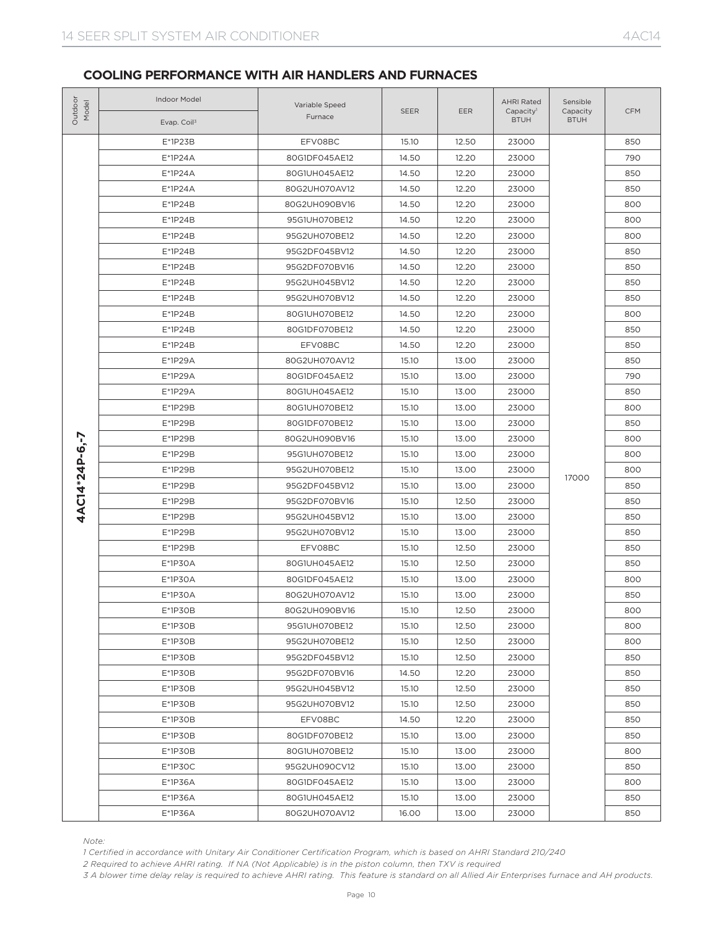| Outdoor<br>Model | Indoor Model<br>Evap. Coil <sup>3</sup>                                                                                                                                                                                                                    | Variable Speed<br>Furnace                                                                                                                                                                                                                                                                                                                                                                                                                                                                                                                                                                                                                                                                                                                                                                                                                                                                                                                                                                                                                                                                                                                                                                                                                                                                                                                                                                                                                                                                                                                                                                                                                                                                                                                                                                                                                                                                                                                                                                                                                                                                                                                                                                                                                                                                                                                                                                                                                                                                                                                    | <b>SEER</b> | EER   | <b>AHRI Rated</b><br>Capacity <sup>1</sup><br><b>BTUH</b> | Sensible<br>Capacity<br><b>BTUH</b> | <b>CFM</b> |
|------------------|------------------------------------------------------------------------------------------------------------------------------------------------------------------------------------------------------------------------------------------------------------|----------------------------------------------------------------------------------------------------------------------------------------------------------------------------------------------------------------------------------------------------------------------------------------------------------------------------------------------------------------------------------------------------------------------------------------------------------------------------------------------------------------------------------------------------------------------------------------------------------------------------------------------------------------------------------------------------------------------------------------------------------------------------------------------------------------------------------------------------------------------------------------------------------------------------------------------------------------------------------------------------------------------------------------------------------------------------------------------------------------------------------------------------------------------------------------------------------------------------------------------------------------------------------------------------------------------------------------------------------------------------------------------------------------------------------------------------------------------------------------------------------------------------------------------------------------------------------------------------------------------------------------------------------------------------------------------------------------------------------------------------------------------------------------------------------------------------------------------------------------------------------------------------------------------------------------------------------------------------------------------------------------------------------------------------------------------------------------------------------------------------------------------------------------------------------------------------------------------------------------------------------------------------------------------------------------------------------------------------------------------------------------------------------------------------------------------------------------------------------------------------------------------------------------------|-------------|-------|-----------------------------------------------------------|-------------------------------------|------------|
|                  | $E*1P23B$                                                                                                                                                                                                                                                  | EFV08BC                                                                                                                                                                                                                                                                                                                                                                                                                                                                                                                                                                                                                                                                                                                                                                                                                                                                                                                                                                                                                                                                                                                                                                                                                                                                                                                                                                                                                                                                                                                                                                                                                                                                                                                                                                                                                                                                                                                                                                                                                                                                                                                                                                                                                                                                                                                                                                                                                                                                                                                                      | 15.10       | 12.50 | 23000                                                     |                                     | 850        |
| 4AC14*24P-6,-7   | $E*1P24A$                                                                                                                                                                                                                                                  | 80G1DF045AE12                                                                                                                                                                                                                                                                                                                                                                                                                                                                                                                                                                                                                                                                                                                                                                                                                                                                                                                                                                                                                                                                                                                                                                                                                                                                                                                                                                                                                                                                                                                                                                                                                                                                                                                                                                                                                                                                                                                                                                                                                                                                                                                                                                                                                                                                                                                                                                                                                                                                                                                                | 14.50       | 12.20 | 23000                                                     |                                     | 790        |
|                  | $E^*1P24A$                                                                                                                                                                                                                                                 | 80G1UH045AE12<br>14.50<br>12.20<br>23000<br>$E^*1P24A$<br>80G2UH070AV12<br>14.50<br>12.20<br>23000<br>14.50<br>12.20<br>$E*1P24B$<br>80G2UH090BV16<br>23000<br>E*1P24B<br>12.20<br>95G1UH070BE12<br>14.50<br>23000<br>95G2UH070BE12<br>14.50<br>12.20<br>23000<br>$E^*$ 1P24B<br>$E*1P24B$<br>95G2DF045BV12<br>14.50<br>12.20<br>23000<br>14.50<br>12.20<br>$E*1P24B$<br>95G2DF070BV16<br>23000<br>$E*1P24B$<br>95G2UH045BV12<br>14.50<br>12.20<br>23000<br>$E*1P24B$<br>95G2UH070BV12<br>14.50<br>12.20<br>23000<br>$E*1P24B$<br>80G1UH070BE12<br>14.50<br>12.20<br>23000<br>E*1P24B<br>80G1DF070BE12<br>14.50<br>12.20<br>23000<br>$E*1P24B$<br>EFV08BC<br>14.50<br>12.20<br>23000<br>E*1P29A<br>80G2UH070AV12<br>15.10<br>13.00<br>23000<br>E*1P29A<br>80G1DF045AE12<br>15.10<br>13.00<br>23000<br>E*1P29A<br>13.00<br>80G1UH045AE12<br>15.10<br>23000<br>E*1P29B<br>80G1UH070BE12<br>15.10<br>13.00<br>23000<br>E*1P29B<br>80G1DF070BE12<br>15.10<br>13.00<br>23000<br>13.00<br>E*1P29B<br>80G2UH090BV16<br>15.10<br>23000<br>E*1P29B<br>95G1UH070BE12<br>15.10<br>13.00<br>23000<br>E*1P29B<br>95G2UH070BE12<br>15.10<br>13.00<br>23000<br>17000<br>E*1P29B<br>95G2DF045BV12<br>15.10<br>13.00<br>23000<br>12.50<br>E*1P29B<br>95G2DF070BV16<br>15.10<br>23000<br>E*1P29B<br>95G2UH045BV12<br>15.10<br>13.00<br>23000<br>E*1P29B<br>95G2UH070BV12<br>15.10<br>13.00<br>23000<br>E*1P29B<br>EFV08BC<br>15.10<br>12.50<br>23000<br>E*1P30A<br>80G1UH045AE12<br>15.10<br>12.50<br>23000<br>E*1P30A<br>80G1DF045AE12<br>15.10<br>13.00<br>23000<br>E*1P30A<br>80G2UH070AV12<br>15.10<br>13.00<br>23000<br>$E*1P3OB$<br>80G2UH090BV16<br>15.10<br>12.50<br>23000<br>$E*1P3OB$<br>12.50<br>23000<br>95G1UH070BE12<br>15.10<br>$E*1P3OB$<br>95G2UH070BE12<br>15.10<br>12.50<br>23000<br>$E*1P3OB$<br>95G2DF045BV12<br>15.10<br>12.50<br>23000<br>14.50<br>12.20<br>$E*1P3OB$<br>95G2DF070BV16<br>23000<br>$E*1P3OB$<br>15.10<br>12.50<br>95G2UH045BV12<br>23000<br>E*1P30B<br>15.10<br>12.50<br>23000<br>95G2UH070BV12<br>E*1P30B<br>EFV08BC<br>14.50<br>12.20<br>23000<br>13.00<br>$E*1P3OB$<br>80G1DF070BE12<br>15.10<br>23000<br>$E*1P3OB$<br>13.00<br>80G1UH070BE12<br>15.10<br>23000<br>E*1P30C<br>95G2UH090CV12<br>15.10<br>13.00<br>23000<br>E*1P36A<br>80G1DF045AE12<br>15.10<br>13.00<br>23000<br>E*1P36A<br>80G1UH045AE12<br>15.10<br>13.00<br>23000<br>E*1P36A<br>80G2UH070AV12<br>16.00<br>13.00<br>23000<br>1 Certified in accordance with Unitary Air Conditioner Certification Program, which is based on AHRI Standard 210/240 |             | 850   |                                                           |                                     |            |
|                  |                                                                                                                                                                                                                                                            |                                                                                                                                                                                                                                                                                                                                                                                                                                                                                                                                                                                                                                                                                                                                                                                                                                                                                                                                                                                                                                                                                                                                                                                                                                                                                                                                                                                                                                                                                                                                                                                                                                                                                                                                                                                                                                                                                                                                                                                                                                                                                                                                                                                                                                                                                                                                                                                                                                                                                                                                              |             | 850   |                                                           |                                     |            |
|                  |                                                                                                                                                                                                                                                            |                                                                                                                                                                                                                                                                                                                                                                                                                                                                                                                                                                                                                                                                                                                                                                                                                                                                                                                                                                                                                                                                                                                                                                                                                                                                                                                                                                                                                                                                                                                                                                                                                                                                                                                                                                                                                                                                                                                                                                                                                                                                                                                                                                                                                                                                                                                                                                                                                                                                                                                                              |             |       |                                                           |                                     | 800        |
|                  |                                                                                                                                                                                                                                                            |                                                                                                                                                                                                                                                                                                                                                                                                                                                                                                                                                                                                                                                                                                                                                                                                                                                                                                                                                                                                                                                                                                                                                                                                                                                                                                                                                                                                                                                                                                                                                                                                                                                                                                                                                                                                                                                                                                                                                                                                                                                                                                                                                                                                                                                                                                                                                                                                                                                                                                                                              |             |       |                                                           |                                     | 800        |
|                  |                                                                                                                                                                                                                                                            |                                                                                                                                                                                                                                                                                                                                                                                                                                                                                                                                                                                                                                                                                                                                                                                                                                                                                                                                                                                                                                                                                                                                                                                                                                                                                                                                                                                                                                                                                                                                                                                                                                                                                                                                                                                                                                                                                                                                                                                                                                                                                                                                                                                                                                                                                                                                                                                                                                                                                                                                              |             |       |                                                           |                                     | 800        |
|                  |                                                                                                                                                                                                                                                            |                                                                                                                                                                                                                                                                                                                                                                                                                                                                                                                                                                                                                                                                                                                                                                                                                                                                                                                                                                                                                                                                                                                                                                                                                                                                                                                                                                                                                                                                                                                                                                                                                                                                                                                                                                                                                                                                                                                                                                                                                                                                                                                                                                                                                                                                                                                                                                                                                                                                                                                                              |             |       |                                                           |                                     | 850        |
|                  |                                                                                                                                                                                                                                                            |                                                                                                                                                                                                                                                                                                                                                                                                                                                                                                                                                                                                                                                                                                                                                                                                                                                                                                                                                                                                                                                                                                                                                                                                                                                                                                                                                                                                                                                                                                                                                                                                                                                                                                                                                                                                                                                                                                                                                                                                                                                                                                                                                                                                                                                                                                                                                                                                                                                                                                                                              |             |       |                                                           |                                     | 850        |
|                  |                                                                                                                                                                                                                                                            |                                                                                                                                                                                                                                                                                                                                                                                                                                                                                                                                                                                                                                                                                                                                                                                                                                                                                                                                                                                                                                                                                                                                                                                                                                                                                                                                                                                                                                                                                                                                                                                                                                                                                                                                                                                                                                                                                                                                                                                                                                                                                                                                                                                                                                                                                                                                                                                                                                                                                                                                              |             |       |                                                           |                                     | 850        |
|                  |                                                                                                                                                                                                                                                            |                                                                                                                                                                                                                                                                                                                                                                                                                                                                                                                                                                                                                                                                                                                                                                                                                                                                                                                                                                                                                                                                                                                                                                                                                                                                                                                                                                                                                                                                                                                                                                                                                                                                                                                                                                                                                                                                                                                                                                                                                                                                                                                                                                                                                                                                                                                                                                                                                                                                                                                                              |             |       |                                                           |                                     | 850        |
|                  |                                                                                                                                                                                                                                                            |                                                                                                                                                                                                                                                                                                                                                                                                                                                                                                                                                                                                                                                                                                                                                                                                                                                                                                                                                                                                                                                                                                                                                                                                                                                                                                                                                                                                                                                                                                                                                                                                                                                                                                                                                                                                                                                                                                                                                                                                                                                                                                                                                                                                                                                                                                                                                                                                                                                                                                                                              |             |       |                                                           |                                     | 800        |
|                  |                                                                                                                                                                                                                                                            |                                                                                                                                                                                                                                                                                                                                                                                                                                                                                                                                                                                                                                                                                                                                                                                                                                                                                                                                                                                                                                                                                                                                                                                                                                                                                                                                                                                                                                                                                                                                                                                                                                                                                                                                                                                                                                                                                                                                                                                                                                                                                                                                                                                                                                                                                                                                                                                                                                                                                                                                              |             |       |                                                           |                                     | 850        |
|                  |                                                                                                                                                                                                                                                            |                                                                                                                                                                                                                                                                                                                                                                                                                                                                                                                                                                                                                                                                                                                                                                                                                                                                                                                                                                                                                                                                                                                                                                                                                                                                                                                                                                                                                                                                                                                                                                                                                                                                                                                                                                                                                                                                                                                                                                                                                                                                                                                                                                                                                                                                                                                                                                                                                                                                                                                                              |             |       |                                                           |                                     | 850        |
|                  |                                                                                                                                                                                                                                                            |                                                                                                                                                                                                                                                                                                                                                                                                                                                                                                                                                                                                                                                                                                                                                                                                                                                                                                                                                                                                                                                                                                                                                                                                                                                                                                                                                                                                                                                                                                                                                                                                                                                                                                                                                                                                                                                                                                                                                                                                                                                                                                                                                                                                                                                                                                                                                                                                                                                                                                                                              |             |       |                                                           |                                     | 850        |
|                  |                                                                                                                                                                                                                                                            |                                                                                                                                                                                                                                                                                                                                                                                                                                                                                                                                                                                                                                                                                                                                                                                                                                                                                                                                                                                                                                                                                                                                                                                                                                                                                                                                                                                                                                                                                                                                                                                                                                                                                                                                                                                                                                                                                                                                                                                                                                                                                                                                                                                                                                                                                                                                                                                                                                                                                                                                              |             |       |                                                           |                                     | 790        |
|                  |                                                                                                                                                                                                                                                            |                                                                                                                                                                                                                                                                                                                                                                                                                                                                                                                                                                                                                                                                                                                                                                                                                                                                                                                                                                                                                                                                                                                                                                                                                                                                                                                                                                                                                                                                                                                                                                                                                                                                                                                                                                                                                                                                                                                                                                                                                                                                                                                                                                                                                                                                                                                                                                                                                                                                                                                                              |             |       |                                                           |                                     | 850        |
|                  |                                                                                                                                                                                                                                                            |                                                                                                                                                                                                                                                                                                                                                                                                                                                                                                                                                                                                                                                                                                                                                                                                                                                                                                                                                                                                                                                                                                                                                                                                                                                                                                                                                                                                                                                                                                                                                                                                                                                                                                                                                                                                                                                                                                                                                                                                                                                                                                                                                                                                                                                                                                                                                                                                                                                                                                                                              |             |       |                                                           |                                     | 800        |
|                  |                                                                                                                                                                                                                                                            |                                                                                                                                                                                                                                                                                                                                                                                                                                                                                                                                                                                                                                                                                                                                                                                                                                                                                                                                                                                                                                                                                                                                                                                                                                                                                                                                                                                                                                                                                                                                                                                                                                                                                                                                                                                                                                                                                                                                                                                                                                                                                                                                                                                                                                                                                                                                                                                                                                                                                                                                              |             |       |                                                           |                                     | 850        |
|                  |                                                                                                                                                                                                                                                            |                                                                                                                                                                                                                                                                                                                                                                                                                                                                                                                                                                                                                                                                                                                                                                                                                                                                                                                                                                                                                                                                                                                                                                                                                                                                                                                                                                                                                                                                                                                                                                                                                                                                                                                                                                                                                                                                                                                                                                                                                                                                                                                                                                                                                                                                                                                                                                                                                                                                                                                                              |             |       |                                                           |                                     | 800        |
|                  |                                                                                                                                                                                                                                                            |                                                                                                                                                                                                                                                                                                                                                                                                                                                                                                                                                                                                                                                                                                                                                                                                                                                                                                                                                                                                                                                                                                                                                                                                                                                                                                                                                                                                                                                                                                                                                                                                                                                                                                                                                                                                                                                                                                                                                                                                                                                                                                                                                                                                                                                                                                                                                                                                                                                                                                                                              |             |       |                                                           |                                     | 800        |
|                  |                                                                                                                                                                                                                                                            |                                                                                                                                                                                                                                                                                                                                                                                                                                                                                                                                                                                                                                                                                                                                                                                                                                                                                                                                                                                                                                                                                                                                                                                                                                                                                                                                                                                                                                                                                                                                                                                                                                                                                                                                                                                                                                                                                                                                                                                                                                                                                                                                                                                                                                                                                                                                                                                                                                                                                                                                              |             |       |                                                           |                                     | 800        |
|                  |                                                                                                                                                                                                                                                            |                                                                                                                                                                                                                                                                                                                                                                                                                                                                                                                                                                                                                                                                                                                                                                                                                                                                                                                                                                                                                                                                                                                                                                                                                                                                                                                                                                                                                                                                                                                                                                                                                                                                                                                                                                                                                                                                                                                                                                                                                                                                                                                                                                                                                                                                                                                                                                                                                                                                                                                                              |             |       |                                                           |                                     | 850        |
|                  |                                                                                                                                                                                                                                                            |                                                                                                                                                                                                                                                                                                                                                                                                                                                                                                                                                                                                                                                                                                                                                                                                                                                                                                                                                                                                                                                                                                                                                                                                                                                                                                                                                                                                                                                                                                                                                                                                                                                                                                                                                                                                                                                                                                                                                                                                                                                                                                                                                                                                                                                                                                                                                                                                                                                                                                                                              |             |       |                                                           |                                     | 850        |
|                  |                                                                                                                                                                                                                                                            |                                                                                                                                                                                                                                                                                                                                                                                                                                                                                                                                                                                                                                                                                                                                                                                                                                                                                                                                                                                                                                                                                                                                                                                                                                                                                                                                                                                                                                                                                                                                                                                                                                                                                                                                                                                                                                                                                                                                                                                                                                                                                                                                                                                                                                                                                                                                                                                                                                                                                                                                              |             |       |                                                           |                                     | 850        |
|                  |                                                                                                                                                                                                                                                            |                                                                                                                                                                                                                                                                                                                                                                                                                                                                                                                                                                                                                                                                                                                                                                                                                                                                                                                                                                                                                                                                                                                                                                                                                                                                                                                                                                                                                                                                                                                                                                                                                                                                                                                                                                                                                                                                                                                                                                                                                                                                                                                                                                                                                                                                                                                                                                                                                                                                                                                                              |             |       |                                                           |                                     | 850        |
|                  |                                                                                                                                                                                                                                                            |                                                                                                                                                                                                                                                                                                                                                                                                                                                                                                                                                                                                                                                                                                                                                                                                                                                                                                                                                                                                                                                                                                                                                                                                                                                                                                                                                                                                                                                                                                                                                                                                                                                                                                                                                                                                                                                                                                                                                                                                                                                                                                                                                                                                                                                                                                                                                                                                                                                                                                                                              |             |       |                                                           |                                     | 850        |
|                  |                                                                                                                                                                                                                                                            |                                                                                                                                                                                                                                                                                                                                                                                                                                                                                                                                                                                                                                                                                                                                                                                                                                                                                                                                                                                                                                                                                                                                                                                                                                                                                                                                                                                                                                                                                                                                                                                                                                                                                                                                                                                                                                                                                                                                                                                                                                                                                                                                                                                                                                                                                                                                                                                                                                                                                                                                              |             |       |                                                           |                                     | 850        |
|                  |                                                                                                                                                                                                                                                            |                                                                                                                                                                                                                                                                                                                                                                                                                                                                                                                                                                                                                                                                                                                                                                                                                                                                                                                                                                                                                                                                                                                                                                                                                                                                                                                                                                                                                                                                                                                                                                                                                                                                                                                                                                                                                                                                                                                                                                                                                                                                                                                                                                                                                                                                                                                                                                                                                                                                                                                                              |             |       |                                                           |                                     | 800        |
|                  |                                                                                                                                                                                                                                                            |                                                                                                                                                                                                                                                                                                                                                                                                                                                                                                                                                                                                                                                                                                                                                                                                                                                                                                                                                                                                                                                                                                                                                                                                                                                                                                                                                                                                                                                                                                                                                                                                                                                                                                                                                                                                                                                                                                                                                                                                                                                                                                                                                                                                                                                                                                                                                                                                                                                                                                                                              |             |       |                                                           |                                     | 850        |
|                  |                                                                                                                                                                                                                                                            |                                                                                                                                                                                                                                                                                                                                                                                                                                                                                                                                                                                                                                                                                                                                                                                                                                                                                                                                                                                                                                                                                                                                                                                                                                                                                                                                                                                                                                                                                                                                                                                                                                                                                                                                                                                                                                                                                                                                                                                                                                                                                                                                                                                                                                                                                                                                                                                                                                                                                                                                              |             |       |                                                           |                                     | 800        |
|                  |                                                                                                                                                                                                                                                            |                                                                                                                                                                                                                                                                                                                                                                                                                                                                                                                                                                                                                                                                                                                                                                                                                                                                                                                                                                                                                                                                                                                                                                                                                                                                                                                                                                                                                                                                                                                                                                                                                                                                                                                                                                                                                                                                                                                                                                                                                                                                                                                                                                                                                                                                                                                                                                                                                                                                                                                                              |             |       |                                                           |                                     | 800        |
|                  |                                                                                                                                                                                                                                                            |                                                                                                                                                                                                                                                                                                                                                                                                                                                                                                                                                                                                                                                                                                                                                                                                                                                                                                                                                                                                                                                                                                                                                                                                                                                                                                                                                                                                                                                                                                                                                                                                                                                                                                                                                                                                                                                                                                                                                                                                                                                                                                                                                                                                                                                                                                                                                                                                                                                                                                                                              |             |       |                                                           |                                     | 800        |
|                  |                                                                                                                                                                                                                                                            |                                                                                                                                                                                                                                                                                                                                                                                                                                                                                                                                                                                                                                                                                                                                                                                                                                                                                                                                                                                                                                                                                                                                                                                                                                                                                                                                                                                                                                                                                                                                                                                                                                                                                                                                                                                                                                                                                                                                                                                                                                                                                                                                                                                                                                                                                                                                                                                                                                                                                                                                              |             |       |                                                           |                                     | 850        |
|                  |                                                                                                                                                                                                                                                            |                                                                                                                                                                                                                                                                                                                                                                                                                                                                                                                                                                                                                                                                                                                                                                                                                                                                                                                                                                                                                                                                                                                                                                                                                                                                                                                                                                                                                                                                                                                                                                                                                                                                                                                                                                                                                                                                                                                                                                                                                                                                                                                                                                                                                                                                                                                                                                                                                                                                                                                                              |             |       |                                                           |                                     | 850        |
|                  |                                                                                                                                                                                                                                                            |                                                                                                                                                                                                                                                                                                                                                                                                                                                                                                                                                                                                                                                                                                                                                                                                                                                                                                                                                                                                                                                                                                                                                                                                                                                                                                                                                                                                                                                                                                                                                                                                                                                                                                                                                                                                                                                                                                                                                                                                                                                                                                                                                                                                                                                                                                                                                                                                                                                                                                                                              |             |       |                                                           |                                     | 850        |
|                  |                                                                                                                                                                                                                                                            |                                                                                                                                                                                                                                                                                                                                                                                                                                                                                                                                                                                                                                                                                                                                                                                                                                                                                                                                                                                                                                                                                                                                                                                                                                                                                                                                                                                                                                                                                                                                                                                                                                                                                                                                                                                                                                                                                                                                                                                                                                                                                                                                                                                                                                                                                                                                                                                                                                                                                                                                              |             |       |                                                           |                                     | 850        |
|                  |                                                                                                                                                                                                                                                            |                                                                                                                                                                                                                                                                                                                                                                                                                                                                                                                                                                                                                                                                                                                                                                                                                                                                                                                                                                                                                                                                                                                                                                                                                                                                                                                                                                                                                                                                                                                                                                                                                                                                                                                                                                                                                                                                                                                                                                                                                                                                                                                                                                                                                                                                                                                                                                                                                                                                                                                                              |             |       |                                                           |                                     | 850        |
|                  |                                                                                                                                                                                                                                                            |                                                                                                                                                                                                                                                                                                                                                                                                                                                                                                                                                                                                                                                                                                                                                                                                                                                                                                                                                                                                                                                                                                                                                                                                                                                                                                                                                                                                                                                                                                                                                                                                                                                                                                                                                                                                                                                                                                                                                                                                                                                                                                                                                                                                                                                                                                                                                                                                                                                                                                                                              |             |       |                                                           |                                     | 850        |
|                  |                                                                                                                                                                                                                                                            |                                                                                                                                                                                                                                                                                                                                                                                                                                                                                                                                                                                                                                                                                                                                                                                                                                                                                                                                                                                                                                                                                                                                                                                                                                                                                                                                                                                                                                                                                                                                                                                                                                                                                                                                                                                                                                                                                                                                                                                                                                                                                                                                                                                                                                                                                                                                                                                                                                                                                                                                              |             |       |                                                           |                                     | 800        |
|                  |                                                                                                                                                                                                                                                            |                                                                                                                                                                                                                                                                                                                                                                                                                                                                                                                                                                                                                                                                                                                                                                                                                                                                                                                                                                                                                                                                                                                                                                                                                                                                                                                                                                                                                                                                                                                                                                                                                                                                                                                                                                                                                                                                                                                                                                                                                                                                                                                                                                                                                                                                                                                                                                                                                                                                                                                                              |             |       |                                                           |                                     | 850        |
|                  |                                                                                                                                                                                                                                                            |                                                                                                                                                                                                                                                                                                                                                                                                                                                                                                                                                                                                                                                                                                                                                                                                                                                                                                                                                                                                                                                                                                                                                                                                                                                                                                                                                                                                                                                                                                                                                                                                                                                                                                                                                                                                                                                                                                                                                                                                                                                                                                                                                                                                                                                                                                                                                                                                                                                                                                                                              |             |       |                                                           |                                     | 800        |
|                  |                                                                                                                                                                                                                                                            |                                                                                                                                                                                                                                                                                                                                                                                                                                                                                                                                                                                                                                                                                                                                                                                                                                                                                                                                                                                                                                                                                                                                                                                                                                                                                                                                                                                                                                                                                                                                                                                                                                                                                                                                                                                                                                                                                                                                                                                                                                                                                                                                                                                                                                                                                                                                                                                                                                                                                                                                              |             |       |                                                           |                                     | 850        |
|                  |                                                                                                                                                                                                                                                            |                                                                                                                                                                                                                                                                                                                                                                                                                                                                                                                                                                                                                                                                                                                                                                                                                                                                                                                                                                                                                                                                                                                                                                                                                                                                                                                                                                                                                                                                                                                                                                                                                                                                                                                                                                                                                                                                                                                                                                                                                                                                                                                                                                                                                                                                                                                                                                                                                                                                                                                                              |             |       |                                                           |                                     | 850        |
| Note:            | 2 Required to achieve AHRI rating. If NA (Not Applicable) is in the piston column, then TXV is required<br>3 A blower time delay relay is required to achieve AHRI rating. This feature is standard on all Allied Air Enterprises furnace and AH products. |                                                                                                                                                                                                                                                                                                                                                                                                                                                                                                                                                                                                                                                                                                                                                                                                                                                                                                                                                                                                                                                                                                                                                                                                                                                                                                                                                                                                                                                                                                                                                                                                                                                                                                                                                                                                                                                                                                                                                                                                                                                                                                                                                                                                                                                                                                                                                                                                                                                                                                                                              |             |       |                                                           |                                     |            |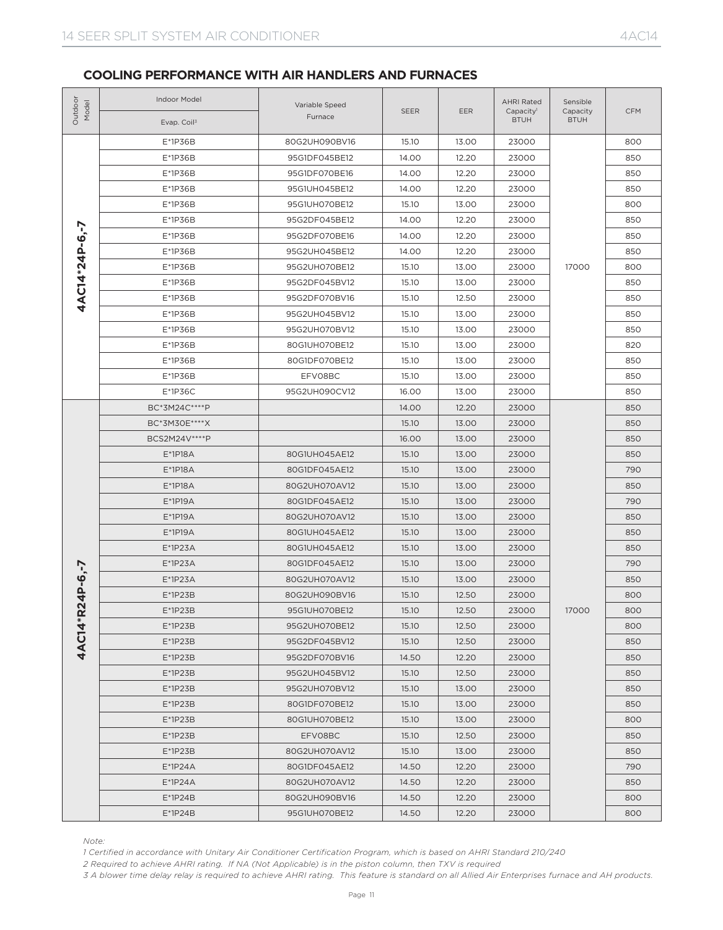| Outdoo<br>Model | Indoor Model<br>Evap. Coil <sup>3</sup>                                                                                                                                                                                                                                                                                                                                             | Variable Speed<br>Furnace | <b>SEER</b> | <b>EER</b> | <b>AHRI Rated</b><br>Capacity <sup>1</sup><br><b>BTUH</b> | Sensible<br>Capacity<br><b>BTUH</b> | <b>CFM</b> |
|-----------------|-------------------------------------------------------------------------------------------------------------------------------------------------------------------------------------------------------------------------------------------------------------------------------------------------------------------------------------------------------------------------------------|---------------------------|-------------|------------|-----------------------------------------------------------|-------------------------------------|------------|
|                 | E*1P36B                                                                                                                                                                                                                                                                                                                                                                             | 80G2UH090BV16             | 15.10       | 13.00      | 23000                                                     |                                     | 800        |
|                 | E*1P36B                                                                                                                                                                                                                                                                                                                                                                             | 95G1DF045BE12             | 14.00       | 12.20      | 23000                                                     |                                     | 850        |
|                 | $E*1P36B$                                                                                                                                                                                                                                                                                                                                                                           | 95G1DF070BE16             | 14.00       | 12.20      | 23000                                                     |                                     | 850        |
|                 | E*1P36B                                                                                                                                                                                                                                                                                                                                                                             | 95G1UH045BE12             | 14.00       | 12.20      | 23000                                                     |                                     | 850        |
|                 | E*1P36B                                                                                                                                                                                                                                                                                                                                                                             | 95G1UH070BE12             | 15.10       | 13.00      | 23000                                                     |                                     | 800        |
|                 | E*1P36B                                                                                                                                                                                                                                                                                                                                                                             | 95G2DF045BE12             | 14.00       | 12.20      | 23000                                                     |                                     | 850        |
|                 | E*1P36B                                                                                                                                                                                                                                                                                                                                                                             | 95G2DF070BE16             | 14.00       | 12.20      | 23000                                                     |                                     | 850        |
|                 | $E*1P36B$                                                                                                                                                                                                                                                                                                                                                                           | 95G2UH045BE12             | 14.00       | 12.20      | 23000                                                     |                                     | 850        |
|                 | E*1P36B                                                                                                                                                                                                                                                                                                                                                                             | 95G2UH070BE12             | 15.10       | 13.00      | 23000                                                     | 17000                               | 800        |
| 4AC14*24P-6,-7  | E*1P36B                                                                                                                                                                                                                                                                                                                                                                             | 95G2DF045BV12             | 15.10       | 13.00      | 23000                                                     |                                     | 850        |
|                 | E*1P36B                                                                                                                                                                                                                                                                                                                                                                             | 95G2DF070BV16             | 15.10       | 12.50      | 23000                                                     |                                     | 850        |
|                 | $E*1P36B$                                                                                                                                                                                                                                                                                                                                                                           | 95G2UH045BV12             | 15.10       | 13.00      | 23000                                                     |                                     | 850        |
|                 | $E*1P36B$                                                                                                                                                                                                                                                                                                                                                                           | 95G2UH070BV12             | 15.10       | 13.00      | 23000                                                     |                                     | 850        |
|                 | E*1P36B                                                                                                                                                                                                                                                                                                                                                                             | 80G1UH070BE12             | 15.10       | 13.00      | 23000                                                     |                                     | 820        |
|                 | E*1P36B                                                                                                                                                                                                                                                                                                                                                                             | 80G1DF070BE12             | 15.10       | 13.00      | 23000                                                     |                                     | 850        |
|                 | E*1P36B                                                                                                                                                                                                                                                                                                                                                                             | EFV08BC                   | 15.10       | 13.00      | 23000                                                     |                                     | 850        |
|                 | $E*1P36C$                                                                                                                                                                                                                                                                                                                                                                           | 95G2UH090CV12             | 16.00       | 13.00      | 23000                                                     |                                     | 850        |
|                 | BC*3M24C****P                                                                                                                                                                                                                                                                                                                                                                       |                           | 14.00       | 12.20      | 23000                                                     |                                     | 850        |
|                 | BC*3M30E****X                                                                                                                                                                                                                                                                                                                                                                       |                           | 15.10       | 13.00      | 23000                                                     |                                     | 850        |
|                 | BCS2M24V****P                                                                                                                                                                                                                                                                                                                                                                       |                           | 16.00       | 13.00      | 23000                                                     |                                     | 850        |
|                 | E*1P18A                                                                                                                                                                                                                                                                                                                                                                             | 80G1UH045AE12             | 15.10       | 13.00      | 23000                                                     |                                     | 850        |
|                 | E*1P18A                                                                                                                                                                                                                                                                                                                                                                             | 80G1DF045AE12             | 15.10       | 13.00      | 23000                                                     |                                     | 790        |
|                 | E*1P18A                                                                                                                                                                                                                                                                                                                                                                             | 80G2UH070AV12             | 15.10       | 13.00      | 23000                                                     |                                     | 850        |
|                 | $E*1P19A$                                                                                                                                                                                                                                                                                                                                                                           | 80G1DF045AE12             | 15.10       | 13.00      | 23000                                                     |                                     | 790        |
|                 | $E*1P19A$                                                                                                                                                                                                                                                                                                                                                                           | 80G2UH070AV12             | 15.10       | 13.00      | 23000                                                     |                                     | 850        |
|                 | $E*1P19A$                                                                                                                                                                                                                                                                                                                                                                           | 80G1UH045AE12             | 15.10       | 13.00      | 23000                                                     |                                     | 850        |
|                 | $E*1P23A$                                                                                                                                                                                                                                                                                                                                                                           | 80G1UH045AE12             | 15.10       | 13.00      | 23000                                                     |                                     | 850        |
|                 | $E*1P23A$                                                                                                                                                                                                                                                                                                                                                                           | 80G1DF045AE12             | 15.10       | 13.00      | 23000                                                     |                                     | 790        |
| $P - 6, -7$     | $E*1P23A$                                                                                                                                                                                                                                                                                                                                                                           | 80G2UH070AV12             | 15.10       | 13.00      | 23000                                                     |                                     | 850        |
| 4               | $E*1P23B$                                                                                                                                                                                                                                                                                                                                                                           | 80G2UH090BV16             | 15.10       | 12.50      | 23000                                                     |                                     | 800        |
|                 | $E*1P23B$                                                                                                                                                                                                                                                                                                                                                                           | 95G1UH070BE12             | 15.10       | 12.50      | 23000                                                     | 17000                               | 800        |
| 4AC14*R2        | $E*1P23B$                                                                                                                                                                                                                                                                                                                                                                           | 95G2UH070BE12             | 15.10       | 12.50      | 23000                                                     |                                     | 800        |
|                 | $E*1P23B$                                                                                                                                                                                                                                                                                                                                                                           | 95G2DF045BV12             | 15.10       | 12.50      | 23000                                                     |                                     | 850        |
|                 | $E*1P23B$                                                                                                                                                                                                                                                                                                                                                                           | 95G2DF070BV16             | 14.50       | 12.20      | 23000                                                     |                                     | 850        |
|                 | $E*1P23B$                                                                                                                                                                                                                                                                                                                                                                           | 95G2UH045BV12             | 15.10       | 12.50      | 23000                                                     |                                     | 850        |
|                 | $E*1P23B$                                                                                                                                                                                                                                                                                                                                                                           | 95G2UH070BV12             | 15.10       | 13.00      | 23000                                                     |                                     | 850        |
|                 | $E*1P23B$                                                                                                                                                                                                                                                                                                                                                                           | 80G1DF070BE12             | 15.10       | 13.00      | 23000                                                     |                                     | 850        |
|                 | $E*1P23B$                                                                                                                                                                                                                                                                                                                                                                           | 80G1UH070BE12             | 15.10       | 13.00      | 23000                                                     |                                     | 800        |
|                 | $E*1P23B$                                                                                                                                                                                                                                                                                                                                                                           | EFV08BC                   | 15.10       | 12.50      | 23000                                                     |                                     | 850        |
|                 | $E*1P23B$                                                                                                                                                                                                                                                                                                                                                                           | 80G2UH070AV12             | 15.10       | 13.00      | 23000                                                     |                                     | 850        |
|                 | $E^*1P24A$                                                                                                                                                                                                                                                                                                                                                                          | 80G1DF045AE12             | 14.50       | 12.20      | 23000                                                     |                                     | 790        |
|                 | $E^*$ 1P24A                                                                                                                                                                                                                                                                                                                                                                         | 80G2UH070AV12             | 14.50       | 12.20      | 23000                                                     |                                     | 850        |
|                 | $E^*$ 1P24B                                                                                                                                                                                                                                                                                                                                                                         | 80G2UH090BV16             | 14.50       | 12.20      | 23000                                                     |                                     | 800        |
|                 | $E*1P24B$                                                                                                                                                                                                                                                                                                                                                                           | 95G1UH070BE12             | 14.50       | 12.20      | 23000                                                     |                                     | 800        |
| Note:           | 1 Certified in accordance with Unitary Air Conditioner Certification Program, which is based on AHRI Standard 210/240<br>2 Required to achieve AHRI rating. If NA (Not Applicable) is in the piston column, then TXV is required<br>3 A blower time delay relay is required to achieve AHRI rating. This feature is standard on all Allied Air Enterprises furnace and AH products. |                           |             |            |                                                           |                                     |            |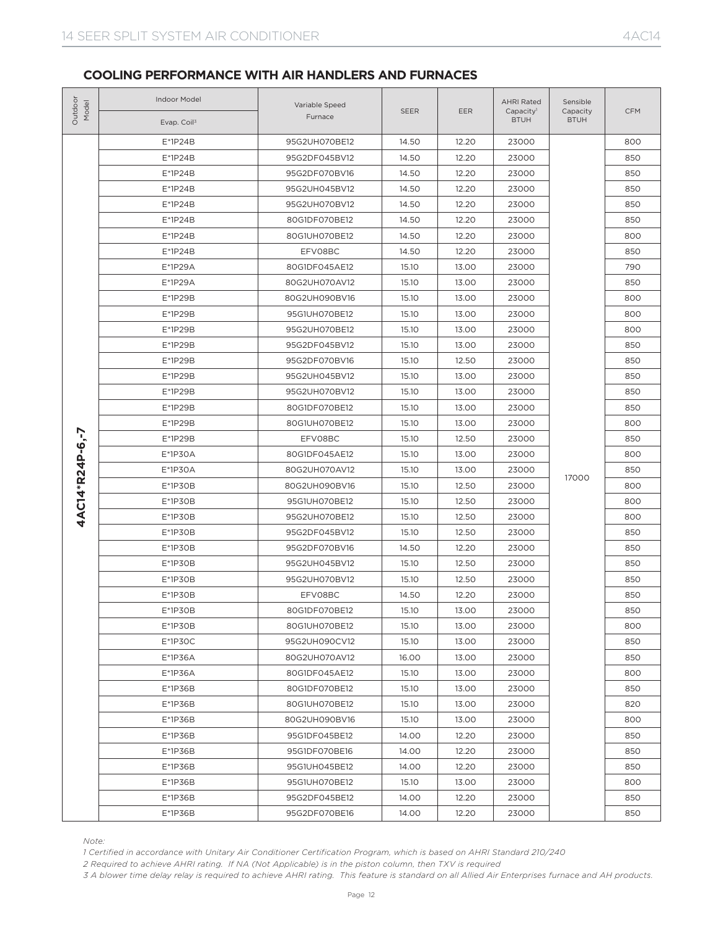| Outdoor<br>Model | Indoor Model<br>Evap. Coil <sup>3</sup>                                                                                                         | Variable Speed<br>Furnace                                                                                                                                                                                                                                                                                                                                                                                                                                                                                                                                                                                                                                                                                                                                                                                                                                                                                                                                                                                                                                                                                                                                                                                                                                                                                                                                                                                                                                                                                                                                                                                                                                                                                                                                                                                                 | <b>SEER</b>                                                                                                                                                                                                                                                                                                                                                                                                                                                                                                                                                                                                                                                                                                                                                                                                                         | <b>EER</b> | <b>AHRI Rated</b><br>Capacity <sup>1</sup><br><b>BTUH</b> | Sensible<br>Capacity<br><b>BTUH</b> | <b>CFM</b> |
|------------------|-------------------------------------------------------------------------------------------------------------------------------------------------|---------------------------------------------------------------------------------------------------------------------------------------------------------------------------------------------------------------------------------------------------------------------------------------------------------------------------------------------------------------------------------------------------------------------------------------------------------------------------------------------------------------------------------------------------------------------------------------------------------------------------------------------------------------------------------------------------------------------------------------------------------------------------------------------------------------------------------------------------------------------------------------------------------------------------------------------------------------------------------------------------------------------------------------------------------------------------------------------------------------------------------------------------------------------------------------------------------------------------------------------------------------------------------------------------------------------------------------------------------------------------------------------------------------------------------------------------------------------------------------------------------------------------------------------------------------------------------------------------------------------------------------------------------------------------------------------------------------------------------------------------------------------------------------------------------------------------|-------------------------------------------------------------------------------------------------------------------------------------------------------------------------------------------------------------------------------------------------------------------------------------------------------------------------------------------------------------------------------------------------------------------------------------------------------------------------------------------------------------------------------------------------------------------------------------------------------------------------------------------------------------------------------------------------------------------------------------------------------------------------------------------------------------------------------------|------------|-----------------------------------------------------------|-------------------------------------|------------|
|                  | $E*1P24B$                                                                                                                                       | 95G2UH070BE12                                                                                                                                                                                                                                                                                                                                                                                                                                                                                                                                                                                                                                                                                                                                                                                                                                                                                                                                                                                                                                                                                                                                                                                                                                                                                                                                                                                                                                                                                                                                                                                                                                                                                                                                                                                                             | 14.50                                                                                                                                                                                                                                                                                                                                                                                                                                                                                                                                                                                                                                                                                                                                                                                                                               | 12.20      | 23000                                                     |                                     | 800        |
|                  | E*1P24B                                                                                                                                         | 95G2DF045BV12                                                                                                                                                                                                                                                                                                                                                                                                                                                                                                                                                                                                                                                                                                                                                                                                                                                                                                                                                                                                                                                                                                                                                                                                                                                                                                                                                                                                                                                                                                                                                                                                                                                                                                                                                                                                             | 14.50<br>12.20<br>14.50<br>12.20<br>14.50<br>12.20<br>12.20<br>14.50<br>14.50<br>12.20<br>14.50<br>12.20<br>EFV08BC<br>14.50<br>12.20<br>15.10<br>13.00<br>15.10<br>13.00<br>15.10<br>13.00<br>15.10<br>13.00<br>13.00<br>15.10<br>15.10<br>13.00<br>15.10<br>12.50<br>15.10<br>13.00<br>15.10<br>13.00<br>15.10<br>13.00<br>15.10<br>13.00<br>12.50<br>EFV08BC<br>15.10<br>15.10<br>13.00<br>15.10<br>13.00<br>15.10<br>12.50<br>12.50<br>15.10<br>15.10<br>12.50<br>12.50<br>15.10<br>14.50<br>12.20<br>15.10<br>12.50<br>15.10<br>12.50<br>EFV08BC<br>14.50<br>12.20<br>15.10<br>13.00<br>15.10<br>13.00<br>15.10<br>13.00<br>16.00<br>13.00<br>13.00<br>15.10<br>13.00<br>15.10<br>15.10<br>13.00<br>15.10<br>13.00<br>12.20<br>14.00<br>14.00<br>12.20<br>14.00<br>12.20<br>15.10<br>13.00<br>12.20<br>14.00<br>14.00<br>12.20 |            | 23000                                                     |                                     | 850        |
|                  | E*1P24B                                                                                                                                         | 95G2DF070BV16<br>23000<br>$E*1P24B$<br>95G2UH045BV12<br>23000<br>$E*1P24B$<br>95G2UH070BV12<br>23000<br>E*1P24B<br>80G1DF070BE12<br>23000<br>$E*1P24B$<br>80G1UH070BE12<br>23000<br>$E*1P24B$<br>23000<br>E*1P29A<br>80G1DF045AE12<br>23000<br>E*1P29A<br>80G2UH070AV12<br>23000<br>E*1P29B<br>23000<br>80G2UH090BV16<br>E*1P29B<br>95G1UH070BE12<br>23000<br>E*1P29B<br>95G2UH070BE12<br>23000<br>E*1P29B<br>95G2DF045BV12<br>23000<br>E*1P29B<br>95G2DF070BV16<br>23000<br>E*1P29B<br>95G2UH045BV12<br>23000<br>E*1P29B<br>95G2UH070BV12<br>23000<br>E*1P29B<br>80G1DF070BE12<br>23000<br>E*1P29B<br>80G1UH070BE12<br>23000<br>E*1P29B<br>23000<br>E*1P30A<br>80G1DF045AE12<br>23000<br>E*1P30A<br>80G2UH070AV12<br>23000<br>17000<br>E*1P30B<br>23000<br>80G2UH090BV16<br>E*1P30B<br>95G1UH070BE12<br>23000<br>$E*1P3OB$<br>95G2UH070BE12<br>23000<br>$E*1P3OB$<br>95G2DF045BV12<br>23000<br>$E*1P3OB$<br>95G2DF070BV16<br>23000<br>$E*1P3OB$<br>95G2UH045BV12<br>23000<br>E*1P30B<br>95G2UH070BV12<br>23000<br>E*1P30B<br>23000<br>$E*1P3OB$<br>80G1DF070BE12<br>23000<br>$E*1P3OB$<br>80G1UH070BE12<br>23000<br>E*1P30C<br>95G2UH090CV12<br>23000<br>E*1P36A<br>80G2UH070AV12<br>23000<br>E*1P36A<br>80G1DF045AE12<br>23000<br>$E*1P36B$<br>80G1DF070BE12<br>23000<br>E*1P36B<br>80G1UH070BE12<br>23000<br>E*1P36B<br>80G2UH090BV16<br>23000<br>E*1P36B<br>95G1DF045BE12<br>23000<br>E*1P36B<br>95G1DF070BE16<br>23000<br>$E*1P36B$<br>95G1UH045BE12<br>23000<br>$E*1P36B$<br>95G1UH070BE12<br>23000<br>E*1P36B<br>95G2DF045BE12<br>23000<br>$E*1P36B$<br>95G2DF070BE16<br>23000<br>1 Certified in accordance with Unitary Air Conditioner Certification Program, which is based on AHRI Standard 210/240<br>2 Required to achieve AHRI rating. If NA (Not Applicable) is in the piston column, then TXV is required |                                                                                                                                                                                                                                                                                                                                                                                                                                                                                                                                                                                                                                                                                                                                                                                                                                     | 850        |                                                           |                                     |            |
|                  |                                                                                                                                                 |                                                                                                                                                                                                                                                                                                                                                                                                                                                                                                                                                                                                                                                                                                                                                                                                                                                                                                                                                                                                                                                                                                                                                                                                                                                                                                                                                                                                                                                                                                                                                                                                                                                                                                                                                                                                                           |                                                                                                                                                                                                                                                                                                                                                                                                                                                                                                                                                                                                                                                                                                                                                                                                                                     | 850        |                                                           |                                     |            |
|                  |                                                                                                                                                 |                                                                                                                                                                                                                                                                                                                                                                                                                                                                                                                                                                                                                                                                                                                                                                                                                                                                                                                                                                                                                                                                                                                                                                                                                                                                                                                                                                                                                                                                                                                                                                                                                                                                                                                                                                                                                           |                                                                                                                                                                                                                                                                                                                                                                                                                                                                                                                                                                                                                                                                                                                                                                                                                                     |            |                                                           |                                     | 850        |
|                  |                                                                                                                                                 |                                                                                                                                                                                                                                                                                                                                                                                                                                                                                                                                                                                                                                                                                                                                                                                                                                                                                                                                                                                                                                                                                                                                                                                                                                                                                                                                                                                                                                                                                                                                                                                                                                                                                                                                                                                                                           |                                                                                                                                                                                                                                                                                                                                                                                                                                                                                                                                                                                                                                                                                                                                                                                                                                     |            |                                                           |                                     | 850        |
|                  |                                                                                                                                                 |                                                                                                                                                                                                                                                                                                                                                                                                                                                                                                                                                                                                                                                                                                                                                                                                                                                                                                                                                                                                                                                                                                                                                                                                                                                                                                                                                                                                                                                                                                                                                                                                                                                                                                                                                                                                                           |                                                                                                                                                                                                                                                                                                                                                                                                                                                                                                                                                                                                                                                                                                                                                                                                                                     |            |                                                           |                                     | 800        |
|                  |                                                                                                                                                 |                                                                                                                                                                                                                                                                                                                                                                                                                                                                                                                                                                                                                                                                                                                                                                                                                                                                                                                                                                                                                                                                                                                                                                                                                                                                                                                                                                                                                                                                                                                                                                                                                                                                                                                                                                                                                           |                                                                                                                                                                                                                                                                                                                                                                                                                                                                                                                                                                                                                                                                                                                                                                                                                                     |            |                                                           |                                     | 850        |
|                  |                                                                                                                                                 |                                                                                                                                                                                                                                                                                                                                                                                                                                                                                                                                                                                                                                                                                                                                                                                                                                                                                                                                                                                                                                                                                                                                                                                                                                                                                                                                                                                                                                                                                                                                                                                                                                                                                                                                                                                                                           |                                                                                                                                                                                                                                                                                                                                                                                                                                                                                                                                                                                                                                                                                                                                                                                                                                     |            |                                                           |                                     | 790        |
|                  |                                                                                                                                                 |                                                                                                                                                                                                                                                                                                                                                                                                                                                                                                                                                                                                                                                                                                                                                                                                                                                                                                                                                                                                                                                                                                                                                                                                                                                                                                                                                                                                                                                                                                                                                                                                                                                                                                                                                                                                                           |                                                                                                                                                                                                                                                                                                                                                                                                                                                                                                                                                                                                                                                                                                                                                                                                                                     |            |                                                           |                                     | 850        |
|                  |                                                                                                                                                 |                                                                                                                                                                                                                                                                                                                                                                                                                                                                                                                                                                                                                                                                                                                                                                                                                                                                                                                                                                                                                                                                                                                                                                                                                                                                                                                                                                                                                                                                                                                                                                                                                                                                                                                                                                                                                           |                                                                                                                                                                                                                                                                                                                                                                                                                                                                                                                                                                                                                                                                                                                                                                                                                                     |            |                                                           |                                     | 800        |
|                  |                                                                                                                                                 |                                                                                                                                                                                                                                                                                                                                                                                                                                                                                                                                                                                                                                                                                                                                                                                                                                                                                                                                                                                                                                                                                                                                                                                                                                                                                                                                                                                                                                                                                                                                                                                                                                                                                                                                                                                                                           |                                                                                                                                                                                                                                                                                                                                                                                                                                                                                                                                                                                                                                                                                                                                                                                                                                     |            |                                                           |                                     | 800        |
|                  |                                                                                                                                                 |                                                                                                                                                                                                                                                                                                                                                                                                                                                                                                                                                                                                                                                                                                                                                                                                                                                                                                                                                                                                                                                                                                                                                                                                                                                                                                                                                                                                                                                                                                                                                                                                                                                                                                                                                                                                                           |                                                                                                                                                                                                                                                                                                                                                                                                                                                                                                                                                                                                                                                                                                                                                                                                                                     |            |                                                           |                                     | 800        |
|                  |                                                                                                                                                 |                                                                                                                                                                                                                                                                                                                                                                                                                                                                                                                                                                                                                                                                                                                                                                                                                                                                                                                                                                                                                                                                                                                                                                                                                                                                                                                                                                                                                                                                                                                                                                                                                                                                                                                                                                                                                           |                                                                                                                                                                                                                                                                                                                                                                                                                                                                                                                                                                                                                                                                                                                                                                                                                                     |            |                                                           |                                     | 850        |
|                  |                                                                                                                                                 |                                                                                                                                                                                                                                                                                                                                                                                                                                                                                                                                                                                                                                                                                                                                                                                                                                                                                                                                                                                                                                                                                                                                                                                                                                                                                                                                                                                                                                                                                                                                                                                                                                                                                                                                                                                                                           |                                                                                                                                                                                                                                                                                                                                                                                                                                                                                                                                                                                                                                                                                                                                                                                                                                     |            |                                                           |                                     | 850        |
|                  |                                                                                                                                                 |                                                                                                                                                                                                                                                                                                                                                                                                                                                                                                                                                                                                                                                                                                                                                                                                                                                                                                                                                                                                                                                                                                                                                                                                                                                                                                                                                                                                                                                                                                                                                                                                                                                                                                                                                                                                                           |                                                                                                                                                                                                                                                                                                                                                                                                                                                                                                                                                                                                                                                                                                                                                                                                                                     |            |                                                           |                                     | 850        |
|                  |                                                                                                                                                 |                                                                                                                                                                                                                                                                                                                                                                                                                                                                                                                                                                                                                                                                                                                                                                                                                                                                                                                                                                                                                                                                                                                                                                                                                                                                                                                                                                                                                                                                                                                                                                                                                                                                                                                                                                                                                           |                                                                                                                                                                                                                                                                                                                                                                                                                                                                                                                                                                                                                                                                                                                                                                                                                                     |            |                                                           |                                     | 850        |
|                  |                                                                                                                                                 |                                                                                                                                                                                                                                                                                                                                                                                                                                                                                                                                                                                                                                                                                                                                                                                                                                                                                                                                                                                                                                                                                                                                                                                                                                                                                                                                                                                                                                                                                                                                                                                                                                                                                                                                                                                                                           |                                                                                                                                                                                                                                                                                                                                                                                                                                                                                                                                                                                                                                                                                                                                                                                                                                     |            |                                                           |                                     | 850        |
|                  |                                                                                                                                                 |                                                                                                                                                                                                                                                                                                                                                                                                                                                                                                                                                                                                                                                                                                                                                                                                                                                                                                                                                                                                                                                                                                                                                                                                                                                                                                                                                                                                                                                                                                                                                                                                                                                                                                                                                                                                                           |                                                                                                                                                                                                                                                                                                                                                                                                                                                                                                                                                                                                                                                                                                                                                                                                                                     |            |                                                           |                                     | 800        |
|                  |                                                                                                                                                 |                                                                                                                                                                                                                                                                                                                                                                                                                                                                                                                                                                                                                                                                                                                                                                                                                                                                                                                                                                                                                                                                                                                                                                                                                                                                                                                                                                                                                                                                                                                                                                                                                                                                                                                                                                                                                           |                                                                                                                                                                                                                                                                                                                                                                                                                                                                                                                                                                                                                                                                                                                                                                                                                                     |            |                                                           |                                     | 850        |
|                  |                                                                                                                                                 |                                                                                                                                                                                                                                                                                                                                                                                                                                                                                                                                                                                                                                                                                                                                                                                                                                                                                                                                                                                                                                                                                                                                                                                                                                                                                                                                                                                                                                                                                                                                                                                                                                                                                                                                                                                                                           |                                                                                                                                                                                                                                                                                                                                                                                                                                                                                                                                                                                                                                                                                                                                                                                                                                     |            |                                                           |                                     | 800        |
|                  |                                                                                                                                                 |                                                                                                                                                                                                                                                                                                                                                                                                                                                                                                                                                                                                                                                                                                                                                                                                                                                                                                                                                                                                                                                                                                                                                                                                                                                                                                                                                                                                                                                                                                                                                                                                                                                                                                                                                                                                                           |                                                                                                                                                                                                                                                                                                                                                                                                                                                                                                                                                                                                                                                                                                                                                                                                                                     |            |                                                           |                                     | 850        |
| 4AC14*R24P-6,-7  |                                                                                                                                                 |                                                                                                                                                                                                                                                                                                                                                                                                                                                                                                                                                                                                                                                                                                                                                                                                                                                                                                                                                                                                                                                                                                                                                                                                                                                                                                                                                                                                                                                                                                                                                                                                                                                                                                                                                                                                                           |                                                                                                                                                                                                                                                                                                                                                                                                                                                                                                                                                                                                                                                                                                                                                                                                                                     |            |                                                           |                                     | 800        |
|                  |                                                                                                                                                 |                                                                                                                                                                                                                                                                                                                                                                                                                                                                                                                                                                                                                                                                                                                                                                                                                                                                                                                                                                                                                                                                                                                                                                                                                                                                                                                                                                                                                                                                                                                                                                                                                                                                                                                                                                                                                           |                                                                                                                                                                                                                                                                                                                                                                                                                                                                                                                                                                                                                                                                                                                                                                                                                                     |            |                                                           |                                     | 800        |
|                  |                                                                                                                                                 |                                                                                                                                                                                                                                                                                                                                                                                                                                                                                                                                                                                                                                                                                                                                                                                                                                                                                                                                                                                                                                                                                                                                                                                                                                                                                                                                                                                                                                                                                                                                                                                                                                                                                                                                                                                                                           |                                                                                                                                                                                                                                                                                                                                                                                                                                                                                                                                                                                                                                                                                                                                                                                                                                     |            |                                                           |                                     | 800        |
|                  |                                                                                                                                                 |                                                                                                                                                                                                                                                                                                                                                                                                                                                                                                                                                                                                                                                                                                                                                                                                                                                                                                                                                                                                                                                                                                                                                                                                                                                                                                                                                                                                                                                                                                                                                                                                                                                                                                                                                                                                                           |                                                                                                                                                                                                                                                                                                                                                                                                                                                                                                                                                                                                                                                                                                                                                                                                                                     |            |                                                           |                                     | 850        |
|                  |                                                                                                                                                 |                                                                                                                                                                                                                                                                                                                                                                                                                                                                                                                                                                                                                                                                                                                                                                                                                                                                                                                                                                                                                                                                                                                                                                                                                                                                                                                                                                                                                                                                                                                                                                                                                                                                                                                                                                                                                           |                                                                                                                                                                                                                                                                                                                                                                                                                                                                                                                                                                                                                                                                                                                                                                                                                                     |            |                                                           |                                     | 850        |
|                  |                                                                                                                                                 |                                                                                                                                                                                                                                                                                                                                                                                                                                                                                                                                                                                                                                                                                                                                                                                                                                                                                                                                                                                                                                                                                                                                                                                                                                                                                                                                                                                                                                                                                                                                                                                                                                                                                                                                                                                                                           |                                                                                                                                                                                                                                                                                                                                                                                                                                                                                                                                                                                                                                                                                                                                                                                                                                     |            |                                                           |                                     | 850        |
|                  |                                                                                                                                                 |                                                                                                                                                                                                                                                                                                                                                                                                                                                                                                                                                                                                                                                                                                                                                                                                                                                                                                                                                                                                                                                                                                                                                                                                                                                                                                                                                                                                                                                                                                                                                                                                                                                                                                                                                                                                                           |                                                                                                                                                                                                                                                                                                                                                                                                                                                                                                                                                                                                                                                                                                                                                                                                                                     |            |                                                           |                                     | 850        |
|                  |                                                                                                                                                 |                                                                                                                                                                                                                                                                                                                                                                                                                                                                                                                                                                                                                                                                                                                                                                                                                                                                                                                                                                                                                                                                                                                                                                                                                                                                                                                                                                                                                                                                                                                                                                                                                                                                                                                                                                                                                           |                                                                                                                                                                                                                                                                                                                                                                                                                                                                                                                                                                                                                                                                                                                                                                                                                                     |            |                                                           |                                     | 850        |
|                  |                                                                                                                                                 |                                                                                                                                                                                                                                                                                                                                                                                                                                                                                                                                                                                                                                                                                                                                                                                                                                                                                                                                                                                                                                                                                                                                                                                                                                                                                                                                                                                                                                                                                                                                                                                                                                                                                                                                                                                                                           |                                                                                                                                                                                                                                                                                                                                                                                                                                                                                                                                                                                                                                                                                                                                                                                                                                     |            |                                                           |                                     | 850        |
|                  |                                                                                                                                                 |                                                                                                                                                                                                                                                                                                                                                                                                                                                                                                                                                                                                                                                                                                                                                                                                                                                                                                                                                                                                                                                                                                                                                                                                                                                                                                                                                                                                                                                                                                                                                                                                                                                                                                                                                                                                                           |                                                                                                                                                                                                                                                                                                                                                                                                                                                                                                                                                                                                                                                                                                                                                                                                                                     |            |                                                           |                                     | 800        |
|                  |                                                                                                                                                 |                                                                                                                                                                                                                                                                                                                                                                                                                                                                                                                                                                                                                                                                                                                                                                                                                                                                                                                                                                                                                                                                                                                                                                                                                                                                                                                                                                                                                                                                                                                                                                                                                                                                                                                                                                                                                           |                                                                                                                                                                                                                                                                                                                                                                                                                                                                                                                                                                                                                                                                                                                                                                                                                                     |            |                                                           |                                     | 850        |
|                  |                                                                                                                                                 |                                                                                                                                                                                                                                                                                                                                                                                                                                                                                                                                                                                                                                                                                                                                                                                                                                                                                                                                                                                                                                                                                                                                                                                                                                                                                                                                                                                                                                                                                                                                                                                                                                                                                                                                                                                                                           |                                                                                                                                                                                                                                                                                                                                                                                                                                                                                                                                                                                                                                                                                                                                                                                                                                     |            |                                                           |                                     | 850        |
|                  |                                                                                                                                                 |                                                                                                                                                                                                                                                                                                                                                                                                                                                                                                                                                                                                                                                                                                                                                                                                                                                                                                                                                                                                                                                                                                                                                                                                                                                                                                                                                                                                                                                                                                                                                                                                                                                                                                                                                                                                                           |                                                                                                                                                                                                                                                                                                                                                                                                                                                                                                                                                                                                                                                                                                                                                                                                                                     |            |                                                           |                                     | 800        |
|                  |                                                                                                                                                 |                                                                                                                                                                                                                                                                                                                                                                                                                                                                                                                                                                                                                                                                                                                                                                                                                                                                                                                                                                                                                                                                                                                                                                                                                                                                                                                                                                                                                                                                                                                                                                                                                                                                                                                                                                                                                           |                                                                                                                                                                                                                                                                                                                                                                                                                                                                                                                                                                                                                                                                                                                                                                                                                                     |            |                                                           |                                     | 850        |
|                  |                                                                                                                                                 |                                                                                                                                                                                                                                                                                                                                                                                                                                                                                                                                                                                                                                                                                                                                                                                                                                                                                                                                                                                                                                                                                                                                                                                                                                                                                                                                                                                                                                                                                                                                                                                                                                                                                                                                                                                                                           |                                                                                                                                                                                                                                                                                                                                                                                                                                                                                                                                                                                                                                                                                                                                                                                                                                     |            |                                                           |                                     | 820        |
|                  |                                                                                                                                                 |                                                                                                                                                                                                                                                                                                                                                                                                                                                                                                                                                                                                                                                                                                                                                                                                                                                                                                                                                                                                                                                                                                                                                                                                                                                                                                                                                                                                                                                                                                                                                                                                                                                                                                                                                                                                                           |                                                                                                                                                                                                                                                                                                                                                                                                                                                                                                                                                                                                                                                                                                                                                                                                                                     |            |                                                           |                                     | 800        |
|                  |                                                                                                                                                 |                                                                                                                                                                                                                                                                                                                                                                                                                                                                                                                                                                                                                                                                                                                                                                                                                                                                                                                                                                                                                                                                                                                                                                                                                                                                                                                                                                                                                                                                                                                                                                                                                                                                                                                                                                                                                           |                                                                                                                                                                                                                                                                                                                                                                                                                                                                                                                                                                                                                                                                                                                                                                                                                                     |            |                                                           |                                     | 850        |
|                  |                                                                                                                                                 |                                                                                                                                                                                                                                                                                                                                                                                                                                                                                                                                                                                                                                                                                                                                                                                                                                                                                                                                                                                                                                                                                                                                                                                                                                                                                                                                                                                                                                                                                                                                                                                                                                                                                                                                                                                                                           |                                                                                                                                                                                                                                                                                                                                                                                                                                                                                                                                                                                                                                                                                                                                                                                                                                     |            |                                                           |                                     | 850        |
|                  |                                                                                                                                                 |                                                                                                                                                                                                                                                                                                                                                                                                                                                                                                                                                                                                                                                                                                                                                                                                                                                                                                                                                                                                                                                                                                                                                                                                                                                                                                                                                                                                                                                                                                                                                                                                                                                                                                                                                                                                                           |                                                                                                                                                                                                                                                                                                                                                                                                                                                                                                                                                                                                                                                                                                                                                                                                                                     |            |                                                           |                                     | 850        |
|                  |                                                                                                                                                 |                                                                                                                                                                                                                                                                                                                                                                                                                                                                                                                                                                                                                                                                                                                                                                                                                                                                                                                                                                                                                                                                                                                                                                                                                                                                                                                                                                                                                                                                                                                                                                                                                                                                                                                                                                                                                           |                                                                                                                                                                                                                                                                                                                                                                                                                                                                                                                                                                                                                                                                                                                                                                                                                                     |            |                                                           |                                     | 800        |
|                  |                                                                                                                                                 |                                                                                                                                                                                                                                                                                                                                                                                                                                                                                                                                                                                                                                                                                                                                                                                                                                                                                                                                                                                                                                                                                                                                                                                                                                                                                                                                                                                                                                                                                                                                                                                                                                                                                                                                                                                                                           |                                                                                                                                                                                                                                                                                                                                                                                                                                                                                                                                                                                                                                                                                                                                                                                                                                     |            |                                                           |                                     | 850        |
|                  |                                                                                                                                                 |                                                                                                                                                                                                                                                                                                                                                                                                                                                                                                                                                                                                                                                                                                                                                                                                                                                                                                                                                                                                                                                                                                                                                                                                                                                                                                                                                                                                                                                                                                                                                                                                                                                                                                                                                                                                                           |                                                                                                                                                                                                                                                                                                                                                                                                                                                                                                                                                                                                                                                                                                                                                                                                                                     |            |                                                           |                                     | 850        |
| Note:            | 3 A blower time delay relay is required to achieve AHRI rating. This feature is standard on all Allied Air Enterprises furnace and AH products. |                                                                                                                                                                                                                                                                                                                                                                                                                                                                                                                                                                                                                                                                                                                                                                                                                                                                                                                                                                                                                                                                                                                                                                                                                                                                                                                                                                                                                                                                                                                                                                                                                                                                                                                                                                                                                           |                                                                                                                                                                                                                                                                                                                                                                                                                                                                                                                                                                                                                                                                                                                                                                                                                                     |            |                                                           |                                     |            |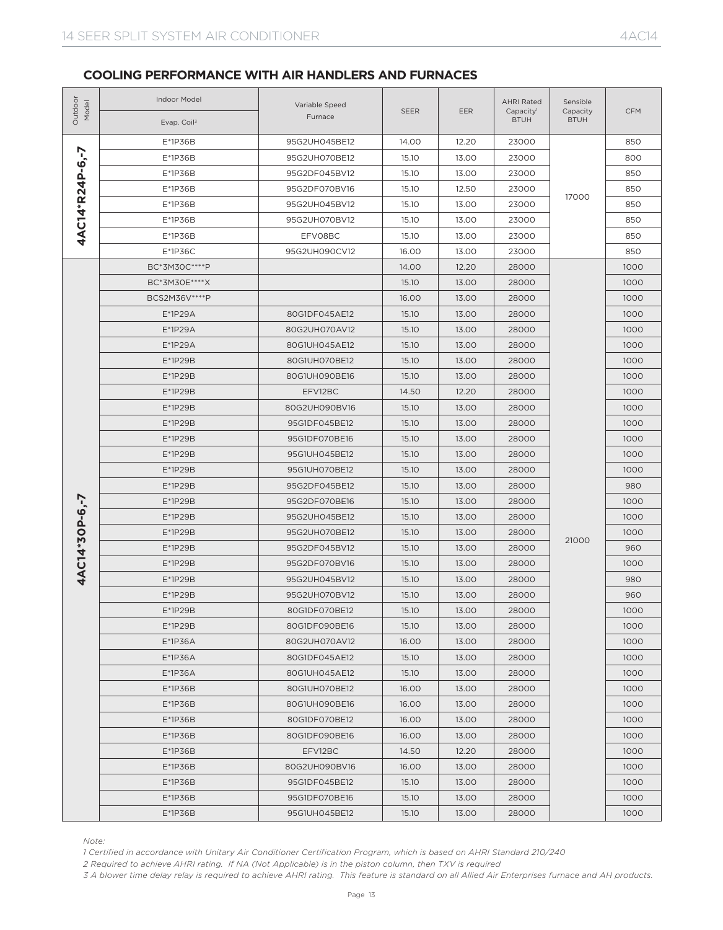| Outdoor<br>Model       | <b>Indoor Model</b><br>Evap. Coil <sup>3</sup>                                                                                                                                                                                                                                                                                                                                      | Variable Speed<br>Furnace | <b>SEER</b> | EER            | <b>AHRI Rated</b><br>Capacity <sup>1</sup><br><b>BTUH</b> | Sensible<br>Capacity<br><b>BTUH</b> | <b>CFM</b> |
|------------------------|-------------------------------------------------------------------------------------------------------------------------------------------------------------------------------------------------------------------------------------------------------------------------------------------------------------------------------------------------------------------------------------|---------------------------|-------------|----------------|-----------------------------------------------------------|-------------------------------------|------------|
|                        | E*1P36B                                                                                                                                                                                                                                                                                                                                                                             | 95G2UH045BE12             | 14.00       | 12.20          | 23000                                                     |                                     | 850        |
|                        | E*1P36B                                                                                                                                                                                                                                                                                                                                                                             | 95G2UH070BE12             | 15.10       | 13.00          | 23000                                                     |                                     | 800        |
|                        | E*1P36B                                                                                                                                                                                                                                                                                                                                                                             | 95G2DF045BV12             | 15.10       | 13.00          | 23000                                                     |                                     | 850        |
| <b>4AC14*R24P-6.-7</b> | E*1P36B                                                                                                                                                                                                                                                                                                                                                                             | 95G2DF070BV16             | 15.10       | 12.50          | 23000                                                     |                                     | 850        |
|                        | $E*1P36B$                                                                                                                                                                                                                                                                                                                                                                           | 95G2UH045BV12             | 15.10       | 13.00          | 23000                                                     | 17000                               | 850        |
|                        | E*1P36B                                                                                                                                                                                                                                                                                                                                                                             | 95G2UH070BV12             | 15.10       | 13.00          | 23000                                                     |                                     | 850        |
|                        | E*1P36B                                                                                                                                                                                                                                                                                                                                                                             | EFV08BC                   | 15.10       | 13.00          | 23000                                                     |                                     | 850        |
|                        | $E*1P36C$                                                                                                                                                                                                                                                                                                                                                                           | 95G2UH090CV12             | 16.00       | 13.00          | 23000                                                     |                                     | 850        |
|                        | BC*3M30C*****P                                                                                                                                                                                                                                                                                                                                                                      |                           | 14.00       | 12.20          | 28000                                                     |                                     | 1000       |
|                        | BC*3M30E****X                                                                                                                                                                                                                                                                                                                                                                       |                           | 15.10       | 13.00          | 28000                                                     |                                     | 1000       |
|                        | BCS2M36V****P                                                                                                                                                                                                                                                                                                                                                                       |                           | 16.00       | 13.00          | 28000                                                     |                                     | 1000       |
|                        | E*1P29A                                                                                                                                                                                                                                                                                                                                                                             | 80G1DF045AE12             | 15.10       | 13.00          | 28000                                                     |                                     | 1000       |
|                        | E*1P29A                                                                                                                                                                                                                                                                                                                                                                             | 80G2UH070AV12             | 15.10       | 13.00          | 28000                                                     |                                     | 1000       |
|                        | E*1P29A                                                                                                                                                                                                                                                                                                                                                                             | 80G1UH045AE12             | 15.10       | 13.00          | 28000                                                     |                                     | 1000       |
|                        | $E*1P29B$                                                                                                                                                                                                                                                                                                                                                                           | 80G1UH070BE12             | 15.10       | 13.00          | 28000                                                     |                                     | 1000       |
|                        | $E^*$ 1P29B                                                                                                                                                                                                                                                                                                                                                                         | 80G1UH090BE16             | 15.10       | 13.00          | 28000                                                     |                                     | 1000       |
|                        | $E*1P29B$                                                                                                                                                                                                                                                                                                                                                                           | EFV12BC                   | 14.50       | 12.20          | 28000                                                     |                                     | 1000       |
|                        | $E*1P29B$                                                                                                                                                                                                                                                                                                                                                                           | 80G2UH090BV16             | 15.10       | 13.00          | 28000                                                     |                                     | 1000       |
|                        | E*1P29B                                                                                                                                                                                                                                                                                                                                                                             | 95G1DF045BE12             | 15.10       | 13.00          | 28000                                                     |                                     | 1000       |
|                        | E*1P29B                                                                                                                                                                                                                                                                                                                                                                             | 95G1DF070BE16             | 15.10       | 13.00<br>28000 |                                                           | 1000                                |            |
|                        | $E*1P29B$                                                                                                                                                                                                                                                                                                                                                                           | 95G1UH045BE12             | 15.10       | 13.00          | 28000                                                     |                                     | 1000       |
|                        | $E*1P29B$                                                                                                                                                                                                                                                                                                                                                                           | 95G1UH070BE12             | 15.10       | 13.00          | 28000                                                     |                                     | 1000       |
|                        | E*1P29B                                                                                                                                                                                                                                                                                                                                                                             | 95G2DF045BE12             | 15.10       | 13.00          | 28000                                                     |                                     | 980        |
|                        | E*1P29B                                                                                                                                                                                                                                                                                                                                                                             | 95G2DF070BE16             | 15.10       | 13.00          | 28000                                                     |                                     | 1000       |
| 4AC14*30P-6.-7         | E*1P29B                                                                                                                                                                                                                                                                                                                                                                             | 95G2UH045BE12             | 15.10       | 13.00          | 28000                                                     |                                     | 1000       |
|                        | E*1P29B                                                                                                                                                                                                                                                                                                                                                                             | 95G2UH070BE12             | 15.10       | 13.00          | 28000                                                     |                                     | 1000       |
|                        | E*1P29B                                                                                                                                                                                                                                                                                                                                                                             | 95G2DF045BV12             | 15.10       | 13.00          | 28000                                                     | 21000                               | 960        |
|                        | $E*1P29B$                                                                                                                                                                                                                                                                                                                                                                           | 95G2DF070BV16             | 15.10       | 13.00          | 28000                                                     |                                     | 1000       |
|                        | $E*1P29B$                                                                                                                                                                                                                                                                                                                                                                           | 95G2UH045BV12             | 15.10       | 13.00          | 28000                                                     |                                     | 980        |
|                        | $E^*$ 1P29B                                                                                                                                                                                                                                                                                                                                                                         | 95G2UH070BV12             | 15.10       | 13.00          | 28000                                                     |                                     | 960        |
|                        | E*1P29B                                                                                                                                                                                                                                                                                                                                                                             | 80G1DF070BE12             | 15.10       | 13.00          | 28000                                                     |                                     | 1000       |
|                        | E*1P29B                                                                                                                                                                                                                                                                                                                                                                             | 80G1DF090BE16             | 15.10       | 13.00          | 28000                                                     |                                     | 1000       |
|                        | E*1P36A                                                                                                                                                                                                                                                                                                                                                                             | 80G2UH070AV12             | 16.00       | 13.00          | 28000                                                     |                                     | 1000       |
|                        | E*1P36A                                                                                                                                                                                                                                                                                                                                                                             | 80G1DF045AE12             | 15.10       | 13.00          | 28000                                                     |                                     | 1000       |
|                        | E*1P36A                                                                                                                                                                                                                                                                                                                                                                             | 80G1UH045AE12             | 15.10       | 13.00          | 28000                                                     |                                     | 1000       |
|                        | $E*1P36B$                                                                                                                                                                                                                                                                                                                                                                           | 80G1UH070BE12             | 16.00       | 13.00          | 28000                                                     |                                     | 1000       |
|                        | $E*1P36B$                                                                                                                                                                                                                                                                                                                                                                           | 80G1UH090BE16             | 16.00       | 13.00          | 28000                                                     |                                     | 1000       |
|                        | $E*1P36B$                                                                                                                                                                                                                                                                                                                                                                           | 80G1DF070BE12             | 16.00       | 13.00          | 28000                                                     |                                     | 1000       |
|                        | $E*1P36B$                                                                                                                                                                                                                                                                                                                                                                           | 80G1DF090BE16             | 16.00       | 13.00          | 28000                                                     |                                     | 1000       |
|                        | $E*1P36B$                                                                                                                                                                                                                                                                                                                                                                           | EFV12BC                   | 14.50       | 12.20          | 28000                                                     |                                     | 1000       |
|                        | $E*1P36B$                                                                                                                                                                                                                                                                                                                                                                           | 80G2UH090BV16             | 16.00       | 13.00          | 28000                                                     |                                     | 1000       |
|                        | $E*1P36B$                                                                                                                                                                                                                                                                                                                                                                           | 95G1DF045BE12             | 15.10       | 13.00          | 28000                                                     |                                     | 1000       |
|                        | $E*1P36B$                                                                                                                                                                                                                                                                                                                                                                           | 95G1DF070BE16             | 15.10       | 13.00          | 28000                                                     |                                     | 1000       |
|                        | $E*1P36B$                                                                                                                                                                                                                                                                                                                                                                           | 95G1UH045BE12             | 15.10       | 13.00          | 28000                                                     |                                     | 1000       |
| Note:                  | 1 Certified in accordance with Unitary Air Conditioner Certification Program, which is based on AHRI Standard 210/240<br>2 Required to achieve AHRI rating. If NA (Not Applicable) is in the piston column, then TXV is required<br>3 A blower time delay relay is required to achieve AHRI rating. This feature is standard on all Allied Air Enterprises furnace and AH products. |                           |             |                |                                                           |                                     |            |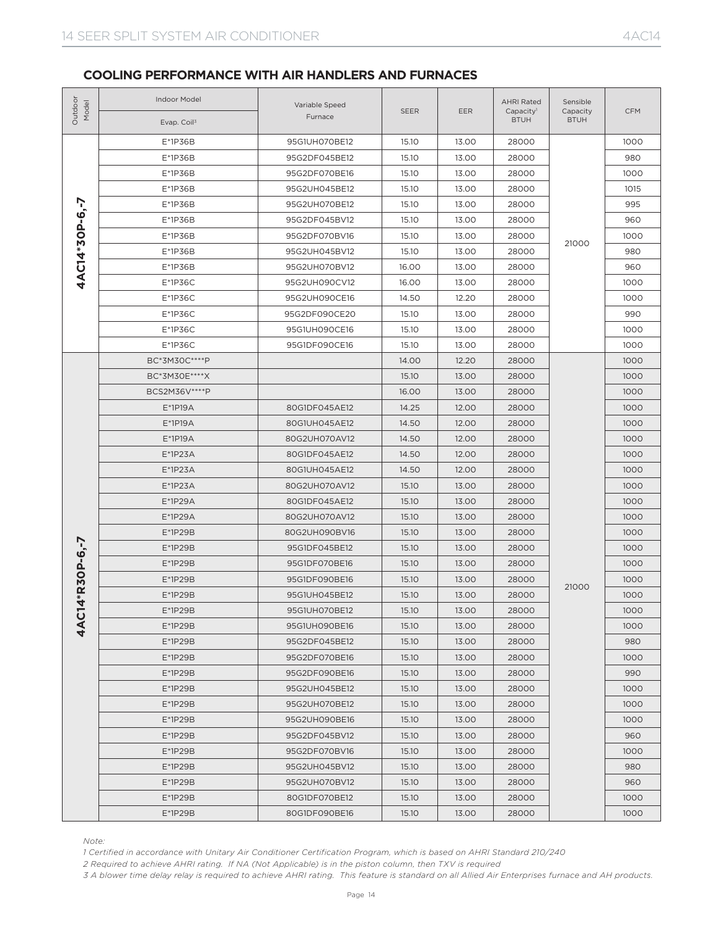| Outdoor<br>Model                                                                                                                                                                                                                                                                                                                                                                                                                                                                                                                                                                                                                                                                                                                                                                                                                                                                                                                                                                                                                                                                                                                                                                                                                                                                                                                                                                                                                                                                                                                                                                                                                                                                                                                                                                                                                                                                                                                                                                                                                                                                                                                                                                                                                                                                                                                                                                                                                        | Indoor Model<br>Evap. Coil <sup>3</sup>                                                                                                                                                                                                                                                                                                                                             | Variable Speed<br>Furnace | SEER                                                                                                                                                                                                                                                                                                          | EER   | <b>AHRI Rated</b><br>Capacity <sup>1</sup><br><b>BTUH</b> | Sensible<br>Capacity<br><b>BTUH</b> | <b>CFM</b> |
|-----------------------------------------------------------------------------------------------------------------------------------------------------------------------------------------------------------------------------------------------------------------------------------------------------------------------------------------------------------------------------------------------------------------------------------------------------------------------------------------------------------------------------------------------------------------------------------------------------------------------------------------------------------------------------------------------------------------------------------------------------------------------------------------------------------------------------------------------------------------------------------------------------------------------------------------------------------------------------------------------------------------------------------------------------------------------------------------------------------------------------------------------------------------------------------------------------------------------------------------------------------------------------------------------------------------------------------------------------------------------------------------------------------------------------------------------------------------------------------------------------------------------------------------------------------------------------------------------------------------------------------------------------------------------------------------------------------------------------------------------------------------------------------------------------------------------------------------------------------------------------------------------------------------------------------------------------------------------------------------------------------------------------------------------------------------------------------------------------------------------------------------------------------------------------------------------------------------------------------------------------------------------------------------------------------------------------------------------------------------------------------------------------------------------------------------|-------------------------------------------------------------------------------------------------------------------------------------------------------------------------------------------------------------------------------------------------------------------------------------------------------------------------------------------------------------------------------------|---------------------------|---------------------------------------------------------------------------------------------------------------------------------------------------------------------------------------------------------------------------------------------------------------------------------------------------------------|-------|-----------------------------------------------------------|-------------------------------------|------------|
|                                                                                                                                                                                                                                                                                                                                                                                                                                                                                                                                                                                                                                                                                                                                                                                                                                                                                                                                                                                                                                                                                                                                                                                                                                                                                                                                                                                                                                                                                                                                                                                                                                                                                                                                                                                                                                                                                                                                                                                                                                                                                                                                                                                                                                                                                                                                                                                                                                         | E*1P36B                                                                                                                                                                                                                                                                                                                                                                             | 95G1UH070BE12             | 15.10                                                                                                                                                                                                                                                                                                         | 13.00 | 28000                                                     |                                     | 1000       |
|                                                                                                                                                                                                                                                                                                                                                                                                                                                                                                                                                                                                                                                                                                                                                                                                                                                                                                                                                                                                                                                                                                                                                                                                                                                                                                                                                                                                                                                                                                                                                                                                                                                                                                                                                                                                                                                                                                                                                                                                                                                                                                                                                                                                                                                                                                                                                                                                                                         | E*1P36B                                                                                                                                                                                                                                                                                                                                                                             | 95G2DF045BE12             | 15.10                                                                                                                                                                                                                                                                                                         | 13.00 | 28000                                                     |                                     | 980        |
| E*1P36B<br>95G2DF070BE16<br>15.10<br>13.00<br>28000<br>E*1P36B<br>95G2UH045BE12<br>15.10<br>13.00<br>28000<br>4AC14*30P-6.-7<br>13.00<br>E*1P36B<br>95G2UH070BE12<br>15.10<br>28000<br>E*1P36B<br>13.00<br>95G2DF045BV12<br>15.10<br>28000<br>E*1P36B<br>95G2DF070BV16<br>15.10<br>13.00<br>28000<br>E*1P36B<br>15.10<br>13.00<br>28000<br>95G2UH045BV12<br>E*1P36B<br>13.00<br>95G2UH070BV12<br>16.00<br>28000<br>$E*1P36C$<br>13.00<br>95G2UH090CV12<br>16.00<br>28000<br>$E*1P36C$<br>95G2UH090CE16<br>14.50<br>12.20<br>28000<br>$E*1P36C$<br>95G2DF090CE20<br>15.10<br>13.00<br>28000<br>13.00<br>$E*1P36C$<br>95G1UH090CE16<br>15.10<br>28000<br>$E*1P36C$<br>95G1DF090CE16<br>15.10<br>13.00<br>28000<br>BC*3M30C*****P<br>14.00<br>12.20<br>28000<br>BC*3M30E****X<br>15.10<br>13.00<br>28000<br>BCS2M36V****P<br>16.00<br>13.00<br>28000<br>$E*1P19A$<br>80G1DF045AE12<br>14.25<br>12.00<br>28000<br>$E*1P19A$<br>80G1UH045AE12<br>14.50<br>12.00<br>28000<br>$E*1P19A$<br>80G2UH070AV12<br>14.50<br>12.00<br>28000<br>$E*1P23A$<br>80G1DF045AE12<br>14.50<br>12.00<br>28000<br>$E*1P23A$<br>80G1UH045AE12<br>14.50<br>12.00<br>28000<br>$E*1P23A$<br>15.10<br>13.00<br>28000<br>80G2UH070AV12<br>E*1P29A<br>15.10<br>13.00<br>28000<br>80G1DF045AE12<br>E*1P29A<br>80G2UH070AV12<br>15.10<br>13.00<br>28000<br>E*1P29B<br>15.10<br>13.00<br>28000<br>80G2UH090BV16<br>R30P-6,-7<br>E*1P29B<br>15.10<br>13.00<br>28000<br>95G1DF045BE12<br>E*1P29B<br>95G1DF070BE16<br>15.10<br>13.00<br>28000<br>E*1P29B<br>95G1DF090BE16<br>15.10<br>13.00<br>28000<br>E*1P29B<br>15.10<br>13.00<br>28000<br>95G1UH045BE12<br><b>4AC14</b><br>E*1P29B<br>15.10<br>13.00<br>28000<br>95G1UH070BE12<br>E*1P29B<br>95G1UH090BE16<br>15.10<br>13.00<br>28000<br>E*1P29B<br>95G2DF045BE12<br>15.10<br>13.00<br>28000<br>E*1P29B<br>95G2DF070BE16<br>15.10<br>13.00<br>28000<br>E*1P29B<br>95G2DF090BE16<br>15.10<br>13.00<br>28000<br>E*1P29B<br>95G2UH045BE12<br>15.10<br>13.00<br>28000<br>E*1P29B<br>95G2UH070BE12<br>15.10<br>13.00<br>28000<br>E*1P29B<br>15.10<br>13.00<br>28000<br>95G2UH090BE16<br>E*1P29B<br>95G2DF045BV12<br>15.10<br>13.00<br>28000<br>E*1P29B<br>95G2DF070BV16<br>15.10<br>13.00<br>28000<br>E*1P29B<br>95G2UH045BV12<br>15.10<br>13.00<br>28000<br>E*1P29B<br>95G2UH070BV12<br>15.10<br>13.00<br>28000<br>E*1P29B<br>80G1DF070BE12<br>15.10<br>13.00<br>28000<br>E*1P29B<br>80G1DF090BE16<br>15.10<br>13.00<br>28000 |                                                                                                                                                                                                                                                                                                                                                                                     |                           |                                                                                                                                                                                                                                                                                                               | 1000  |                                                           |                                     |            |
|                                                                                                                                                                                                                                                                                                                                                                                                                                                                                                                                                                                                                                                                                                                                                                                                                                                                                                                                                                                                                                                                                                                                                                                                                                                                                                                                                                                                                                                                                                                                                                                                                                                                                                                                                                                                                                                                                                                                                                                                                                                                                                                                                                                                                                                                                                                                                                                                                                         |                                                                                                                                                                                                                                                                                                                                                                                     | 1015                      |                                                                                                                                                                                                                                                                                                               |       |                                                           |                                     |            |
|                                                                                                                                                                                                                                                                                                                                                                                                                                                                                                                                                                                                                                                                                                                                                                                                                                                                                                                                                                                                                                                                                                                                                                                                                                                                                                                                                                                                                                                                                                                                                                                                                                                                                                                                                                                                                                                                                                                                                                                                                                                                                                                                                                                                                                                                                                                                                                                                                                         |                                                                                                                                                                                                                                                                                                                                                                                     |                           | 995                                                                                                                                                                                                                                                                                                           |       |                                                           |                                     |            |
|                                                                                                                                                                                                                                                                                                                                                                                                                                                                                                                                                                                                                                                                                                                                                                                                                                                                                                                                                                                                                                                                                                                                                                                                                                                                                                                                                                                                                                                                                                                                                                                                                                                                                                                                                                                                                                                                                                                                                                                                                                                                                                                                                                                                                                                                                                                                                                                                                                         |                                                                                                                                                                                                                                                                                                                                                                                     |                           | 960<br>1000<br>21000<br>980<br>960<br>1000<br>1000<br>990<br>1000<br>1000<br>1000<br>1000<br>1000<br>1000<br>1000<br>1000<br>1000<br>1000<br>1000<br>1000<br>1000<br>1000<br>1000<br>1000<br>1000<br>21000<br>1000<br>1000<br>1000<br>980<br>1000<br>990<br>1000<br>1000<br>1000<br>960<br>1000<br>980<br>960 |       |                                                           |                                     |            |
|                                                                                                                                                                                                                                                                                                                                                                                                                                                                                                                                                                                                                                                                                                                                                                                                                                                                                                                                                                                                                                                                                                                                                                                                                                                                                                                                                                                                                                                                                                                                                                                                                                                                                                                                                                                                                                                                                                                                                                                                                                                                                                                                                                                                                                                                                                                                                                                                                                         |                                                                                                                                                                                                                                                                                                                                                                                     |                           |                                                                                                                                                                                                                                                                                                               |       |                                                           |                                     |            |
|                                                                                                                                                                                                                                                                                                                                                                                                                                                                                                                                                                                                                                                                                                                                                                                                                                                                                                                                                                                                                                                                                                                                                                                                                                                                                                                                                                                                                                                                                                                                                                                                                                                                                                                                                                                                                                                                                                                                                                                                                                                                                                                                                                                                                                                                                                                                                                                                                                         |                                                                                                                                                                                                                                                                                                                                                                                     |                           |                                                                                                                                                                                                                                                                                                               |       |                                                           |                                     |            |
|                                                                                                                                                                                                                                                                                                                                                                                                                                                                                                                                                                                                                                                                                                                                                                                                                                                                                                                                                                                                                                                                                                                                                                                                                                                                                                                                                                                                                                                                                                                                                                                                                                                                                                                                                                                                                                                                                                                                                                                                                                                                                                                                                                                                                                                                                                                                                                                                                                         |                                                                                                                                                                                                                                                                                                                                                                                     |                           |                                                                                                                                                                                                                                                                                                               |       |                                                           |                                     |            |
|                                                                                                                                                                                                                                                                                                                                                                                                                                                                                                                                                                                                                                                                                                                                                                                                                                                                                                                                                                                                                                                                                                                                                                                                                                                                                                                                                                                                                                                                                                                                                                                                                                                                                                                                                                                                                                                                                                                                                                                                                                                                                                                                                                                                                                                                                                                                                                                                                                         |                                                                                                                                                                                                                                                                                                                                                                                     |                           |                                                                                                                                                                                                                                                                                                               |       |                                                           |                                     |            |
|                                                                                                                                                                                                                                                                                                                                                                                                                                                                                                                                                                                                                                                                                                                                                                                                                                                                                                                                                                                                                                                                                                                                                                                                                                                                                                                                                                                                                                                                                                                                                                                                                                                                                                                                                                                                                                                                                                                                                                                                                                                                                                                                                                                                                                                                                                                                                                                                                                         |                                                                                                                                                                                                                                                                                                                                                                                     |                           |                                                                                                                                                                                                                                                                                                               |       |                                                           |                                     |            |
|                                                                                                                                                                                                                                                                                                                                                                                                                                                                                                                                                                                                                                                                                                                                                                                                                                                                                                                                                                                                                                                                                                                                                                                                                                                                                                                                                                                                                                                                                                                                                                                                                                                                                                                                                                                                                                                                                                                                                                                                                                                                                                                                                                                                                                                                                                                                                                                                                                         |                                                                                                                                                                                                                                                                                                                                                                                     |                           |                                                                                                                                                                                                                                                                                                               |       |                                                           |                                     |            |
|                                                                                                                                                                                                                                                                                                                                                                                                                                                                                                                                                                                                                                                                                                                                                                                                                                                                                                                                                                                                                                                                                                                                                                                                                                                                                                                                                                                                                                                                                                                                                                                                                                                                                                                                                                                                                                                                                                                                                                                                                                                                                                                                                                                                                                                                                                                                                                                                                                         |                                                                                                                                                                                                                                                                                                                                                                                     |                           |                                                                                                                                                                                                                                                                                                               |       |                                                           |                                     |            |
|                                                                                                                                                                                                                                                                                                                                                                                                                                                                                                                                                                                                                                                                                                                                                                                                                                                                                                                                                                                                                                                                                                                                                                                                                                                                                                                                                                                                                                                                                                                                                                                                                                                                                                                                                                                                                                                                                                                                                                                                                                                                                                                                                                                                                                                                                                                                                                                                                                         |                                                                                                                                                                                                                                                                                                                                                                                     |                           |                                                                                                                                                                                                                                                                                                               |       |                                                           |                                     |            |
|                                                                                                                                                                                                                                                                                                                                                                                                                                                                                                                                                                                                                                                                                                                                                                                                                                                                                                                                                                                                                                                                                                                                                                                                                                                                                                                                                                                                                                                                                                                                                                                                                                                                                                                                                                                                                                                                                                                                                                                                                                                                                                                                                                                                                                                                                                                                                                                                                                         |                                                                                                                                                                                                                                                                                                                                                                                     |                           |                                                                                                                                                                                                                                                                                                               |       |                                                           |                                     |            |
|                                                                                                                                                                                                                                                                                                                                                                                                                                                                                                                                                                                                                                                                                                                                                                                                                                                                                                                                                                                                                                                                                                                                                                                                                                                                                                                                                                                                                                                                                                                                                                                                                                                                                                                                                                                                                                                                                                                                                                                                                                                                                                                                                                                                                                                                                                                                                                                                                                         |                                                                                                                                                                                                                                                                                                                                                                                     |                           |                                                                                                                                                                                                                                                                                                               |       |                                                           |                                     |            |
|                                                                                                                                                                                                                                                                                                                                                                                                                                                                                                                                                                                                                                                                                                                                                                                                                                                                                                                                                                                                                                                                                                                                                                                                                                                                                                                                                                                                                                                                                                                                                                                                                                                                                                                                                                                                                                                                                                                                                                                                                                                                                                                                                                                                                                                                                                                                                                                                                                         |                                                                                                                                                                                                                                                                                                                                                                                     |                           |                                                                                                                                                                                                                                                                                                               |       |                                                           |                                     |            |
|                                                                                                                                                                                                                                                                                                                                                                                                                                                                                                                                                                                                                                                                                                                                                                                                                                                                                                                                                                                                                                                                                                                                                                                                                                                                                                                                                                                                                                                                                                                                                                                                                                                                                                                                                                                                                                                                                                                                                                                                                                                                                                                                                                                                                                                                                                                                                                                                                                         |                                                                                                                                                                                                                                                                                                                                                                                     |                           |                                                                                                                                                                                                                                                                                                               |       |                                                           |                                     |            |
|                                                                                                                                                                                                                                                                                                                                                                                                                                                                                                                                                                                                                                                                                                                                                                                                                                                                                                                                                                                                                                                                                                                                                                                                                                                                                                                                                                                                                                                                                                                                                                                                                                                                                                                                                                                                                                                                                                                                                                                                                                                                                                                                                                                                                                                                                                                                                                                                                                         |                                                                                                                                                                                                                                                                                                                                                                                     |                           |                                                                                                                                                                                                                                                                                                               |       |                                                           |                                     |            |
|                                                                                                                                                                                                                                                                                                                                                                                                                                                                                                                                                                                                                                                                                                                                                                                                                                                                                                                                                                                                                                                                                                                                                                                                                                                                                                                                                                                                                                                                                                                                                                                                                                                                                                                                                                                                                                                                                                                                                                                                                                                                                                                                                                                                                                                                                                                                                                                                                                         |                                                                                                                                                                                                                                                                                                                                                                                     |                           |                                                                                                                                                                                                                                                                                                               |       |                                                           |                                     |            |
|                                                                                                                                                                                                                                                                                                                                                                                                                                                                                                                                                                                                                                                                                                                                                                                                                                                                                                                                                                                                                                                                                                                                                                                                                                                                                                                                                                                                                                                                                                                                                                                                                                                                                                                                                                                                                                                                                                                                                                                                                                                                                                                                                                                                                                                                                                                                                                                                                                         |                                                                                                                                                                                                                                                                                                                                                                                     |                           |                                                                                                                                                                                                                                                                                                               |       |                                                           |                                     |            |
|                                                                                                                                                                                                                                                                                                                                                                                                                                                                                                                                                                                                                                                                                                                                                                                                                                                                                                                                                                                                                                                                                                                                                                                                                                                                                                                                                                                                                                                                                                                                                                                                                                                                                                                                                                                                                                                                                                                                                                                                                                                                                                                                                                                                                                                                                                                                                                                                                                         |                                                                                                                                                                                                                                                                                                                                                                                     |                           |                                                                                                                                                                                                                                                                                                               |       |                                                           |                                     |            |
|                                                                                                                                                                                                                                                                                                                                                                                                                                                                                                                                                                                                                                                                                                                                                                                                                                                                                                                                                                                                                                                                                                                                                                                                                                                                                                                                                                                                                                                                                                                                                                                                                                                                                                                                                                                                                                                                                                                                                                                                                                                                                                                                                                                                                                                                                                                                                                                                                                         |                                                                                                                                                                                                                                                                                                                                                                                     |                           |                                                                                                                                                                                                                                                                                                               |       |                                                           |                                     |            |
|                                                                                                                                                                                                                                                                                                                                                                                                                                                                                                                                                                                                                                                                                                                                                                                                                                                                                                                                                                                                                                                                                                                                                                                                                                                                                                                                                                                                                                                                                                                                                                                                                                                                                                                                                                                                                                                                                                                                                                                                                                                                                                                                                                                                                                                                                                                                                                                                                                         |                                                                                                                                                                                                                                                                                                                                                                                     |                           |                                                                                                                                                                                                                                                                                                               |       |                                                           |                                     |            |
|                                                                                                                                                                                                                                                                                                                                                                                                                                                                                                                                                                                                                                                                                                                                                                                                                                                                                                                                                                                                                                                                                                                                                                                                                                                                                                                                                                                                                                                                                                                                                                                                                                                                                                                                                                                                                                                                                                                                                                                                                                                                                                                                                                                                                                                                                                                                                                                                                                         |                                                                                                                                                                                                                                                                                                                                                                                     |                           |                                                                                                                                                                                                                                                                                                               |       |                                                           |                                     |            |
|                                                                                                                                                                                                                                                                                                                                                                                                                                                                                                                                                                                                                                                                                                                                                                                                                                                                                                                                                                                                                                                                                                                                                                                                                                                                                                                                                                                                                                                                                                                                                                                                                                                                                                                                                                                                                                                                                                                                                                                                                                                                                                                                                                                                                                                                                                                                                                                                                                         |                                                                                                                                                                                                                                                                                                                                                                                     |                           |                                                                                                                                                                                                                                                                                                               |       |                                                           |                                     |            |
|                                                                                                                                                                                                                                                                                                                                                                                                                                                                                                                                                                                                                                                                                                                                                                                                                                                                                                                                                                                                                                                                                                                                                                                                                                                                                                                                                                                                                                                                                                                                                                                                                                                                                                                                                                                                                                                                                                                                                                                                                                                                                                                                                                                                                                                                                                                                                                                                                                         |                                                                                                                                                                                                                                                                                                                                                                                     |                           |                                                                                                                                                                                                                                                                                                               |       |                                                           |                                     |            |
|                                                                                                                                                                                                                                                                                                                                                                                                                                                                                                                                                                                                                                                                                                                                                                                                                                                                                                                                                                                                                                                                                                                                                                                                                                                                                                                                                                                                                                                                                                                                                                                                                                                                                                                                                                                                                                                                                                                                                                                                                                                                                                                                                                                                                                                                                                                                                                                                                                         |                                                                                                                                                                                                                                                                                                                                                                                     |                           |                                                                                                                                                                                                                                                                                                               |       |                                                           |                                     |            |
|                                                                                                                                                                                                                                                                                                                                                                                                                                                                                                                                                                                                                                                                                                                                                                                                                                                                                                                                                                                                                                                                                                                                                                                                                                                                                                                                                                                                                                                                                                                                                                                                                                                                                                                                                                                                                                                                                                                                                                                                                                                                                                                                                                                                                                                                                                                                                                                                                                         |                                                                                                                                                                                                                                                                                                                                                                                     |                           |                                                                                                                                                                                                                                                                                                               |       |                                                           |                                     |            |
|                                                                                                                                                                                                                                                                                                                                                                                                                                                                                                                                                                                                                                                                                                                                                                                                                                                                                                                                                                                                                                                                                                                                                                                                                                                                                                                                                                                                                                                                                                                                                                                                                                                                                                                                                                                                                                                                                                                                                                                                                                                                                                                                                                                                                                                                                                                                                                                                                                         |                                                                                                                                                                                                                                                                                                                                                                                     |                           |                                                                                                                                                                                                                                                                                                               |       |                                                           |                                     |            |
|                                                                                                                                                                                                                                                                                                                                                                                                                                                                                                                                                                                                                                                                                                                                                                                                                                                                                                                                                                                                                                                                                                                                                                                                                                                                                                                                                                                                                                                                                                                                                                                                                                                                                                                                                                                                                                                                                                                                                                                                                                                                                                                                                                                                                                                                                                                                                                                                                                         |                                                                                                                                                                                                                                                                                                                                                                                     |                           |                                                                                                                                                                                                                                                                                                               |       |                                                           |                                     |            |
|                                                                                                                                                                                                                                                                                                                                                                                                                                                                                                                                                                                                                                                                                                                                                                                                                                                                                                                                                                                                                                                                                                                                                                                                                                                                                                                                                                                                                                                                                                                                                                                                                                                                                                                                                                                                                                                                                                                                                                                                                                                                                                                                                                                                                                                                                                                                                                                                                                         |                                                                                                                                                                                                                                                                                                                                                                                     |                           |                                                                                                                                                                                                                                                                                                               |       |                                                           |                                     |            |
|                                                                                                                                                                                                                                                                                                                                                                                                                                                                                                                                                                                                                                                                                                                                                                                                                                                                                                                                                                                                                                                                                                                                                                                                                                                                                                                                                                                                                                                                                                                                                                                                                                                                                                                                                                                                                                                                                                                                                                                                                                                                                                                                                                                                                                                                                                                                                                                                                                         |                                                                                                                                                                                                                                                                                                                                                                                     |                           |                                                                                                                                                                                                                                                                                                               |       |                                                           |                                     |            |
|                                                                                                                                                                                                                                                                                                                                                                                                                                                                                                                                                                                                                                                                                                                                                                                                                                                                                                                                                                                                                                                                                                                                                                                                                                                                                                                                                                                                                                                                                                                                                                                                                                                                                                                                                                                                                                                                                                                                                                                                                                                                                                                                                                                                                                                                                                                                                                                                                                         |                                                                                                                                                                                                                                                                                                                                                                                     |                           |                                                                                                                                                                                                                                                                                                               |       |                                                           |                                     |            |
|                                                                                                                                                                                                                                                                                                                                                                                                                                                                                                                                                                                                                                                                                                                                                                                                                                                                                                                                                                                                                                                                                                                                                                                                                                                                                                                                                                                                                                                                                                                                                                                                                                                                                                                                                                                                                                                                                                                                                                                                                                                                                                                                                                                                                                                                                                                                                                                                                                         |                                                                                                                                                                                                                                                                                                                                                                                     |                           |                                                                                                                                                                                                                                                                                                               |       |                                                           |                                     |            |
|                                                                                                                                                                                                                                                                                                                                                                                                                                                                                                                                                                                                                                                                                                                                                                                                                                                                                                                                                                                                                                                                                                                                                                                                                                                                                                                                                                                                                                                                                                                                                                                                                                                                                                                                                                                                                                                                                                                                                                                                                                                                                                                                                                                                                                                                                                                                                                                                                                         |                                                                                                                                                                                                                                                                                                                                                                                     |                           |                                                                                                                                                                                                                                                                                                               |       |                                                           |                                     |            |
|                                                                                                                                                                                                                                                                                                                                                                                                                                                                                                                                                                                                                                                                                                                                                                                                                                                                                                                                                                                                                                                                                                                                                                                                                                                                                                                                                                                                                                                                                                                                                                                                                                                                                                                                                                                                                                                                                                                                                                                                                                                                                                                                                                                                                                                                                                                                                                                                                                         |                                                                                                                                                                                                                                                                                                                                                                                     |                           |                                                                                                                                                                                                                                                                                                               |       |                                                           |                                     |            |
|                                                                                                                                                                                                                                                                                                                                                                                                                                                                                                                                                                                                                                                                                                                                                                                                                                                                                                                                                                                                                                                                                                                                                                                                                                                                                                                                                                                                                                                                                                                                                                                                                                                                                                                                                                                                                                                                                                                                                                                                                                                                                                                                                                                                                                                                                                                                                                                                                                         |                                                                                                                                                                                                                                                                                                                                                                                     |                           |                                                                                                                                                                                                                                                                                                               |       |                                                           |                                     |            |
|                                                                                                                                                                                                                                                                                                                                                                                                                                                                                                                                                                                                                                                                                                                                                                                                                                                                                                                                                                                                                                                                                                                                                                                                                                                                                                                                                                                                                                                                                                                                                                                                                                                                                                                                                                                                                                                                                                                                                                                                                                                                                                                                                                                                                                                                                                                                                                                                                                         |                                                                                                                                                                                                                                                                                                                                                                                     |                           |                                                                                                                                                                                                                                                                                                               |       |                                                           |                                     |            |
|                                                                                                                                                                                                                                                                                                                                                                                                                                                                                                                                                                                                                                                                                                                                                                                                                                                                                                                                                                                                                                                                                                                                                                                                                                                                                                                                                                                                                                                                                                                                                                                                                                                                                                                                                                                                                                                                                                                                                                                                                                                                                                                                                                                                                                                                                                                                                                                                                                         |                                                                                                                                                                                                                                                                                                                                                                                     |                           |                                                                                                                                                                                                                                                                                                               |       |                                                           |                                     |            |
|                                                                                                                                                                                                                                                                                                                                                                                                                                                                                                                                                                                                                                                                                                                                                                                                                                                                                                                                                                                                                                                                                                                                                                                                                                                                                                                                                                                                                                                                                                                                                                                                                                                                                                                                                                                                                                                                                                                                                                                                                                                                                                                                                                                                                                                                                                                                                                                                                                         |                                                                                                                                                                                                                                                                                                                                                                                     |                           |                                                                                                                                                                                                                                                                                                               |       |                                                           |                                     |            |
|                                                                                                                                                                                                                                                                                                                                                                                                                                                                                                                                                                                                                                                                                                                                                                                                                                                                                                                                                                                                                                                                                                                                                                                                                                                                                                                                                                                                                                                                                                                                                                                                                                                                                                                                                                                                                                                                                                                                                                                                                                                                                                                                                                                                                                                                                                                                                                                                                                         |                                                                                                                                                                                                                                                                                                                                                                                     |                           |                                                                                                                                                                                                                                                                                                               |       |                                                           |                                     |            |
|                                                                                                                                                                                                                                                                                                                                                                                                                                                                                                                                                                                                                                                                                                                                                                                                                                                                                                                                                                                                                                                                                                                                                                                                                                                                                                                                                                                                                                                                                                                                                                                                                                                                                                                                                                                                                                                                                                                                                                                                                                                                                                                                                                                                                                                                                                                                                                                                                                         |                                                                                                                                                                                                                                                                                                                                                                                     |                           |                                                                                                                                                                                                                                                                                                               |       |                                                           |                                     | 1000       |
|                                                                                                                                                                                                                                                                                                                                                                                                                                                                                                                                                                                                                                                                                                                                                                                                                                                                                                                                                                                                                                                                                                                                                                                                                                                                                                                                                                                                                                                                                                                                                                                                                                                                                                                                                                                                                                                                                                                                                                                                                                                                                                                                                                                                                                                                                                                                                                                                                                         |                                                                                                                                                                                                                                                                                                                                                                                     |                           |                                                                                                                                                                                                                                                                                                               |       |                                                           |                                     | 1000       |
| Note:                                                                                                                                                                                                                                                                                                                                                                                                                                                                                                                                                                                                                                                                                                                                                                                                                                                                                                                                                                                                                                                                                                                                                                                                                                                                                                                                                                                                                                                                                                                                                                                                                                                                                                                                                                                                                                                                                                                                                                                                                                                                                                                                                                                                                                                                                                                                                                                                                                   | 1 Certified in accordance with Unitary Air Conditioner Certification Program, which is based on AHRI Standard 210/240<br>2 Required to achieve AHRI rating. If NA (Not Applicable) is in the piston column, then TXV is required<br>3 A blower time delay relay is required to achieve AHRI rating. This feature is standard on all Allied Air Enterprises furnace and AH products. |                           |                                                                                                                                                                                                                                                                                                               |       |                                                           |                                     |            |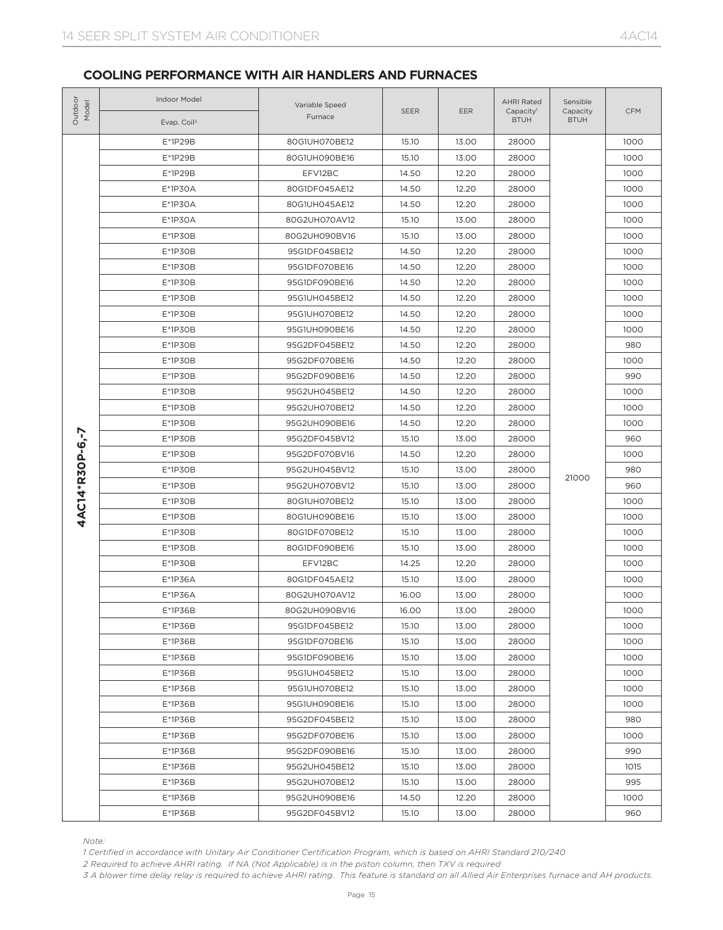| Outdoor<br>Model | Indoor Model<br>Evap. Coil <sup>3</sup>                                                                                                                                                                                                                                                                                                                                             | Variable Speed<br>Furnace | <b>SEER</b> | EER   | <b>AHRI Rated</b><br>Capacity <sup>1</sup><br><b>BTUH</b> | Sensible<br>Capacity<br><b>BTUH</b> | <b>CFM</b> |
|------------------|-------------------------------------------------------------------------------------------------------------------------------------------------------------------------------------------------------------------------------------------------------------------------------------------------------------------------------------------------------------------------------------|---------------------------|-------------|-------|-----------------------------------------------------------|-------------------------------------|------------|
|                  | E*1P29B                                                                                                                                                                                                                                                                                                                                                                             | 80G1UH070BE12             | 15.10       | 13.00 | 28000                                                     |                                     | 1000       |
|                  | E*1P29B                                                                                                                                                                                                                                                                                                                                                                             | 80G1UH090BE16             | 15.10       | 13.00 | 28000                                                     |                                     | 1000       |
|                  | E*1P29B                                                                                                                                                                                                                                                                                                                                                                             | EFV12BC                   | 14.50       | 12.20 | 28000                                                     | 21000                               | 1000       |
|                  | E*1P30A                                                                                                                                                                                                                                                                                                                                                                             | 80G1DF045AE12             | 14.50       | 12.20 | 28000                                                     |                                     | 1000       |
|                  | E*1P30A                                                                                                                                                                                                                                                                                                                                                                             | 80G1UH045AE12             | 14.50       | 12.20 | 28000                                                     |                                     | 1000       |
|                  | $E*1P3OA$                                                                                                                                                                                                                                                                                                                                                                           | 80G2UH070AV12             | 15.10       | 13.00 | 28000                                                     |                                     | 1000       |
|                  | E*1P30B                                                                                                                                                                                                                                                                                                                                                                             | 80G2UH090BV16             | 15.10       | 13.00 | 28000                                                     |                                     | 1000       |
|                  | E*1P30B                                                                                                                                                                                                                                                                                                                                                                             | 95G1DF045BE12             | 14.50       | 12.20 | 28000                                                     |                                     | 1000       |
|                  | E*1P30B                                                                                                                                                                                                                                                                                                                                                                             | 95G1DF070BE16             | 14.50       | 12.20 | 28000                                                     |                                     | 1000       |
|                  | $E*1P3OB$                                                                                                                                                                                                                                                                                                                                                                           | 95G1DF090BE16             | 14.50       | 12.20 | 28000                                                     |                                     | 1000       |
|                  | E*1P30B                                                                                                                                                                                                                                                                                                                                                                             | 95G1UH045BE12             | 14.50       | 12.20 | 28000                                                     |                                     | 1000       |
|                  | E*1P30B                                                                                                                                                                                                                                                                                                                                                                             | 95G1UH070BE12             | 14.50       | 12.20 | 28000                                                     |                                     | 1000       |
|                  | E*1P30B                                                                                                                                                                                                                                                                                                                                                                             | 95G1UH090BE16             | 14.50       | 12.20 | 28000                                                     |                                     | 1000       |
|                  | E*1P30B                                                                                                                                                                                                                                                                                                                                                                             | 95G2DF045BE12             | 14.50       | 12.20 | 28000                                                     |                                     | 980        |
|                  | E*1P30B                                                                                                                                                                                                                                                                                                                                                                             | 95G2DF070BE16             | 14.50       | 12.20 | 28000                                                     |                                     | 1000       |
|                  | E*1P30B                                                                                                                                                                                                                                                                                                                                                                             | 95G2DF090BE16             | 14.50       | 12.20 | 28000                                                     |                                     | 990        |
|                  | E*1P30B                                                                                                                                                                                                                                                                                                                                                                             | 95G2UH045BE12             | 14.50       | 12.20 | 28000                                                     |                                     | 1000       |
|                  | E*1P30B                                                                                                                                                                                                                                                                                                                                                                             | 95G2UH070BE12             | 14.50       | 12.20 | 28000                                                     |                                     | 1000       |
|                  | E*1P30B                                                                                                                                                                                                                                                                                                                                                                             | 95G2UH090BE16             | 14.50       | 12.20 | 28000                                                     |                                     | 1000       |
|                  | E*1P30B                                                                                                                                                                                                                                                                                                                                                                             | 95G2DF045BV12             | 15.10       | 13.00 | 28000                                                     |                                     | 960        |
|                  | $E*1P3OB$                                                                                                                                                                                                                                                                                                                                                                           | 95G2DF070BV16             | 14.50       | 12.20 | 28000                                                     |                                     | 1000       |
|                  | E*1P30B                                                                                                                                                                                                                                                                                                                                                                             | 95G2UH045BV12             | 15.10       | 13.00 |                                                           |                                     | 980        |
|                  | E*1P30B                                                                                                                                                                                                                                                                                                                                                                             | 95G2UH070BV12             | 15.10       | 13.00 | 28000                                                     | 28000                               | 960        |
| 4AC14*R30P-6,-7  | E*1P30B                                                                                                                                                                                                                                                                                                                                                                             | 80G1UH070BE12             | 15.10       | 13.00 | 28000                                                     |                                     | 1000       |
|                  | $E*1P3OB$                                                                                                                                                                                                                                                                                                                                                                           | 80G1UH090BE16             | 15.10       | 13.00 | 28000                                                     |                                     | 1000       |
|                  | E*1P30B                                                                                                                                                                                                                                                                                                                                                                             | 80G1DF070BE12             | 15.10       | 13.00 | 28000                                                     |                                     | 1000       |
|                  | E*1P30B                                                                                                                                                                                                                                                                                                                                                                             | 80G1DF090BE16             | 15.10       | 13.00 | 28000                                                     |                                     | 1000       |
|                  | E*1P30B                                                                                                                                                                                                                                                                                                                                                                             | EFV12BC                   | 14.25       | 12.20 | 28000                                                     |                                     | 1000       |
|                  | E*1P36A                                                                                                                                                                                                                                                                                                                                                                             | 80G1DF045AE12             | 15.10       | 13.00 | 28000                                                     |                                     | 1000       |
|                  | E*1P36A                                                                                                                                                                                                                                                                                                                                                                             | 80G2UH070AV12             | 16.00       | 13.00 | 28000                                                     |                                     | 1000       |
|                  | $E*1P36B$                                                                                                                                                                                                                                                                                                                                                                           | 80G2UH090BV16             | 16.00       | 13.00 | 28000                                                     |                                     | 1000       |
|                  | E*1P36B                                                                                                                                                                                                                                                                                                                                                                             | 95G1DF045BE12             | 15.10       | 13.00 | 28000                                                     |                                     | 1000       |
|                  | E*1P36B                                                                                                                                                                                                                                                                                                                                                                             | 95G1DF070BE16             | 15.10       | 13.00 | 28000                                                     |                                     | 1000       |
|                  | E*1P36B                                                                                                                                                                                                                                                                                                                                                                             | 95G1DF090BE16             | 15.10       | 13.00 | 28000                                                     |                                     | 1000       |
|                  | E*1P36B                                                                                                                                                                                                                                                                                                                                                                             | 95G1UH045BE12             | 15.10       | 13.00 | 28000                                                     |                                     | 1000       |
|                  | E*1P36B                                                                                                                                                                                                                                                                                                                                                                             | 95G1UH070BE12             | 15.10       | 13.00 | 28000                                                     |                                     | 1000       |
|                  | E*1P36B                                                                                                                                                                                                                                                                                                                                                                             | 95G1UH090BE16             | 15.10       | 13.00 | 28000                                                     |                                     | 1000       |
|                  | E*1P36B                                                                                                                                                                                                                                                                                                                                                                             | 95G2DF045BE12             | 15.10       | 13.00 | 28000                                                     |                                     | 980        |
|                  | E*1P36B                                                                                                                                                                                                                                                                                                                                                                             | 95G2DF070BE16             | 15.10       | 13.00 | 28000                                                     |                                     | 1000       |
|                  | E*1P36B                                                                                                                                                                                                                                                                                                                                                                             | 95G2DF090BE16             | 15.10       | 13.00 | 28000                                                     |                                     | 990        |
|                  | E*1P36B                                                                                                                                                                                                                                                                                                                                                                             | 95G2UH045BE12             | 15.10       | 13.00 | 28000                                                     |                                     | 1015       |
|                  | E*1P36B                                                                                                                                                                                                                                                                                                                                                                             | 95G2UH070BE12             | 15.10       | 13.00 | 28000                                                     |                                     | 995        |
|                  | E*1P36B                                                                                                                                                                                                                                                                                                                                                                             | 95G2UH090BE16             | 14.50       | 12.20 | 28000                                                     |                                     | 1000       |
|                  | E*1P36B                                                                                                                                                                                                                                                                                                                                                                             | 95G2DF045BV12             | 15.10       | 13.00 | 28000                                                     |                                     | 960        |
| Note:            | 1 Certified in accordance with Unitary Air Conditioner Certification Program, which is based on AHRI Standard 210/240<br>2 Required to achieve AHRI rating. If NA (Not Applicable) is in the piston column, then TXV is required<br>3 A blower time delay relay is required to achieve AHRI rating. This feature is standard on all Allied Air Enterprises furnace and AH products. |                           |             |       |                                                           |                                     |            |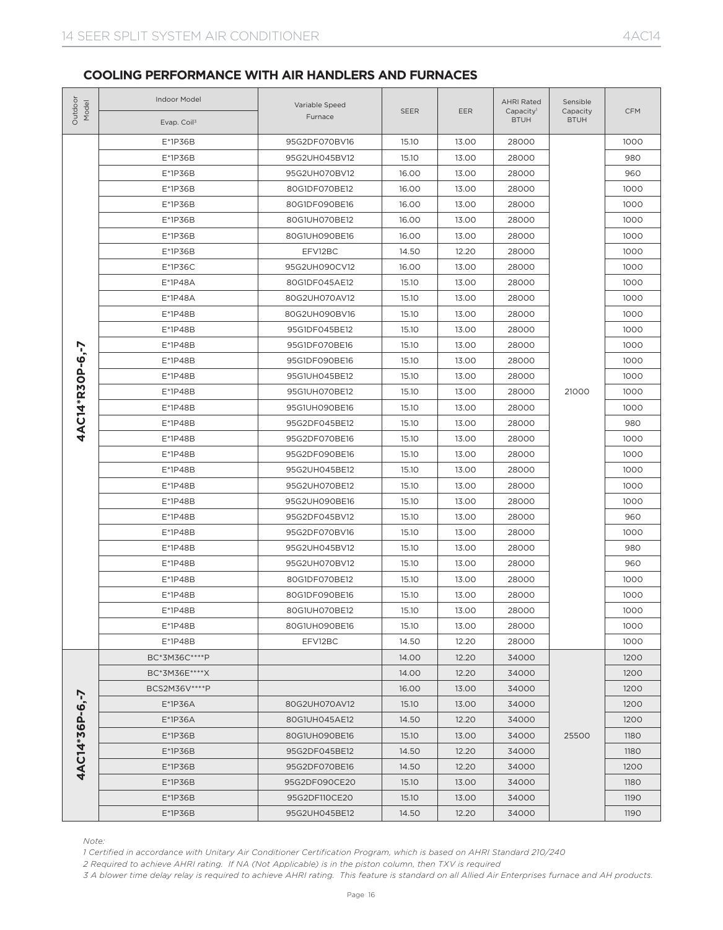| Outdoo<br>Model | Indoor Model<br>Evap. Coil <sup>3</sup>                                                                                                                                                                                                                                                                                                                                             | Variable Speed<br>Furnace | <b>SEER</b> | <b>EER</b> | <b>AHRI Rated</b><br>Capacity <sup>1</sup><br><b>BTUH</b> | Sensible<br>Capacity<br><b>BTUH</b> | <b>CFM</b> |
|-----------------|-------------------------------------------------------------------------------------------------------------------------------------------------------------------------------------------------------------------------------------------------------------------------------------------------------------------------------------------------------------------------------------|---------------------------|-------------|------------|-----------------------------------------------------------|-------------------------------------|------------|
|                 | E*1P36B                                                                                                                                                                                                                                                                                                                                                                             | 95G2DF070BV16             | 15.10       | 13.00      | 28000                                                     |                                     | 1000       |
|                 | E*1P36B                                                                                                                                                                                                                                                                                                                                                                             | 95G2UH045BV12             | 15.10       | 13.00      | 28000                                                     |                                     | 980        |
|                 | E*1P36B                                                                                                                                                                                                                                                                                                                                                                             | 95G2UH070BV12             | 16.00       | 13.00      | 28000                                                     | 21000<br>25500                      | 960        |
|                 | E*1P36B                                                                                                                                                                                                                                                                                                                                                                             | 80G1DF070BE12             | 16.00       | 13.00      | 28000                                                     |                                     | 1000       |
|                 | E*1P36B                                                                                                                                                                                                                                                                                                                                                                             | 80G1DF090BE16             | 16.00       | 13.00      | 28000                                                     |                                     | 1000       |
|                 | E*1P36B                                                                                                                                                                                                                                                                                                                                                                             | 80G1UH070BE12             | 16.00       | 13.00      | 28000                                                     |                                     | 1000       |
|                 | $E*1P36B$                                                                                                                                                                                                                                                                                                                                                                           | 80G1UH090BE16             | 16.00       | 13.00      | 28000                                                     |                                     | 1000       |
|                 | E*1P36B                                                                                                                                                                                                                                                                                                                                                                             | EFV12BC                   | 14.50       | 12.20      | 28000                                                     |                                     | 1000       |
|                 | E*1P36C                                                                                                                                                                                                                                                                                                                                                                             | 95G2UH090CV12             | 16.00       | 13.00      | 28000                                                     |                                     | 1000       |
|                 | E*1P48A                                                                                                                                                                                                                                                                                                                                                                             | 80G1DF045AE12             | 15.10       | 13.00      | 28000                                                     |                                     | 1000       |
|                 | E*1P48A                                                                                                                                                                                                                                                                                                                                                                             | 80G2UH070AV12             | 15.10       | 13.00      | 28000                                                     |                                     | 1000       |
|                 | $E*1P48B$                                                                                                                                                                                                                                                                                                                                                                           | 80G2UH090BV16             | 15.10       | 13.00      | 28000                                                     |                                     | 1000       |
|                 | E*1P48B                                                                                                                                                                                                                                                                                                                                                                             | 95G1DF045BE12             | 15.10       | 13.00      | 28000                                                     |                                     | 1000       |
|                 | $E*1P48B$                                                                                                                                                                                                                                                                                                                                                                           | 95G1DF070BE16             | 15.10       | 13.00      | 28000                                                     |                                     | 1000       |
|                 | E*1P48B                                                                                                                                                                                                                                                                                                                                                                             | 95G1DF090BE16             | 15.10       | 13.00      | 28000                                                     |                                     | 1000       |
|                 | E*1P48B                                                                                                                                                                                                                                                                                                                                                                             | 95G1UH045BE12             | 15.10       | 13.00      | 28000                                                     |                                     | 1000       |
|                 | E*1P48B                                                                                                                                                                                                                                                                                                                                                                             | 95G1UH070BE12             | 15.10       | 13.00      | 28000                                                     |                                     | 1000       |
| 4AC14*R30P-6,-7 | $E*1P48B$                                                                                                                                                                                                                                                                                                                                                                           | 95G1UH090BE16             | 15.10       | 13.00      | 28000                                                     |                                     | 1000       |
|                 | E*1P48B                                                                                                                                                                                                                                                                                                                                                                             | 95G2DF045BE12             | 15.10       | 13.00      | 28000                                                     |                                     | 980        |
|                 | E*1P48B                                                                                                                                                                                                                                                                                                                                                                             | 95G2DF070BE16             | 15.10       | 13.00      | 28000                                                     |                                     | 1000       |
|                 | E*1P48B                                                                                                                                                                                                                                                                                                                                                                             | 95G2DF090BE16             | 15.10       | 13.00      | 28000                                                     |                                     | 1000       |
|                 | E*1P48B                                                                                                                                                                                                                                                                                                                                                                             | 95G2UH045BE12             | 15.10       | 13.00      | 28000                                                     |                                     | 1000       |
|                 | E*1P48B                                                                                                                                                                                                                                                                                                                                                                             | 95G2UH070BE12             | 15.10       | 13.00      | 28000                                                     |                                     | 1000       |
|                 | E*1P48B                                                                                                                                                                                                                                                                                                                                                                             | 95G2UH090BE16             | 15.10       | 13.00      | 28000                                                     |                                     | 1000       |
|                 | E*1P48B                                                                                                                                                                                                                                                                                                                                                                             | 95G2DF045BV12             | 15.10       | 13.00      | 28000                                                     |                                     | 960        |
|                 | E*1P48B                                                                                                                                                                                                                                                                                                                                                                             | 95G2DF070BV16             | 15.10       | 13.00      | 28000                                                     |                                     | 1000       |
|                 | E*1P48B                                                                                                                                                                                                                                                                                                                                                                             | 95G2UH045BV12             | 15.10       | 13.00      | 28000                                                     |                                     | 980        |
|                 | E*1P48B                                                                                                                                                                                                                                                                                                                                                                             | 95G2UH070BV12             | 15.10       | 13.00      | 28000                                                     |                                     | 960        |
|                 | E*1P48B                                                                                                                                                                                                                                                                                                                                                                             | 80G1DF070BE12             | 15.10       | 13.00      | 28000                                                     |                                     | 1000       |
|                 | E*1P48B                                                                                                                                                                                                                                                                                                                                                                             | 80G1DF090BE16             | 15.10       | 13.00      | 28000                                                     |                                     | 1000       |
|                 | E*1P48B                                                                                                                                                                                                                                                                                                                                                                             | 80G1UH070BE12             | 15.10       | 13.00      | 28000                                                     |                                     | 1000       |
|                 | E*1P48B                                                                                                                                                                                                                                                                                                                                                                             | 80G1UH090BE16             | 15.10       | 13.00      | 28000                                                     |                                     | 1000       |
|                 | E*1P48B                                                                                                                                                                                                                                                                                                                                                                             | EFV12BC                   | 14.50       | 12.20      | 28000                                                     |                                     | 1000       |
|                 | BC*3M36C****P                                                                                                                                                                                                                                                                                                                                                                       |                           | 14.00       | 12.20      | 34000                                                     |                                     | 1200       |
|                 | BC*3M36E****X                                                                                                                                                                                                                                                                                                                                                                       |                           | 14.00       | 12.20      | 34000                                                     |                                     | 1200       |
|                 | BCS2M36V **** P                                                                                                                                                                                                                                                                                                                                                                     |                           | 16.00       | 13.00      | 34000                                                     |                                     | 1200       |
|                 | $E*1P36A$                                                                                                                                                                                                                                                                                                                                                                           | 80G2UH070AV12             | 15.10       | 13.00      | 34000                                                     |                                     | 1200       |
|                 | $E*1P36A$                                                                                                                                                                                                                                                                                                                                                                           | 80G1UH045AE12             | 14.50       | 12.20      | 34000                                                     |                                     | 1200       |
|                 | $E*1P36B$                                                                                                                                                                                                                                                                                                                                                                           | 80G1UH090BE16             | 15.10       | 13.00      | 34000                                                     |                                     | 1180       |
|                 | $E*1P36B$                                                                                                                                                                                                                                                                                                                                                                           | 95G2DF045BE12             | 14.50       | 12.20      | 34000                                                     |                                     | 1180       |
|                 | $E*1P36B$                                                                                                                                                                                                                                                                                                                                                                           | 95G2DF070BE16             | 14.50       | 12.20      | 34000                                                     |                                     | 1200       |
|                 | $E*1P36B$                                                                                                                                                                                                                                                                                                                                                                           | 95G2DF090CE20             | 15.10       | 13.00      | 34000                                                     | 34000                               | 1180       |
|                 | $E*1P36B$                                                                                                                                                                                                                                                                                                                                                                           | 95G2DF110CE20             | 15.10       | 13.00      |                                                           |                                     | 1190       |
| 4AC14*36P-6,-7  | $E*1P36B$                                                                                                                                                                                                                                                                                                                                                                           | 95G2UH045BE12             | 14.50       | 12.20      | 34000                                                     |                                     | 1190       |
| Note:           | 1 Certified in accordance with Unitary Air Conditioner Certification Program, which is based on AHRI Standard 210/240<br>2 Required to achieve AHRI rating. If NA (Not Applicable) is in the piston column, then TXV is required<br>3 A blower time delay relay is required to achieve AHRI rating. This feature is standard on all Allied Air Enterprises furnace and AH products. |                           |             |            |                                                           |                                     |            |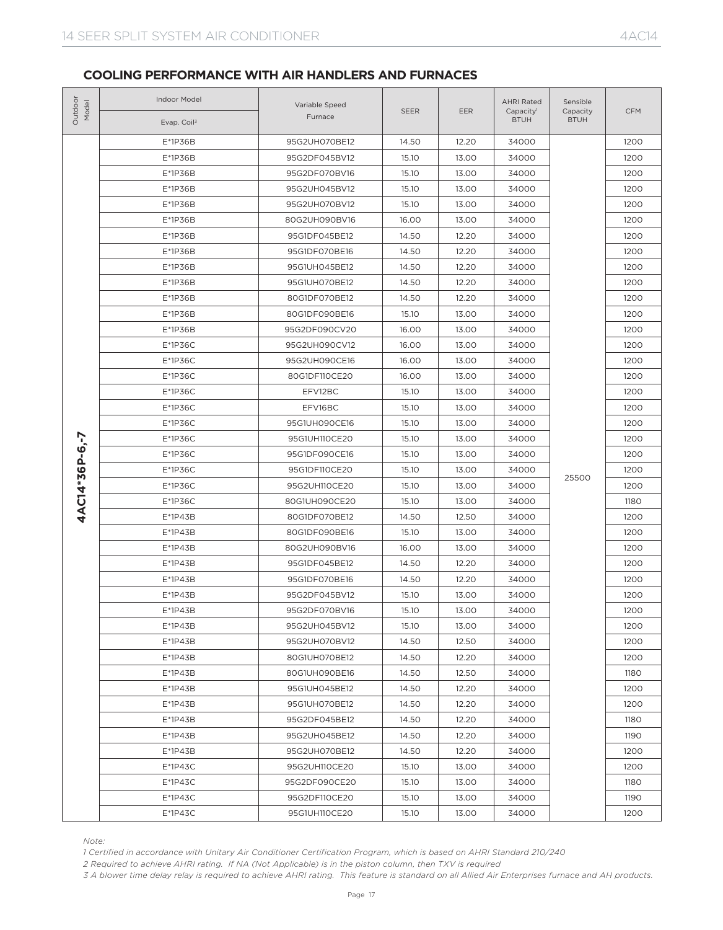| Outdoor<br>Model | Indoor Model<br>Evap. Coil <sup>3</sup>                                                                                                                                                                                                                                                                                                                                             | Variable Speed<br>Furnace | <b>SEER</b> | EER   | <b>AHRI Rated</b><br>Capacity <sup>1</sup><br><b>BTUH</b> | Sensible<br>Capacity<br><b>BTUH</b> | <b>CFM</b> |
|------------------|-------------------------------------------------------------------------------------------------------------------------------------------------------------------------------------------------------------------------------------------------------------------------------------------------------------------------------------------------------------------------------------|---------------------------|-------------|-------|-----------------------------------------------------------|-------------------------------------|------------|
|                  | E*1P36B                                                                                                                                                                                                                                                                                                                                                                             | 95G2UH070BE12             | 14.50       | 12.20 | 34000                                                     |                                     | 1200       |
|                  | E*1P36B                                                                                                                                                                                                                                                                                                                                                                             | 95G2DF045BV12             | 15.10       | 13.00 | 34000                                                     |                                     | 1200       |
|                  | E*1P36B                                                                                                                                                                                                                                                                                                                                                                             | 95G2DF070BV16             | 15.10       | 13.00 | 34000                                                     | 25500                               | 1200       |
|                  | E*1P36B                                                                                                                                                                                                                                                                                                                                                                             | 95G2UH045BV12             | 15.10       | 13.00 | 34000                                                     |                                     | 1200       |
|                  | $E*1P36B$                                                                                                                                                                                                                                                                                                                                                                           | 95G2UH070BV12             | 15.10       | 13.00 | 34000                                                     |                                     | 1200       |
|                  | E*1P36B                                                                                                                                                                                                                                                                                                                                                                             | 80G2UH090BV16             | 16.00       | 13.00 | 34000                                                     |                                     | 1200       |
|                  | E*1P36B                                                                                                                                                                                                                                                                                                                                                                             | 95G1DF045BE12             | 14.50       | 12.20 | 34000                                                     |                                     | 1200       |
|                  | E*1P36B                                                                                                                                                                                                                                                                                                                                                                             | 95G1DF070BE16             | 14.50       | 12.20 | 34000                                                     |                                     | 1200       |
|                  | $E*1P36B$                                                                                                                                                                                                                                                                                                                                                                           | 95G1UH045BE12             | 14.50       | 12.20 | 34000                                                     |                                     | 1200       |
|                  | E*1P36B                                                                                                                                                                                                                                                                                                                                                                             | 95G1UH070BE12             | 14.50       | 12.20 | 34000                                                     |                                     | 1200       |
|                  | E*1P36B                                                                                                                                                                                                                                                                                                                                                                             | 80G1DF070BE12             | 14.50       | 12.20 | 34000                                                     |                                     | 1200       |
|                  | E*1P36B                                                                                                                                                                                                                                                                                                                                                                             | 80G1DF090BE16             | 15.10       | 13.00 | 34000                                                     |                                     | 1200       |
|                  | $E*1P36B$                                                                                                                                                                                                                                                                                                                                                                           | 95G2DF090CV20             | 16.00       | 13.00 | 34000                                                     |                                     | 1200       |
|                  | $E*1P36C$                                                                                                                                                                                                                                                                                                                                                                           | 95G2UH090CV12             | 16.00       | 13.00 | 34000                                                     |                                     | 1200       |
|                  | $E*1P36C$                                                                                                                                                                                                                                                                                                                                                                           | 95G2UH090CE16             | 16.00       | 13.00 | 34000                                                     |                                     | 1200       |
|                  | $E*1P36C$                                                                                                                                                                                                                                                                                                                                                                           | 80G1DF110CE20             | 16.00       | 13.00 | 34000                                                     |                                     | 1200       |
|                  | $E*1P36C$                                                                                                                                                                                                                                                                                                                                                                           | EFV12BC                   | 15.10       | 13.00 | 34000                                                     |                                     | 1200       |
|                  | $E*1P36C$                                                                                                                                                                                                                                                                                                                                                                           | EFV16BC                   | 15.10       | 13.00 | 34000                                                     |                                     | 1200       |
|                  | $E*1P36C$                                                                                                                                                                                                                                                                                                                                                                           | 95G1UH090CE16             | 15.10       | 13.00 | 34000                                                     |                                     | 1200       |
|                  | $E*1P36C$                                                                                                                                                                                                                                                                                                                                                                           | 95G1UH110CE20             | 15.10       | 13.00 | 34000                                                     |                                     | 1200       |
|                  | $E*1P36C$                                                                                                                                                                                                                                                                                                                                                                           | 95G1DF090CE16             | 15.10       | 13.00 | 34000                                                     |                                     | 1200       |
|                  | $E*1P36C$                                                                                                                                                                                                                                                                                                                                                                           | 95G1DF110CE20             | 15.10       | 13.00 | 34000                                                     |                                     | 1200       |
| 4AC14*36P-6,-7   | $E*1P36C$                                                                                                                                                                                                                                                                                                                                                                           | 95G2UH110CE20             | 15.10       | 13.00 | 34000                                                     |                                     | 1200       |
|                  | $E*1P36C$                                                                                                                                                                                                                                                                                                                                                                           | 80G1UH090CE20             | 15.10       | 13.00 | 34000                                                     |                                     | 1180       |
|                  | $E*1P43B$                                                                                                                                                                                                                                                                                                                                                                           | 80G1DF070BE12             | 14.50       | 12.50 | 34000                                                     |                                     | 1200       |
|                  | $E*1P43B$                                                                                                                                                                                                                                                                                                                                                                           | 80G1DF090BE16             | 15.10       | 13.00 | 34000                                                     |                                     | 1200       |
|                  | $E*1P43B$                                                                                                                                                                                                                                                                                                                                                                           | 80G2UH090BV16             | 16.00       | 13.00 | 34000                                                     |                                     | 1200       |
|                  | $E*1P43B$                                                                                                                                                                                                                                                                                                                                                                           | 95G1DF045BE12             | 14.50       | 12.20 | 34000                                                     |                                     | 1200       |
|                  | $E*1P43B$                                                                                                                                                                                                                                                                                                                                                                           | 95G1DF070BE16             | 14.50       | 12.20 | 34000                                                     |                                     | 1200       |
|                  | $E*1P43B$                                                                                                                                                                                                                                                                                                                                                                           | 95G2DF045BV12             | 15.10       | 13.00 | 34000                                                     |                                     | 1200       |
|                  | E*1P43B                                                                                                                                                                                                                                                                                                                                                                             | 95G2DF070BV16             | 15.10       | 13.00 | 34000                                                     |                                     | 1200       |
|                  | E*1P43B                                                                                                                                                                                                                                                                                                                                                                             | 95G2UH045BV12             | 15.10       | 13.00 | 34000                                                     |                                     | 1200       |
|                  | $E*1P43B$                                                                                                                                                                                                                                                                                                                                                                           | 95G2UH070BV12             | 14.50       | 12.50 | 34000                                                     |                                     | 1200       |
|                  | E*1P43B                                                                                                                                                                                                                                                                                                                                                                             | 80G1UH070BE12             | 14.50       | 12.20 | 34000                                                     |                                     | 1200       |
|                  | E*1P43B                                                                                                                                                                                                                                                                                                                                                                             | 80G1UH090BE16             | 14.50       | 12.50 | 34000                                                     |                                     | 1180       |
|                  | E*1P43B                                                                                                                                                                                                                                                                                                                                                                             | 95G1UH045BE12             | 14.50       | 12.20 | 34000                                                     |                                     | 1200       |
|                  | E*1P43B                                                                                                                                                                                                                                                                                                                                                                             | 95G1UH070BE12             | 14.50       | 12.20 | 34000                                                     |                                     | 1200       |
|                  | E*1P43B                                                                                                                                                                                                                                                                                                                                                                             | 95G2DF045BE12             | 14.50       | 12.20 | 34000                                                     |                                     | 1180       |
|                  | E*1P43B                                                                                                                                                                                                                                                                                                                                                                             | 95G2UH045BE12             | 14.50       | 12.20 | 34000                                                     |                                     | 1190       |
|                  | E*1P43B                                                                                                                                                                                                                                                                                                                                                                             | 95G2UH070BE12             | 14.50       | 12.20 | 34000                                                     |                                     | 1200       |
|                  | E*1P43C                                                                                                                                                                                                                                                                                                                                                                             | 95G2UH110CE20             | 15.10       | 13.00 | 34000                                                     |                                     | 1200       |
|                  | E*1P43C                                                                                                                                                                                                                                                                                                                                                                             | 95G2DF090CE20             | 15.10       | 13.00 | 34000                                                     |                                     | 1180       |
|                  | $E*1P43C$                                                                                                                                                                                                                                                                                                                                                                           | 95G2DF110CE20             | 15.10       | 13.00 | 34000                                                     |                                     | 1190       |
|                  | E*1P43C                                                                                                                                                                                                                                                                                                                                                                             | 95G1UH110CE20             | 15.10       | 13.00 | 34000                                                     |                                     | 1200       |
| Note:            | 1 Certified in accordance with Unitary Air Conditioner Certification Program, which is based on AHRI Standard 210/240<br>2 Required to achieve AHRI rating. If NA (Not Applicable) is in the piston column, then TXV is required<br>3 A blower time delay relay is required to achieve AHRI rating. This feature is standard on all Allied Air Enterprises furnace and AH products. |                           |             |       |                                                           |                                     |            |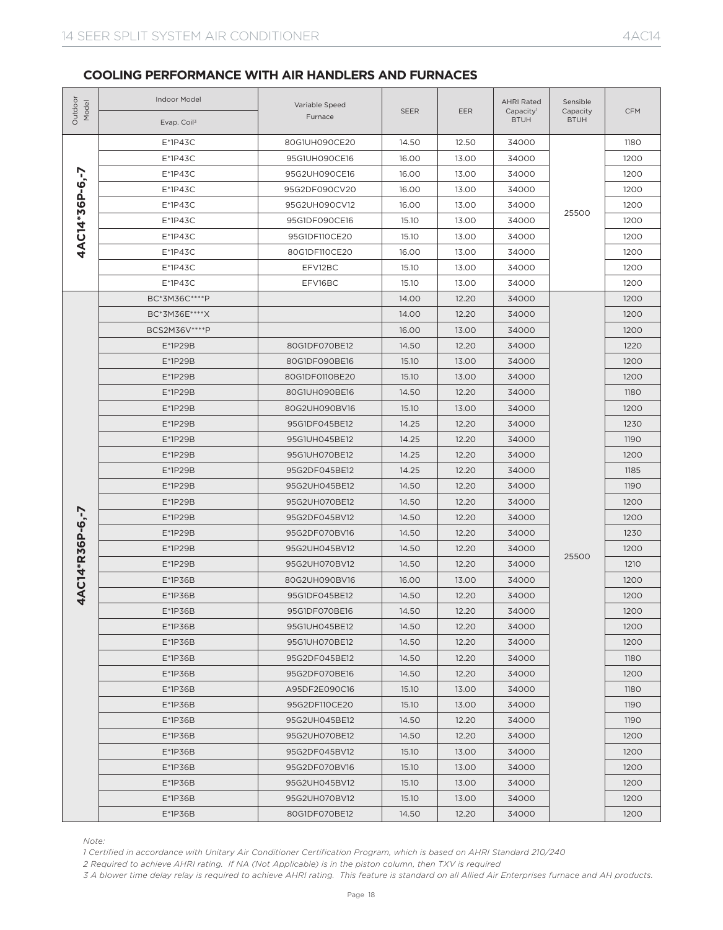| Outdoor<br>Model | Indoor Model<br>Evap. Coil <sup>3</sup>                                                                                                                                                                                                                                                                                                                                             | Variable Speed<br>Furnace | SEER  | EER   | <b>AHRI Rated</b><br>Capacity <sup>1</sup><br><b>BTUH</b> | Sensible<br>Capacity<br><b>BTUH</b> | <b>CFM</b> |
|------------------|-------------------------------------------------------------------------------------------------------------------------------------------------------------------------------------------------------------------------------------------------------------------------------------------------------------------------------------------------------------------------------------|---------------------------|-------|-------|-----------------------------------------------------------|-------------------------------------|------------|
|                  | $E*1P43C$                                                                                                                                                                                                                                                                                                                                                                           | 80G1UH090CE20             | 14.50 | 12.50 | 34000                                                     |                                     | 1180       |
|                  | $E*1P43C$                                                                                                                                                                                                                                                                                                                                                                           | 95G1UH090CE16             | 16.00 | 13.00 | 34000                                                     |                                     | 1200       |
|                  | $E*1P43C$                                                                                                                                                                                                                                                                                                                                                                           | 95G2UH090CE16             | 16.00 | 13.00 | 34000                                                     |                                     | 1200       |
| 4AC14*36P-6,-7   | $E*1P43C$                                                                                                                                                                                                                                                                                                                                                                           | 95G2DF090CV20             | 16.00 | 13.00 | 34000                                                     |                                     | 1200       |
|                  | $E*1P43C$                                                                                                                                                                                                                                                                                                                                                                           | 95G2UH090CV12             | 16.00 | 13.00 | 34000                                                     |                                     | 1200       |
|                  | $E*1P43C$                                                                                                                                                                                                                                                                                                                                                                           | 95G1DF090CE16             | 15.10 | 13.00 | 34000                                                     | 25500                               | 1200       |
|                  | $E*1P43C$                                                                                                                                                                                                                                                                                                                                                                           | 95G1DF110CE20             | 15.10 | 13.00 | 34000                                                     |                                     | 1200       |
|                  | $E*1P43C$                                                                                                                                                                                                                                                                                                                                                                           | 80G1DF110CE20             | 16.00 | 13.00 | 34000                                                     |                                     | 1200       |
|                  | $E*1P43C$                                                                                                                                                                                                                                                                                                                                                                           | EFV12BC                   | 15.10 | 13.00 | 34000                                                     |                                     | 1200       |
|                  | $E*1P43C$                                                                                                                                                                                                                                                                                                                                                                           | EFV16BC                   | 15.10 | 13.00 | 34000                                                     |                                     | 1200       |
|                  | BC*3M36C****P                                                                                                                                                                                                                                                                                                                                                                       |                           | 14.00 | 12.20 | 34000                                                     |                                     | 1200       |
|                  | BC*3M36E****X                                                                                                                                                                                                                                                                                                                                                                       |                           | 14.00 | 12.20 | 34000                                                     |                                     | 1200       |
|                  | BCS2M36V **** P                                                                                                                                                                                                                                                                                                                                                                     |                           | 16.00 | 13.00 | 34000                                                     |                                     | 1200       |
|                  | E*1P29B                                                                                                                                                                                                                                                                                                                                                                             | 80G1DF070BE12             | 14.50 | 12.20 | 34000                                                     |                                     | 1220       |
|                  | E*1P29B                                                                                                                                                                                                                                                                                                                                                                             | 80G1DF090BE16             | 15.10 | 13.00 | 34000                                                     |                                     | 1200       |
|                  | $E*1P29B$                                                                                                                                                                                                                                                                                                                                                                           | 80G1DF0110BE20            | 15.10 | 13.00 | 34000                                                     |                                     | 1200       |
|                  | E*1P29B                                                                                                                                                                                                                                                                                                                                                                             | 80G1UH090BE16             | 14.50 | 12.20 | 34000                                                     |                                     | 1180       |
|                  | E*1P29B                                                                                                                                                                                                                                                                                                                                                                             | 80G2UH090BV16             | 15.10 | 13.00 | 34000                                                     |                                     | 1200       |
|                  | E*1P29B                                                                                                                                                                                                                                                                                                                                                                             | 95G1DF045BE12             | 14.25 | 12.20 | 34000                                                     |                                     | 1230       |
|                  | E*1P29B                                                                                                                                                                                                                                                                                                                                                                             | 95G1UH045BE12             | 14.25 | 12.20 | 34000                                                     |                                     | 1190       |
|                  | E*1P29B                                                                                                                                                                                                                                                                                                                                                                             | 95G1UH070BE12             | 14.25 | 12.20 | 34000                                                     |                                     | 1200       |
|                  | E*1P29B                                                                                                                                                                                                                                                                                                                                                                             | 95G2DF045BE12             | 14.25 | 12.20 | 34000                                                     |                                     | 1185       |
|                  | E*1P29B                                                                                                                                                                                                                                                                                                                                                                             | 95G2UH045BE12             | 14.50 | 12.20 | 34000                                                     |                                     | 1190       |
|                  | E*1P29B                                                                                                                                                                                                                                                                                                                                                                             | 95G2UH070BE12             | 14.50 | 12.20 | 34000                                                     |                                     | 1200       |
|                  | E*1P29B                                                                                                                                                                                                                                                                                                                                                                             | 95G2DF045BV12             | 14.50 | 12.20 | 34000                                                     | 1200                                |            |
| AC14*R36P-6,-7   | $E*1P29B$                                                                                                                                                                                                                                                                                                                                                                           | 95G2DF070BV16             | 14.50 | 12.20 | 34000                                                     |                                     | 1230       |
|                  | $E*1P29B$                                                                                                                                                                                                                                                                                                                                                                           | 95G2UH045BV12             | 14.50 | 12.20 | 34000                                                     |                                     | 1200       |
|                  | E*1P29B                                                                                                                                                                                                                                                                                                                                                                             | 95G2UH070BV12             | 14.50 | 12.20 | 34000                                                     | 25500                               | 1210       |
|                  | $E*1P36B$                                                                                                                                                                                                                                                                                                                                                                           | 80G2UH090BV16             | 16.00 | 13.00 | 34000                                                     |                                     | 1200       |
|                  | $E*1P36B$                                                                                                                                                                                                                                                                                                                                                                           | 95G1DF045BE12             | 14.50 | 12.20 | 34000                                                     |                                     | 1200       |
|                  | $E*1P36B$                                                                                                                                                                                                                                                                                                                                                                           | 95G1DF070BE16             | 14.50 | 12.20 | 34000                                                     |                                     | 1200       |
|                  | $E*1P36B$                                                                                                                                                                                                                                                                                                                                                                           | 95G1UH045BE12             | 14.50 | 12.20 | 34000                                                     |                                     | 1200       |
|                  | $E*1P36B$                                                                                                                                                                                                                                                                                                                                                                           | 95G1UH070BE12             | 14.50 | 12.20 | 34000                                                     |                                     | 1200       |
|                  | $E*1P36B$                                                                                                                                                                                                                                                                                                                                                                           | 95G2DF045BE12             | 14.50 | 12.20 | 34000                                                     |                                     | 1180       |
|                  | $E*1P36B$                                                                                                                                                                                                                                                                                                                                                                           | 95G2DF070BE16             | 14.50 | 12.20 | 34000                                                     |                                     | 1200       |
|                  | $E*1P36B$                                                                                                                                                                                                                                                                                                                                                                           | A95DF2E090C16             | 15.10 | 13.00 | 34000                                                     |                                     | 1180       |
|                  | E*1P36B                                                                                                                                                                                                                                                                                                                                                                             | 95G2DF110CE20             | 15.10 | 13.00 | 34000                                                     |                                     | 1190       |
|                  | E*1P36B                                                                                                                                                                                                                                                                                                                                                                             | 95G2UH045BE12             | 14.50 | 12.20 | 34000                                                     |                                     | 1190       |
|                  | $E*1P36B$                                                                                                                                                                                                                                                                                                                                                                           | 95G2UH070BE12             | 14.50 | 12.20 | 34000                                                     |                                     | 1200       |
|                  | $E*1P36B$                                                                                                                                                                                                                                                                                                                                                                           | 95G2DF045BV12             | 15.10 | 13.00 | 34000                                                     |                                     | 1200       |
|                  | $E*1P36B$                                                                                                                                                                                                                                                                                                                                                                           | 95G2DF070BV16             | 15.10 | 13.00 | 34000                                                     |                                     | 1200       |
|                  | $E*1P36B$                                                                                                                                                                                                                                                                                                                                                                           | 95G2UH045BV12             | 15.10 | 13.00 | 34000                                                     |                                     | 1200       |
|                  | $E*1P36B$                                                                                                                                                                                                                                                                                                                                                                           | 95G2UH070BV12             | 15.10 | 13.00 | 34000                                                     |                                     | 1200       |
|                  | $E*1P36B$                                                                                                                                                                                                                                                                                                                                                                           | 80G1DF070BE12             | 14.50 | 12.20 | 34000                                                     |                                     | 1200       |
| Note:            | 1 Certified in accordance with Unitary Air Conditioner Certification Program, which is based on AHRI Standard 210/240<br>2 Required to achieve AHRI rating. If NA (Not Applicable) is in the piston column, then TXV is required<br>3 A blower time delay relay is required to achieve AHRI rating. This feature is standard on all Allied Air Enterprises furnace and AH products. |                           |       |       |                                                           |                                     |            |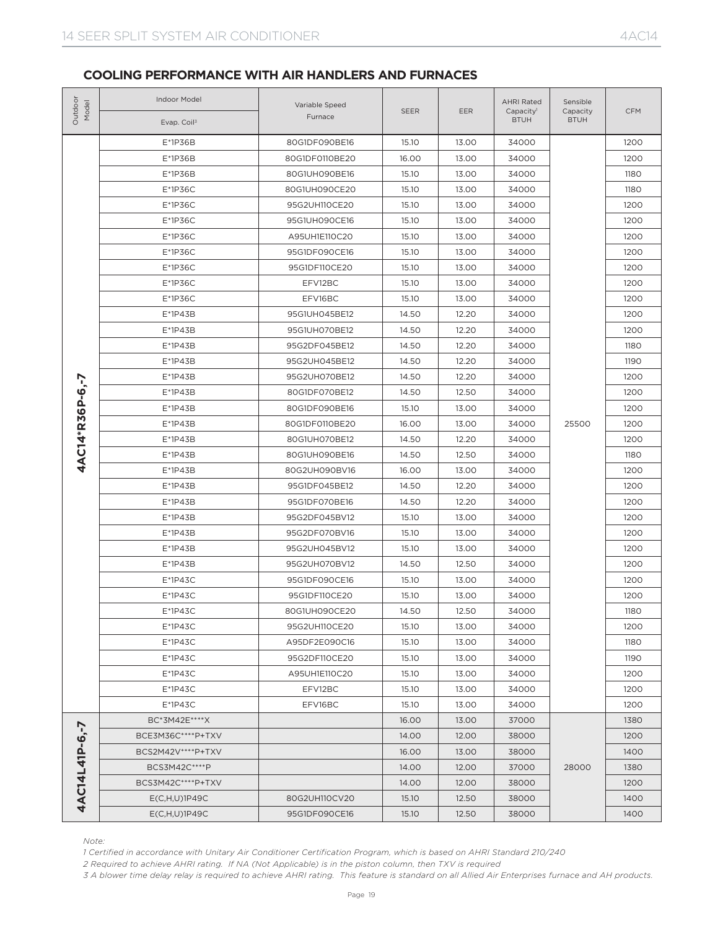| Outdoo<br>Model | <b>Indoor Model</b><br>Evap. Coil <sup>3</sup>                                                                                                                                                                                                                                                                                                                                      | Variable Speed<br>Furnace | <b>SEER</b> | <b>EER</b> | <b>AHRI Rated</b><br>Capacity <sup>1</sup><br><b>BTUH</b> | Sensible<br>Capacity<br><b>BTUH</b> | <b>CFM</b> |
|-----------------|-------------------------------------------------------------------------------------------------------------------------------------------------------------------------------------------------------------------------------------------------------------------------------------------------------------------------------------------------------------------------------------|---------------------------|-------------|------------|-----------------------------------------------------------|-------------------------------------|------------|
|                 | $E*1P36B$                                                                                                                                                                                                                                                                                                                                                                           | 80G1DF090BE16             | 15.10       | 13.00      | 34000                                                     |                                     | 1200       |
|                 | E*1P36B                                                                                                                                                                                                                                                                                                                                                                             | 80G1DF0110BE20            | 16.00       | 13.00      | 34000                                                     |                                     | 1200       |
|                 | E*1P36B                                                                                                                                                                                                                                                                                                                                                                             | 80G1UH090BE16             | 15.10       | 13.00      | 34000                                                     | 25500<br>28000                      | 1180       |
|                 | $E*1P36C$                                                                                                                                                                                                                                                                                                                                                                           | 80G1UH090CE20             | 15.10       | 13.00      | 34000                                                     |                                     | 1180       |
|                 | $E*1P36C$                                                                                                                                                                                                                                                                                                                                                                           | 95G2UH110CE20             | 15.10       | 13.00      | 34000                                                     |                                     | 1200       |
|                 | $E*1P36C$                                                                                                                                                                                                                                                                                                                                                                           | 95G1UH090CE16             | 15.10       | 13.00      | 34000                                                     |                                     | 1200       |
|                 | $E*1P36C$                                                                                                                                                                                                                                                                                                                                                                           | A95UH1E110C20             | 15.10       | 13.00      | 34000                                                     |                                     | 1200       |
|                 | $E*1P36C$                                                                                                                                                                                                                                                                                                                                                                           | 95G1DF090CE16             | 15.10       | 13.00      | 34000                                                     |                                     | 1200       |
|                 | $E*1P36C$                                                                                                                                                                                                                                                                                                                                                                           | 95G1DF110CE20             | 15.10       | 13.00      | 34000                                                     |                                     | 1200       |
|                 | $E*1P36C$                                                                                                                                                                                                                                                                                                                                                                           | EFV12BC                   | 15.10       | 13.00      | 34000                                                     |                                     | 1200       |
|                 | $E*1P36C$                                                                                                                                                                                                                                                                                                                                                                           | EFV16BC                   | 15.10       | 13.00      | 34000                                                     |                                     | 1200       |
|                 | $E*1P43B$                                                                                                                                                                                                                                                                                                                                                                           | 95G1UH045BE12             | 14.50       | 12.20      | 34000                                                     |                                     | 1200       |
|                 | $E*1P43B$                                                                                                                                                                                                                                                                                                                                                                           | 95G1UH070BE12             | 14.50       | 12.20      | 34000                                                     |                                     | 1200       |
|                 | $E*1P43B$                                                                                                                                                                                                                                                                                                                                                                           | 95G2DF045BE12             | 14.50       | 12.20      | 34000                                                     |                                     | 1180       |
|                 | $E*1P43B$                                                                                                                                                                                                                                                                                                                                                                           | 95G2UH045BE12             | 14.50       | 12.20      | 34000                                                     |                                     | 1190       |
|                 | $E*1P43B$                                                                                                                                                                                                                                                                                                                                                                           | 95G2UH070BE12             | 14.50       | 12.20      | 34000                                                     |                                     | 1200       |
|                 | $E*1P43B$                                                                                                                                                                                                                                                                                                                                                                           | 80G1DF070BE12             | 14.50       | 12.50      | 34000                                                     |                                     | 1200       |
|                 | $E*1P43B$                                                                                                                                                                                                                                                                                                                                                                           | 80G1DF090BE16             | 15.10       | 13.00      | 34000                                                     |                                     | 1200       |
|                 | $E*1P43B$                                                                                                                                                                                                                                                                                                                                                                           | 80G1DF0110BE20            | 16.00       | 13.00      | 34000                                                     |                                     | 1200       |
|                 | E*1P43B                                                                                                                                                                                                                                                                                                                                                                             | 80G1UH070BE12             | 14.50       | 12.20      | 34000                                                     |                                     | 1200       |
| 4AC14*R36P-6,-7 | $E*1P43B$                                                                                                                                                                                                                                                                                                                                                                           | 80G1UH090BE16             | 14.50       | 12.50      | 34000                                                     |                                     | 1180       |
|                 | $E*1P43B$                                                                                                                                                                                                                                                                                                                                                                           | 80G2UH090BV16             | 16.00       | 13.00      | 34000                                                     |                                     | 1200       |
|                 | $E*1P43B$                                                                                                                                                                                                                                                                                                                                                                           | 95G1DF045BE12             | 14.50       | 12.20      | 34000                                                     |                                     | 1200       |
|                 | $E*1P43B$                                                                                                                                                                                                                                                                                                                                                                           | 95G1DF070BE16             | 14.50       | 12.20      | 34000                                                     |                                     | 1200       |
|                 | $E*1P43B$                                                                                                                                                                                                                                                                                                                                                                           | 95G2DF045BV12             | 15.10       | 13.00      | 34000                                                     |                                     | 1200       |
|                 | E*1P43B                                                                                                                                                                                                                                                                                                                                                                             | 95G2DF070BV16             | 15.10       | 13.00      | 34000                                                     |                                     | 1200       |
|                 | E*1P43B                                                                                                                                                                                                                                                                                                                                                                             | 95G2UH045BV12             | 15.10       | 13.00      | 34000                                                     |                                     | 1200       |
|                 | E*1P43B                                                                                                                                                                                                                                                                                                                                                                             | 95G2UH070BV12             | 14.50       | 12.50      | 34000                                                     |                                     | 1200       |
|                 | $E*1P43C$                                                                                                                                                                                                                                                                                                                                                                           | 95G1DF090CE16             | 15.10       | 13.00      | 34000                                                     |                                     | 1200       |
|                 | $E*1P43C$                                                                                                                                                                                                                                                                                                                                                                           | 95G1DF110CE20             | 15.10       | 13.00      | 34000                                                     |                                     | 1200       |
|                 | $E*1P43C$                                                                                                                                                                                                                                                                                                                                                                           | 80G1UH090CE20             | 14.50       | 12.50      | 34000                                                     |                                     | 1180       |
|                 | $E*1P43C$                                                                                                                                                                                                                                                                                                                                                                           | 95G2UH110CE20             | 15.10       | 13.00      | 34000                                                     |                                     | 1200       |
|                 | $E*1P43C$                                                                                                                                                                                                                                                                                                                                                                           | A95DF2E090C16             | 15.10       | 13.00      | 34000                                                     |                                     | 1180       |
|                 | $E*1P43C$                                                                                                                                                                                                                                                                                                                                                                           | 95G2DF110CE20             | 15.10       | 13.00      | 34000                                                     |                                     | 1190       |
|                 | $E*1P43C$                                                                                                                                                                                                                                                                                                                                                                           | A95UH1E110C20             | 15.10       | 13.00      | 34000                                                     |                                     | 1200       |
|                 | E*1P43C                                                                                                                                                                                                                                                                                                                                                                             | EFV12BC                   | 15.10       | 13.00      | 34000                                                     |                                     | 1200       |
|                 | $E*1P43C$                                                                                                                                                                                                                                                                                                                                                                           | EFV16BC                   | 15.10       | 13.00      | 34000                                                     |                                     | 1200       |
|                 | BC*3M42E****X                                                                                                                                                                                                                                                                                                                                                                       |                           | 16.00       | 13.00      | 37000                                                     |                                     | 1380       |
| 4AC14L41P-6,-7  | BCE3M36C****P+TXV                                                                                                                                                                                                                                                                                                                                                                   |                           | 14.00       | 12.00      | 38000                                                     |                                     | 1200       |
|                 | BCS2M42V **** P+TXV                                                                                                                                                                                                                                                                                                                                                                 |                           | 16.00       | 13.00      | 38000                                                     |                                     | 1400       |
|                 | BCS3M42C****P                                                                                                                                                                                                                                                                                                                                                                       |                           | 14.00       | 12.00      | 37000                                                     |                                     | 1380       |
|                 | BCS3M42C****P+TXV                                                                                                                                                                                                                                                                                                                                                                   |                           | 14.00       | 12.00      | 38000                                                     |                                     | 1200       |
|                 | $E(C,H,U)$ 1P49C                                                                                                                                                                                                                                                                                                                                                                    | 80G2UH110CV20             | 15.10       | 12.50      | 38000                                                     |                                     | 1400       |
|                 | $E(C,H,U)$ 1P49C                                                                                                                                                                                                                                                                                                                                                                    | 95G1DF090CE16             | 15.10       | 12.50      | 38000                                                     |                                     | 1400       |
| Note:           | 1 Certified in accordance with Unitary Air Conditioner Certification Program, which is based on AHRI Standard 210/240<br>2 Required to achieve AHRI rating. If NA (Not Applicable) is in the piston column, then TXV is required<br>3 A blower time delay relay is required to achieve AHRI rating. This feature is standard on all Allied Air Enterprises furnace and AH products. |                           |             |            |                                                           |                                     |            |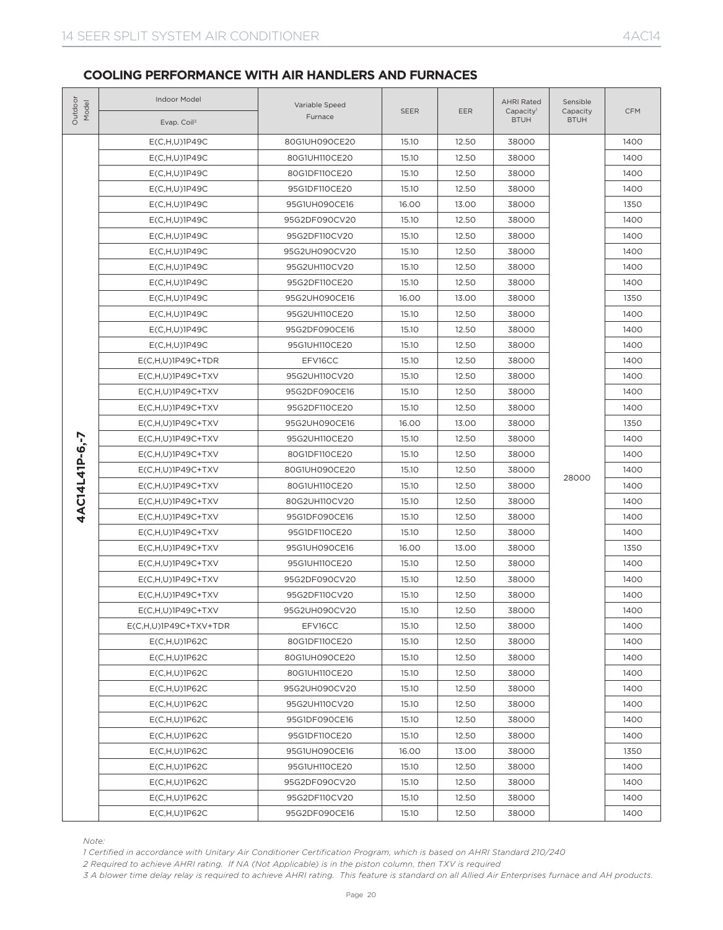| Outdoor<br>Model | Indoor Model<br>Evap. Coil <sup>3</sup>                                                                                                                                                                                                                                                                                                                                             | Variable Speed<br>Furnace | <b>SEER</b> | EER   | <b>AHRI Rated</b><br>Capacity <sup>1</sup><br><b>BTUH</b> | Sensible<br>Capacity<br><b>BTUH</b> | <b>CFM</b> |
|------------------|-------------------------------------------------------------------------------------------------------------------------------------------------------------------------------------------------------------------------------------------------------------------------------------------------------------------------------------------------------------------------------------|---------------------------|-------------|-------|-----------------------------------------------------------|-------------------------------------|------------|
|                  |                                                                                                                                                                                                                                                                                                                                                                                     | 80G1UH090CE20             | 15.10       | 12.50 | 38000                                                     |                                     | 1400       |
|                  | $E(C,H,U)$ 1P49C<br>$E(C,H,U)$ 1P49C                                                                                                                                                                                                                                                                                                                                                | 80G1UH110CE20             | 15.10       | 12.50 | 38000                                                     |                                     | 1400       |
|                  | $E(C,H,U)$ 1P49C                                                                                                                                                                                                                                                                                                                                                                    | 80G1DF110CE20             | 15.10       | 12.50 | 38000                                                     |                                     | 1400       |
|                  | $E(C,H,U)$ 1P49C                                                                                                                                                                                                                                                                                                                                                                    | 95G1DF110CE20             | 15.10       | 12.50 | 38000                                                     | 28000                               | 1400       |
|                  |                                                                                                                                                                                                                                                                                                                                                                                     | 95G1UH090CE16             | 16.00       | 13.00 | 38000                                                     |                                     | 1350       |
|                  | $E(C,H,U)$ 1P49C<br>$E(C,H,U)$ 1P49C                                                                                                                                                                                                                                                                                                                                                | 95G2DF090CV20             | 15.10       | 12.50 | 38000                                                     |                                     | 1400       |
|                  | $E(C,H,U)$ 1P49C                                                                                                                                                                                                                                                                                                                                                                    | 95G2DF110CV20             | 15.10       | 12.50 | 38000                                                     |                                     | 1400       |
|                  | $E(C,H,U)$ 1P49C                                                                                                                                                                                                                                                                                                                                                                    | 95G2UH090CV20             | 15.10       | 12.50 | 38000                                                     |                                     | 1400       |
|                  | $E(C,H,U)$ 1P49C                                                                                                                                                                                                                                                                                                                                                                    | 95G2UH110CV20             | 15.10       | 12.50 | 38000                                                     |                                     | 1400       |
|                  | $E(C,H,U)$ 1P49C                                                                                                                                                                                                                                                                                                                                                                    | 95G2DF110CE20             | 15.10       | 12.50 | 38000                                                     |                                     | 1400       |
|                  | $E(C,H,U)$ 1P49C                                                                                                                                                                                                                                                                                                                                                                    | 95G2UH090CE16             | 16.00       | 13.00 | 38000                                                     |                                     | 1350       |
|                  | $E(C,H,U)$ 1P49C                                                                                                                                                                                                                                                                                                                                                                    | 95G2UH110CE20             | 15.10       | 12.50 | 38000                                                     |                                     | 1400       |
|                  | $E(C,H,U)$ 1P49C                                                                                                                                                                                                                                                                                                                                                                    | 95G2DF090CE16             | 15.10       | 12.50 | 38000                                                     |                                     | 1400       |
|                  | $E(C,H,U)$ 1P49C                                                                                                                                                                                                                                                                                                                                                                    | 95G1UH110CE20             | 15.10       | 12.50 | 38000                                                     |                                     | 1400       |
|                  | $E(C,H,U)1P49C+TDR$                                                                                                                                                                                                                                                                                                                                                                 | EFV16CC                   | 15.10       | 12.50 | 38000                                                     |                                     | 1400       |
|                  | $E(C,H,U)1P49C+TXV$                                                                                                                                                                                                                                                                                                                                                                 | 95G2UH110CV20             | 15.10       | 12.50 | 38000                                                     |                                     | 1400       |
|                  | $E(C,H,U)1P49C+TXV$                                                                                                                                                                                                                                                                                                                                                                 | 95G2DF090CE16             | 15.10       | 12.50 | 38000                                                     |                                     | 1400       |
|                  | $E(C, H, U) 1P49C+TXV$                                                                                                                                                                                                                                                                                                                                                              | 95G2DF110CE20             | 15.10       | 12.50 | 38000                                                     |                                     | 1400       |
|                  | $E(C,H,U)1P49C+TXV$                                                                                                                                                                                                                                                                                                                                                                 | 95G2UH090CE16             | 16.00       | 13.00 | 38000                                                     |                                     | 1350       |
|                  | $E(C,H,U)1P49C+TXV$                                                                                                                                                                                                                                                                                                                                                                 | 95G2UH110CE20             | 15.10       | 12.50 | 38000                                                     |                                     | 1400       |
|                  | $E(C,H,U)1P49C+TXV$                                                                                                                                                                                                                                                                                                                                                                 | 80G1DF110CE20             | 15.10       | 12.50 | 38000                                                     |                                     | 1400       |
| 4AC14L41P-6.-7   | $E(C, H, U) 1P49C+TXV$                                                                                                                                                                                                                                                                                                                                                              | 80G1UH090CE20             | 15.10       | 12.50 | 38000                                                     |                                     | 1400       |
|                  | $E(C, H, U) 1P49C+TXV$                                                                                                                                                                                                                                                                                                                                                              | 80G1UH110CE20             | 15.10       | 12.50 | 38000                                                     |                                     | 1400       |
|                  | $E(C, H, U) 1P49C+TXV$                                                                                                                                                                                                                                                                                                                                                              | 80G2UH110CV20             | 15.10       | 12.50 | 38000                                                     |                                     | 1400       |
|                  | $E(C, H, U) 1P49C+TXV$                                                                                                                                                                                                                                                                                                                                                              | 95G1DF090CE16             | 15.10       | 12.50 | 38000                                                     |                                     | 1400       |
|                  | $E(C,H,U)$ 1P49C+TXV                                                                                                                                                                                                                                                                                                                                                                | 95G1DF110CE20             | 15.10       | 12.50 | 38000                                                     |                                     | 1400       |
|                  | $E(C, H, U) 1P49C+TXV$                                                                                                                                                                                                                                                                                                                                                              | 95G1UH090CE16             | 16.00       | 13.00 | 38000                                                     |                                     | 1350       |
|                  | $E(C, H, U) 1P49C+TXV$                                                                                                                                                                                                                                                                                                                                                              | 95G1UH110CE20             | 15.10       | 12.50 | 38000                                                     |                                     | 1400       |
|                  | $E(C,H,U)1P49C+TXV$                                                                                                                                                                                                                                                                                                                                                                 | 95G2DF090CV20             | 15.10       | 12.50 | 38000                                                     |                                     | 1400       |
|                  | $E(C,H,U)1P49C+TXV$                                                                                                                                                                                                                                                                                                                                                                 | 95G2DF110CV20             | 15.10       | 12.50 | 38000                                                     |                                     | 1400       |
|                  | $E(C, H, U) 1P49C+TXV$                                                                                                                                                                                                                                                                                                                                                              | 95G2UH090CV20             | 15.10       | 12.50 | 38000                                                     |                                     | 1400       |
|                  | E(C,H,U)1P49C+TXV+TDR                                                                                                                                                                                                                                                                                                                                                               | EFV16CC                   | 15.10       | 12.50 | 38000                                                     |                                     | 1400       |
|                  | $E(C,H,U)$ 1P62C                                                                                                                                                                                                                                                                                                                                                                    | 80G1DF110CE20             | 15.10       | 12.50 | 38000                                                     |                                     | 1400       |
|                  | E(C,H,U)1P62C                                                                                                                                                                                                                                                                                                                                                                       | 80G1UH090CE20             | 15.10       | 12.50 | 38000                                                     |                                     | 1400       |
|                  | $E(C,H,U)$ 1P62C                                                                                                                                                                                                                                                                                                                                                                    | 80G1UH110CE20             | 15.10       | 12.50 | 38000                                                     |                                     | 1400       |
|                  | E(C,H,U)1P62C                                                                                                                                                                                                                                                                                                                                                                       | 95G2UH090CV20             | 15.10       | 12.50 | 38000                                                     |                                     | 1400       |
|                  | $E(C,H,U)$ 1P62C                                                                                                                                                                                                                                                                                                                                                                    | 95G2UH110CV20             | 15.10       | 12.50 | 38000                                                     |                                     | 1400       |
|                  | E(C,H,U)1P62C                                                                                                                                                                                                                                                                                                                                                                       | 95G1DF090CE16             | 15.10       | 12.50 | 38000                                                     |                                     | 1400       |
|                  | $E(C,H,U)$ 1P62C                                                                                                                                                                                                                                                                                                                                                                    | 95G1DF110CE20             | 15.10       | 12.50 | 38000                                                     |                                     | 1400       |
|                  | E(C,H,U)1P62C                                                                                                                                                                                                                                                                                                                                                                       | 95G1UH090CE16             | 16.00       | 13.00 | 38000                                                     |                                     | 1350       |
|                  | $E(C,H,U)$ 1P62C                                                                                                                                                                                                                                                                                                                                                                    | 95G1UH110CE20             | 15.10       | 12.50 | 38000                                                     |                                     | 1400       |
|                  | $E(C,H,U)$ 1P62C                                                                                                                                                                                                                                                                                                                                                                    | 95G2DF090CV20             | 15.10       | 12.50 | 38000                                                     |                                     | 1400       |
|                  | E(C,H,U)1P62C                                                                                                                                                                                                                                                                                                                                                                       | 95G2DF110CV20             | 15.10       | 12.50 | 38000                                                     |                                     | 1400       |
|                  | E(C,H,U)1P62C                                                                                                                                                                                                                                                                                                                                                                       | 95G2DF090CE16             | 15.10       | 12.50 | 38000                                                     |                                     | 1400       |
| Note:            | 1 Certified in accordance with Unitary Air Conditioner Certification Program, which is based on AHRI Standard 210/240<br>2 Required to achieve AHRI rating. If NA (Not Applicable) is in the piston column, then TXV is required<br>3 A blower time delay relay is required to achieve AHRI rating. This feature is standard on all Allied Air Enterprises furnace and AH products. |                           |             |       |                                                           |                                     |            |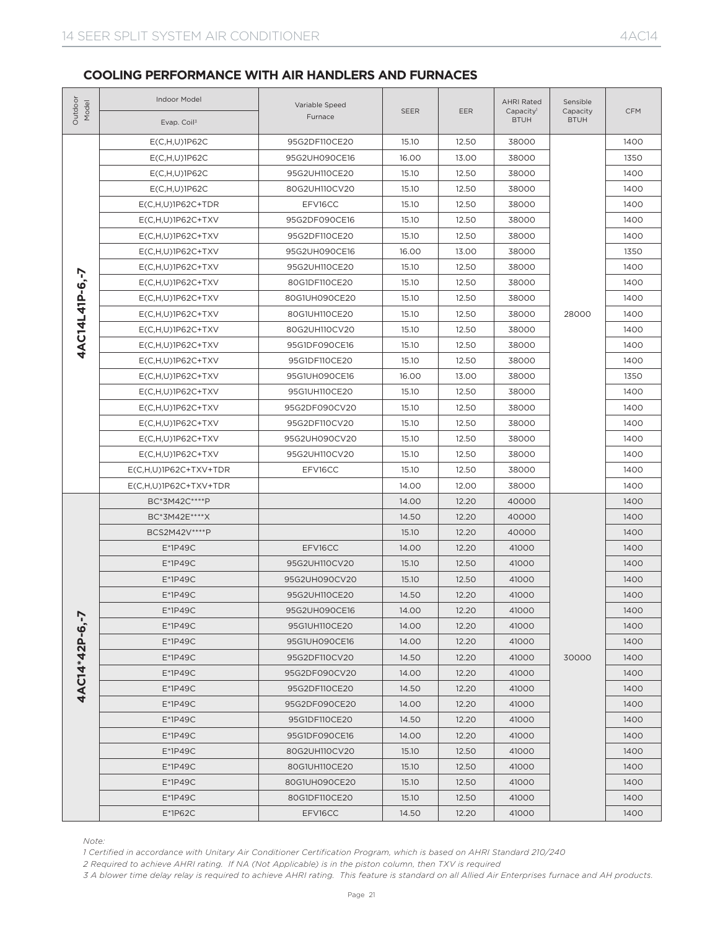| Outdoor<br>Model | Indoor Model<br>Evap. Coil <sup>3</sup>                                                                 | Variable Speed<br>Furnace | <b>SEER</b>                                                                                                                                                                                                                                                                                                                                                                                                                                                                                   | <b>EER</b>                                                                                                                                                                                                                                                                                                                                                                                                                                                                                                                                                                                                                                                                                                                                                                                                                                                                                                                                                                                                                                                                                                                                                                                                                                                                  | <b>AHRI Rated</b><br>Capacity <sup>1</sup><br><b>BTUH</b> | Sensible<br>Capacity<br><b>BTUH</b> | <b>CFM</b> |
|------------------|---------------------------------------------------------------------------------------------------------|---------------------------|-----------------------------------------------------------------------------------------------------------------------------------------------------------------------------------------------------------------------------------------------------------------------------------------------------------------------------------------------------------------------------------------------------------------------------------------------------------------------------------------------|-----------------------------------------------------------------------------------------------------------------------------------------------------------------------------------------------------------------------------------------------------------------------------------------------------------------------------------------------------------------------------------------------------------------------------------------------------------------------------------------------------------------------------------------------------------------------------------------------------------------------------------------------------------------------------------------------------------------------------------------------------------------------------------------------------------------------------------------------------------------------------------------------------------------------------------------------------------------------------------------------------------------------------------------------------------------------------------------------------------------------------------------------------------------------------------------------------------------------------------------------------------------------------|-----------------------------------------------------------|-------------------------------------|------------|
|                  | $E(C,H,U)$ 1P62C                                                                                        | 95G2DF110CE20             | 15.10                                                                                                                                                                                                                                                                                                                                                                                                                                                                                         | 12.50                                                                                                                                                                                                                                                                                                                                                                                                                                                                                                                                                                                                                                                                                                                                                                                                                                                                                                                                                                                                                                                                                                                                                                                                                                                                       | 38000                                                     |                                     | 1400       |
|                  | E(C,H,U)1P62C                                                                                           | 95G2UH090CE16             | 16.00                                                                                                                                                                                                                                                                                                                                                                                                                                                                                         | 13.00                                                                                                                                                                                                                                                                                                                                                                                                                                                                                                                                                                                                                                                                                                                                                                                                                                                                                                                                                                                                                                                                                                                                                                                                                                                                       | 38000                                                     |                                     | 1350       |
|                  | E(C,H,U)1P62C                                                                                           | 95G2UH110CE20             | 15.10                                                                                                                                                                                                                                                                                                                                                                                                                                                                                         | 12.50                                                                                                                                                                                                                                                                                                                                                                                                                                                                                                                                                                                                                                                                                                                                                                                                                                                                                                                                                                                                                                                                                                                                                                                                                                                                       | 38000                                                     |                                     | 1400       |
|                  | E(C,H,U)1P62C                                                                                           | 80G2UH110CV20             | 15.10                                                                                                                                                                                                                                                                                                                                                                                                                                                                                         | 12.50<br>38000<br>1400<br>12.50<br>1400<br>38000<br>1400<br>12.50<br>38000<br>12.50<br>38000<br>1400<br>13.00<br>38000<br>1350<br>12.50<br>1400<br>38000<br>12.50<br>38000<br>1400<br>1400<br>12.50<br>38000<br>12.50<br>38000<br>28000<br>1400<br>1400<br>12.50<br>38000<br>12.50<br>38000<br>1400<br>12.50<br>38000<br>1400<br>13.00<br>38000<br>1350<br>12.50<br>38000<br>1400<br>12.50<br>38000<br>1400<br>12.50<br>38000<br>1400<br>1400<br>12.50<br>38000<br>12.50<br>38000<br>1400<br>1400<br>12.50<br>38000<br>12.00<br>38000<br>1400<br>12.20<br>40000<br>1400<br>12.20<br>40000<br>1400<br>12.20<br>40000<br>1400<br>12.20<br>41000<br>1400<br>1400<br>12.50<br>41000<br>1400<br>12.50<br>41000<br>12.20<br>41000<br>1400<br>12.20<br>41000<br>1400<br>12.20<br>41000<br>1400<br>12.20<br>41000<br>1400<br>30000<br>12.20<br>41000<br>1400<br>12.20<br>41000<br>1400<br>12.20<br>41000<br>1400<br>12.20<br>41000<br>1400<br>12.20<br>41000<br>1400<br>12.20<br>41000<br>1400<br>12.50<br>41000<br>1400<br>12.50<br>1400<br>41000<br>12.50<br>1400<br>41000<br>1400<br>12.50<br>41000<br>12.20<br>41000<br>1400<br>3 A blower time delay relay is required to achieve AHRI rating. This feature is standard on all Allied Air Enterprises furnace and AH products. |                                                           |                                     |            |
|                  | $E(C,H,U)1P62C+TDR$                                                                                     | EFV16CC                   | 15.10<br>15.10<br>15.10<br>16.00<br>15.10<br>15.10<br>15.10<br>15.10<br>15.10<br>15.10<br>15.10<br>16.00<br>15.10<br>15.10<br>15.10<br>15.10<br>15.10<br>15.10<br>14.00<br>14.00<br>14.50<br>15.10<br>14.00<br>15.10<br>15.10<br>14.50<br>14.00<br>14.00<br>14.00<br>14.50<br>14.00<br>14.50<br>14.00<br>14.50<br>14.00<br>15.10<br>15.10<br>15.10<br>15.10<br>14.50<br>1 Certified in accordance with Unitary Air Conditioner Certification Program, which is based on AHRI Standard 210/240 |                                                                                                                                                                                                                                                                                                                                                                                                                                                                                                                                                                                                                                                                                                                                                                                                                                                                                                                                                                                                                                                                                                                                                                                                                                                                             |                                                           |                                     |            |
|                  | $E(C,H,U)1P62C+TXV$                                                                                     | 95G2DF090CE16             |                                                                                                                                                                                                                                                                                                                                                                                                                                                                                               |                                                                                                                                                                                                                                                                                                                                                                                                                                                                                                                                                                                                                                                                                                                                                                                                                                                                                                                                                                                                                                                                                                                                                                                                                                                                             |                                                           |                                     |            |
|                  | $E(C,H,U)$ 1P62C+TXV                                                                                    | 95G2DF110CE20             |                                                                                                                                                                                                                                                                                                                                                                                                                                                                                               |                                                                                                                                                                                                                                                                                                                                                                                                                                                                                                                                                                                                                                                                                                                                                                                                                                                                                                                                                                                                                                                                                                                                                                                                                                                                             |                                                           |                                     |            |
|                  | $E(C,H,U)$ 1P62C+TXV                                                                                    | 95G2UH090CE16             |                                                                                                                                                                                                                                                                                                                                                                                                                                                                                               |                                                                                                                                                                                                                                                                                                                                                                                                                                                                                                                                                                                                                                                                                                                                                                                                                                                                                                                                                                                                                                                                                                                                                                                                                                                                             |                                                           |                                     |            |
|                  | $E(C, H, U) 1P62C+TXV$                                                                                  | 95G2UH110CE20             |                                                                                                                                                                                                                                                                                                                                                                                                                                                                                               |                                                                                                                                                                                                                                                                                                                                                                                                                                                                                                                                                                                                                                                                                                                                                                                                                                                                                                                                                                                                                                                                                                                                                                                                                                                                             |                                                           |                                     |            |
| 4AC14L41P-6.-7   | $E(C, H, U) 1P62C+TXV$                                                                                  | 80G1DF110CE20             |                                                                                                                                                                                                                                                                                                                                                                                                                                                                                               |                                                                                                                                                                                                                                                                                                                                                                                                                                                                                                                                                                                                                                                                                                                                                                                                                                                                                                                                                                                                                                                                                                                                                                                                                                                                             |                                                           |                                     |            |
|                  | $E(C,H,U)$ 1P62C+TXV                                                                                    | 80G1UH090CE20             |                                                                                                                                                                                                                                                                                                                                                                                                                                                                                               |                                                                                                                                                                                                                                                                                                                                                                                                                                                                                                                                                                                                                                                                                                                                                                                                                                                                                                                                                                                                                                                                                                                                                                                                                                                                             |                                                           |                                     |            |
|                  | $E(C,H,U)$ 1P62C+TXV                                                                                    | 80G1UH110CE20             |                                                                                                                                                                                                                                                                                                                                                                                                                                                                                               |                                                                                                                                                                                                                                                                                                                                                                                                                                                                                                                                                                                                                                                                                                                                                                                                                                                                                                                                                                                                                                                                                                                                                                                                                                                                             |                                                           |                                     |            |
|                  | $E(C,H,U)1P62C+TXV$                                                                                     | 80G2UH110CV20             |                                                                                                                                                                                                                                                                                                                                                                                                                                                                                               |                                                                                                                                                                                                                                                                                                                                                                                                                                                                                                                                                                                                                                                                                                                                                                                                                                                                                                                                                                                                                                                                                                                                                                                                                                                                             |                                                           |                                     |            |
|                  | $E(C,H,U)$ 1P62C+TXV                                                                                    | 95G1DF090CE16             |                                                                                                                                                                                                                                                                                                                                                                                                                                                                                               |                                                                                                                                                                                                                                                                                                                                                                                                                                                                                                                                                                                                                                                                                                                                                                                                                                                                                                                                                                                                                                                                                                                                                                                                                                                                             |                                                           |                                     |            |
|                  | $E(C,H,U)1P62C+TXV$                                                                                     | 95G1DF110CE20             |                                                                                                                                                                                                                                                                                                                                                                                                                                                                                               |                                                                                                                                                                                                                                                                                                                                                                                                                                                                                                                                                                                                                                                                                                                                                                                                                                                                                                                                                                                                                                                                                                                                                                                                                                                                             |                                                           |                                     |            |
|                  | $E(C, H, U) 1P62C+TXV$                                                                                  | 95G1UH090CE16             |                                                                                                                                                                                                                                                                                                                                                                                                                                                                                               |                                                                                                                                                                                                                                                                                                                                                                                                                                                                                                                                                                                                                                                                                                                                                                                                                                                                                                                                                                                                                                                                                                                                                                                                                                                                             |                                                           |                                     |            |
|                  | $E(C,H,U)1P62C+TXV$                                                                                     | 95G1UH110CE20             |                                                                                                                                                                                                                                                                                                                                                                                                                                                                                               |                                                                                                                                                                                                                                                                                                                                                                                                                                                                                                                                                                                                                                                                                                                                                                                                                                                                                                                                                                                                                                                                                                                                                                                                                                                                             |                                                           |                                     |            |
|                  | $E(C,H,U)$ 1P62C+TXV                                                                                    | 95G2DF090CV20             |                                                                                                                                                                                                                                                                                                                                                                                                                                                                                               |                                                                                                                                                                                                                                                                                                                                                                                                                                                                                                                                                                                                                                                                                                                                                                                                                                                                                                                                                                                                                                                                                                                                                                                                                                                                             |                                                           |                                     |            |
|                  | $E(C,H,U)$ 1P62C+TXV                                                                                    | 95G2DF110CV20             |                                                                                                                                                                                                                                                                                                                                                                                                                                                                                               |                                                                                                                                                                                                                                                                                                                                                                                                                                                                                                                                                                                                                                                                                                                                                                                                                                                                                                                                                                                                                                                                                                                                                                                                                                                                             |                                                           |                                     |            |
|                  | $E(C, H, U) 1 P62C + TXY$                                                                               | 95G2UH090CV20             |                                                                                                                                                                                                                                                                                                                                                                                                                                                                                               |                                                                                                                                                                                                                                                                                                                                                                                                                                                                                                                                                                                                                                                                                                                                                                                                                                                                                                                                                                                                                                                                                                                                                                                                                                                                             |                                                           |                                     |            |
|                  | $E(C, H, U) 1P62C+TXV$                                                                                  | 95G2UH110CV20             |                                                                                                                                                                                                                                                                                                                                                                                                                                                                                               |                                                                                                                                                                                                                                                                                                                                                                                                                                                                                                                                                                                                                                                                                                                                                                                                                                                                                                                                                                                                                                                                                                                                                                                                                                                                             |                                                           |                                     |            |
|                  | $E(C,H,U)$ 1P62C+TXV+TDR                                                                                | EFV16CC                   |                                                                                                                                                                                                                                                                                                                                                                                                                                                                                               |                                                                                                                                                                                                                                                                                                                                                                                                                                                                                                                                                                                                                                                                                                                                                                                                                                                                                                                                                                                                                                                                                                                                                                                                                                                                             |                                                           |                                     |            |
|                  | $E(C,H,U)$ 1P62C+TXV+TDR                                                                                |                           |                                                                                                                                                                                                                                                                                                                                                                                                                                                                                               |                                                                                                                                                                                                                                                                                                                                                                                                                                                                                                                                                                                                                                                                                                                                                                                                                                                                                                                                                                                                                                                                                                                                                                                                                                                                             |                                                           |                                     |            |
|                  | BC*3M42C****P                                                                                           |                           |                                                                                                                                                                                                                                                                                                                                                                                                                                                                                               |                                                                                                                                                                                                                                                                                                                                                                                                                                                                                                                                                                                                                                                                                                                                                                                                                                                                                                                                                                                                                                                                                                                                                                                                                                                                             |                                                           |                                     |            |
|                  | BC*3M42E****X                                                                                           |                           |                                                                                                                                                                                                                                                                                                                                                                                                                                                                                               |                                                                                                                                                                                                                                                                                                                                                                                                                                                                                                                                                                                                                                                                                                                                                                                                                                                                                                                                                                                                                                                                                                                                                                                                                                                                             |                                                           |                                     |            |
|                  | BCS2M42V****P                                                                                           |                           |                                                                                                                                                                                                                                                                                                                                                                                                                                                                                               |                                                                                                                                                                                                                                                                                                                                                                                                                                                                                                                                                                                                                                                                                                                                                                                                                                                                                                                                                                                                                                                                                                                                                                                                                                                                             |                                                           |                                     |            |
|                  | $E^*$ 1P49C                                                                                             | EFV16CC                   |                                                                                                                                                                                                                                                                                                                                                                                                                                                                                               |                                                                                                                                                                                                                                                                                                                                                                                                                                                                                                                                                                                                                                                                                                                                                                                                                                                                                                                                                                                                                                                                                                                                                                                                                                                                             |                                                           |                                     |            |
|                  | $E*1P49C$                                                                                               | 95G2UH110CV20             |                                                                                                                                                                                                                                                                                                                                                                                                                                                                                               |                                                                                                                                                                                                                                                                                                                                                                                                                                                                                                                                                                                                                                                                                                                                                                                                                                                                                                                                                                                                                                                                                                                                                                                                                                                                             |                                                           |                                     |            |
|                  | $E*1P49C$                                                                                               | 95G2UH090CV20             |                                                                                                                                                                                                                                                                                                                                                                                                                                                                                               |                                                                                                                                                                                                                                                                                                                                                                                                                                                                                                                                                                                                                                                                                                                                                                                                                                                                                                                                                                                                                                                                                                                                                                                                                                                                             |                                                           |                                     |            |
|                  | $E*1P49C$                                                                                               | 95G2UH110CE20             |                                                                                                                                                                                                                                                                                                                                                                                                                                                                                               |                                                                                                                                                                                                                                                                                                                                                                                                                                                                                                                                                                                                                                                                                                                                                                                                                                                                                                                                                                                                                                                                                                                                                                                                                                                                             |                                                           |                                     |            |
|                  | E*1P49C                                                                                                 | 95G2UH090CE16             |                                                                                                                                                                                                                                                                                                                                                                                                                                                                                               |                                                                                                                                                                                                                                                                                                                                                                                                                                                                                                                                                                                                                                                                                                                                                                                                                                                                                                                                                                                                                                                                                                                                                                                                                                                                             |                                                           |                                     |            |
| 4AC14*42P-6,-7   | $E*1P49C$                                                                                               | 95G1UH110CE20             |                                                                                                                                                                                                                                                                                                                                                                                                                                                                                               |                                                                                                                                                                                                                                                                                                                                                                                                                                                                                                                                                                                                                                                                                                                                                                                                                                                                                                                                                                                                                                                                                                                                                                                                                                                                             |                                                           |                                     |            |
|                  | $E*1P49C$                                                                                               | 95G1UH090CE16             |                                                                                                                                                                                                                                                                                                                                                                                                                                                                                               |                                                                                                                                                                                                                                                                                                                                                                                                                                                                                                                                                                                                                                                                                                                                                                                                                                                                                                                                                                                                                                                                                                                                                                                                                                                                             |                                                           |                                     |            |
|                  | $E*1P49C$                                                                                               | 95G2DF110CV20             |                                                                                                                                                                                                                                                                                                                                                                                                                                                                                               |                                                                                                                                                                                                                                                                                                                                                                                                                                                                                                                                                                                                                                                                                                                                                                                                                                                                                                                                                                                                                                                                                                                                                                                                                                                                             |                                                           |                                     |            |
|                  | $E*1P49C$                                                                                               | 95G2DF090CV20             |                                                                                                                                                                                                                                                                                                                                                                                                                                                                                               |                                                                                                                                                                                                                                                                                                                                                                                                                                                                                                                                                                                                                                                                                                                                                                                                                                                                                                                                                                                                                                                                                                                                                                                                                                                                             |                                                           |                                     |            |
|                  | $E*1P49C$                                                                                               | 95G2DF110CE20             |                                                                                                                                                                                                                                                                                                                                                                                                                                                                                               |                                                                                                                                                                                                                                                                                                                                                                                                                                                                                                                                                                                                                                                                                                                                                                                                                                                                                                                                                                                                                                                                                                                                                                                                                                                                             |                                                           |                                     |            |
|                  | E*1P49C                                                                                                 | 95G2DF090CE20             |                                                                                                                                                                                                                                                                                                                                                                                                                                                                                               |                                                                                                                                                                                                                                                                                                                                                                                                                                                                                                                                                                                                                                                                                                                                                                                                                                                                                                                                                                                                                                                                                                                                                                                                                                                                             |                                                           |                                     |            |
|                  | $E*1P49C$                                                                                               | 95G1DF110CE20             |                                                                                                                                                                                                                                                                                                                                                                                                                                                                                               |                                                                                                                                                                                                                                                                                                                                                                                                                                                                                                                                                                                                                                                                                                                                                                                                                                                                                                                                                                                                                                                                                                                                                                                                                                                                             |                                                           |                                     |            |
|                  | $E*1P49C$                                                                                               | 95G1DF090CE16             |                                                                                                                                                                                                                                                                                                                                                                                                                                                                                               |                                                                                                                                                                                                                                                                                                                                                                                                                                                                                                                                                                                                                                                                                                                                                                                                                                                                                                                                                                                                                                                                                                                                                                                                                                                                             |                                                           |                                     |            |
|                  | $E*1P49C$                                                                                               | 80G2UH110CV20             |                                                                                                                                                                                                                                                                                                                                                                                                                                                                                               |                                                                                                                                                                                                                                                                                                                                                                                                                                                                                                                                                                                                                                                                                                                                                                                                                                                                                                                                                                                                                                                                                                                                                                                                                                                                             |                                                           |                                     |            |
|                  | $E*1P49C$                                                                                               | 80G1UH110CE20             |                                                                                                                                                                                                                                                                                                                                                                                                                                                                                               |                                                                                                                                                                                                                                                                                                                                                                                                                                                                                                                                                                                                                                                                                                                                                                                                                                                                                                                                                                                                                                                                                                                                                                                                                                                                             |                                                           |                                     |            |
|                  | $E*1P49C$                                                                                               | 80G1UH090CE20             |                                                                                                                                                                                                                                                                                                                                                                                                                                                                                               |                                                                                                                                                                                                                                                                                                                                                                                                                                                                                                                                                                                                                                                                                                                                                                                                                                                                                                                                                                                                                                                                                                                                                                                                                                                                             |                                                           |                                     |            |
|                  | $E*1P49C$                                                                                               | 80G1DF110CE20             |                                                                                                                                                                                                                                                                                                                                                                                                                                                                                               |                                                                                                                                                                                                                                                                                                                                                                                                                                                                                                                                                                                                                                                                                                                                                                                                                                                                                                                                                                                                                                                                                                                                                                                                                                                                             |                                                           |                                     |            |
|                  | $E^*$ 1P62C                                                                                             | EFV16CC                   |                                                                                                                                                                                                                                                                                                                                                                                                                                                                                               |                                                                                                                                                                                                                                                                                                                                                                                                                                                                                                                                                                                                                                                                                                                                                                                                                                                                                                                                                                                                                                                                                                                                                                                                                                                                             |                                                           |                                     |            |
| Note:            | 2 Required to achieve AHRI rating. If NA (Not Applicable) is in the piston column, then TXV is required |                           |                                                                                                                                                                                                                                                                                                                                                                                                                                                                                               |                                                                                                                                                                                                                                                                                                                                                                                                                                                                                                                                                                                                                                                                                                                                                                                                                                                                                                                                                                                                                                                                                                                                                                                                                                                                             |                                                           |                                     |            |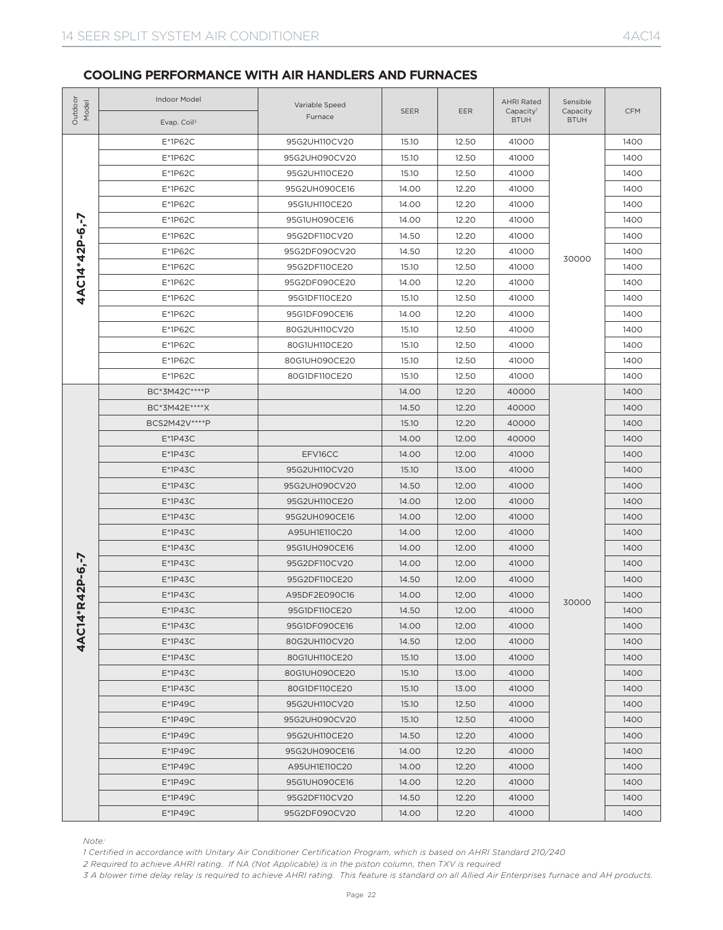| Outdoor<br>Model                                                                                                                                                                                                                                                                                                                                                                                                                                                                                                                                                                                                                                                                                                                                                                                                                                                                                                                                                                                                                                                                                                                                                                                                                                                                                                                                                                                                                                                                                                                                                                                                                                                                                                                                                                                                                                                                                                                                                                                                                                                                                                                                                                                                                                                                                                       | Indoor Model<br>Evap. Coil <sup>3</sup>                                                                                                                                                                                                                                                                                                                                             | Variable Speed<br>Furnace | <b>SEER</b> | EER   | <b>AHRI Rated</b><br>Capacity <sup>1</sup><br><b>BTUH</b> | Sensible<br>Capacity<br><b>BTUH</b> | <b>CFM</b> |
|------------------------------------------------------------------------------------------------------------------------------------------------------------------------------------------------------------------------------------------------------------------------------------------------------------------------------------------------------------------------------------------------------------------------------------------------------------------------------------------------------------------------------------------------------------------------------------------------------------------------------------------------------------------------------------------------------------------------------------------------------------------------------------------------------------------------------------------------------------------------------------------------------------------------------------------------------------------------------------------------------------------------------------------------------------------------------------------------------------------------------------------------------------------------------------------------------------------------------------------------------------------------------------------------------------------------------------------------------------------------------------------------------------------------------------------------------------------------------------------------------------------------------------------------------------------------------------------------------------------------------------------------------------------------------------------------------------------------------------------------------------------------------------------------------------------------------------------------------------------------------------------------------------------------------------------------------------------------------------------------------------------------------------------------------------------------------------------------------------------------------------------------------------------------------------------------------------------------------------------------------------------------------------------------------------------------|-------------------------------------------------------------------------------------------------------------------------------------------------------------------------------------------------------------------------------------------------------------------------------------------------------------------------------------------------------------------------------------|---------------------------|-------------|-------|-----------------------------------------------------------|-------------------------------------|------------|
|                                                                                                                                                                                                                                                                                                                                                                                                                                                                                                                                                                                                                                                                                                                                                                                                                                                                                                                                                                                                                                                                                                                                                                                                                                                                                                                                                                                                                                                                                                                                                                                                                                                                                                                                                                                                                                                                                                                                                                                                                                                                                                                                                                                                                                                                                                                        | E*1P62C                                                                                                                                                                                                                                                                                                                                                                             | 95G2UH110CV20             | 15.10       | 12.50 | 41000                                                     |                                     | 1400       |
|                                                                                                                                                                                                                                                                                                                                                                                                                                                                                                                                                                                                                                                                                                                                                                                                                                                                                                                                                                                                                                                                                                                                                                                                                                                                                                                                                                                                                                                                                                                                                                                                                                                                                                                                                                                                                                                                                                                                                                                                                                                                                                                                                                                                                                                                                                                        | E*1P62C                                                                                                                                                                                                                                                                                                                                                                             | 95G2UH090CV20             | 15.10       | 12.50 | 41000                                                     |                                     | 1400       |
|                                                                                                                                                                                                                                                                                                                                                                                                                                                                                                                                                                                                                                                                                                                                                                                                                                                                                                                                                                                                                                                                                                                                                                                                                                                                                                                                                                                                                                                                                                                                                                                                                                                                                                                                                                                                                                                                                                                                                                                                                                                                                                                                                                                                                                                                                                                        | E*1P62C                                                                                                                                                                                                                                                                                                                                                                             | 95G2UH110CE20             | 15.10       | 12.50 | 41000                                                     |                                     | 1400       |
| E*1P62C<br>95G2UH090CE16<br>14.00<br>12.20<br>41000<br>E*1P62C<br>95G1UH110CE20<br>14.00<br>12.20<br>41000<br>4AC14*42P-6,-7<br>E*1P62C<br>95G1UH090CE16<br>14.00<br>12.20<br>41000<br>E*1P62C<br>95G2DF110CV20<br>14.50<br>12.20<br>41000<br>E*1P62C<br>95G2DF090CV20<br>14.50<br>12.20<br>41000<br>E*1P62C<br>12.50<br>95G2DF110CE20<br>15.10<br>41000<br>E*1P62C<br>12.20<br>95G2DF090CE20<br>14.00<br>41000<br>E*1P62C<br>12.50<br>95G1DF110CE20<br>15.10<br>41000<br>E*1P62C<br>95G1DF090CE16<br>14.00<br>12.20<br>41000<br>E*1P62C<br>12.50<br>80G2UH110CV20<br>15.10<br>41000<br>E*1P62C<br>12.50<br>80G1UH110CE20<br>15.10<br>41000<br>E*1P62C<br>80G1UH090CE20<br>15.10<br>12.50<br>41000<br>E*1P62C<br>80G1DF110CE20<br>15.10<br>12.50<br>41000<br>12.20<br>BC*3M42C****P<br>14.00<br>40000<br>BC*3M42E****X<br>14.50<br>12.20<br>40000<br>BCS2M42V****P<br>15.10<br>12.20<br>40000<br>$E*1P43C$<br>14.00<br>12.00<br>40000<br>$E*1P43C$<br>EFV16CC<br>14.00<br>12.00<br>41000<br>$E*1P43C$<br>95G2UH110CV20<br>15.10<br>13.00<br>41000<br>$E*1P43C$<br>95G2UH090CV20<br>14.50<br>12.00<br>41000<br>$E*1P43C$<br>95G2UH110CE20<br>14.00<br>12.00<br>41000<br>$E*1P43C$<br>95G2UH090CE16<br>14.00<br>12.00<br>41000<br>$E*1P43C$<br>A95UH1E110C20<br>14.00<br>12.00<br>41000<br>$E*1P43C$<br>14.00<br>12.00<br>41000<br>95G1UH090CE16<br>$2P-6,-7$<br>$E*1P43C$<br>95G2DF110CV20<br>14.00<br>12.00<br>41000<br>$E*1P43C$<br>95G2DF110CE20<br>14.50<br>12.00<br>41000<br>$E*1P43C$<br>14.00<br>12.00<br>41000<br>A95DF2E090C16<br>4<br><b>4AC14*R</b><br>$E*1P43C$<br>95G1DF110CE20<br>12.00<br>14.50<br>41000<br>12.00<br>$E^*$ 1P43C<br>95G1DF090CE16<br>14.00<br>41000<br>$E*1P43C$<br>80G2UH110CV20<br>14.50<br>12.00<br>41000<br>$E*1P43C$<br>80G1UH110CE20<br>15.10<br>13.00<br>41000<br>$E*1P43C$<br>80G1UH090CE20<br>15.10<br>13.00<br>41000<br>$E*1P43C$<br>80G1DF110CE20<br>15.10<br>13.00<br>41000<br>E*1P49C<br>95G2UH110CV20<br>15.10<br>12.50<br>41000<br>E*1P49C<br>95G2UH090CV20<br>15.10<br>12.50<br>41000<br>E*1P49C<br>95G2UH110CE20<br>14.50<br>12.20<br>41000<br>E*1P49C<br>95G2UH090CE16<br>14.00<br>12.20<br>41000<br>E*1P49C<br>A95UH1E110C20<br>14.00<br>12.20<br>41000<br>E*1P49C<br>95G1UH090CE16<br>14.00<br>12.20<br>41000<br>E*1P49C<br>95G2DF110CV20<br>14.50<br>12.20<br>41000 |                                                                                                                                                                                                                                                                                                                                                                                     | 1400                      |             |       |                                                           |                                     |            |
|                                                                                                                                                                                                                                                                                                                                                                                                                                                                                                                                                                                                                                                                                                                                                                                                                                                                                                                                                                                                                                                                                                                                                                                                                                                                                                                                                                                                                                                                                                                                                                                                                                                                                                                                                                                                                                                                                                                                                                                                                                                                                                                                                                                                                                                                                                                        |                                                                                                                                                                                                                                                                                                                                                                                     |                           |             |       |                                                           |                                     | 1400       |
|                                                                                                                                                                                                                                                                                                                                                                                                                                                                                                                                                                                                                                                                                                                                                                                                                                                                                                                                                                                                                                                                                                                                                                                                                                                                                                                                                                                                                                                                                                                                                                                                                                                                                                                                                                                                                                                                                                                                                                                                                                                                                                                                                                                                                                                                                                                        |                                                                                                                                                                                                                                                                                                                                                                                     |                           |             |       |                                                           |                                     | 1400       |
|                                                                                                                                                                                                                                                                                                                                                                                                                                                                                                                                                                                                                                                                                                                                                                                                                                                                                                                                                                                                                                                                                                                                                                                                                                                                                                                                                                                                                                                                                                                                                                                                                                                                                                                                                                                                                                                                                                                                                                                                                                                                                                                                                                                                                                                                                                                        |                                                                                                                                                                                                                                                                                                                                                                                     |                           |             |       |                                                           |                                     | 1400       |
|                                                                                                                                                                                                                                                                                                                                                                                                                                                                                                                                                                                                                                                                                                                                                                                                                                                                                                                                                                                                                                                                                                                                                                                                                                                                                                                                                                                                                                                                                                                                                                                                                                                                                                                                                                                                                                                                                                                                                                                                                                                                                                                                                                                                                                                                                                                        |                                                                                                                                                                                                                                                                                                                                                                                     |                           |             |       |                                                           |                                     | 1400       |
|                                                                                                                                                                                                                                                                                                                                                                                                                                                                                                                                                                                                                                                                                                                                                                                                                                                                                                                                                                                                                                                                                                                                                                                                                                                                                                                                                                                                                                                                                                                                                                                                                                                                                                                                                                                                                                                                                                                                                                                                                                                                                                                                                                                                                                                                                                                        |                                                                                                                                                                                                                                                                                                                                                                                     |                           |             |       |                                                           |                                     | 1400       |
|                                                                                                                                                                                                                                                                                                                                                                                                                                                                                                                                                                                                                                                                                                                                                                                                                                                                                                                                                                                                                                                                                                                                                                                                                                                                                                                                                                                                                                                                                                                                                                                                                                                                                                                                                                                                                                                                                                                                                                                                                                                                                                                                                                                                                                                                                                                        |                                                                                                                                                                                                                                                                                                                                                                                     |                           |             |       |                                                           |                                     | 1400       |
|                                                                                                                                                                                                                                                                                                                                                                                                                                                                                                                                                                                                                                                                                                                                                                                                                                                                                                                                                                                                                                                                                                                                                                                                                                                                                                                                                                                                                                                                                                                                                                                                                                                                                                                                                                                                                                                                                                                                                                                                                                                                                                                                                                                                                                                                                                                        |                                                                                                                                                                                                                                                                                                                                                                                     |                           |             |       |                                                           |                                     | 1400       |
|                                                                                                                                                                                                                                                                                                                                                                                                                                                                                                                                                                                                                                                                                                                                                                                                                                                                                                                                                                                                                                                                                                                                                                                                                                                                                                                                                                                                                                                                                                                                                                                                                                                                                                                                                                                                                                                                                                                                                                                                                                                                                                                                                                                                                                                                                                                        |                                                                                                                                                                                                                                                                                                                                                                                     |                           |             |       |                                                           | 30000<br>30000                      | 1400       |
|                                                                                                                                                                                                                                                                                                                                                                                                                                                                                                                                                                                                                                                                                                                                                                                                                                                                                                                                                                                                                                                                                                                                                                                                                                                                                                                                                                                                                                                                                                                                                                                                                                                                                                                                                                                                                                                                                                                                                                                                                                                                                                                                                                                                                                                                                                                        |                                                                                                                                                                                                                                                                                                                                                                                     |                           |             |       |                                                           |                                     | 1400       |
|                                                                                                                                                                                                                                                                                                                                                                                                                                                                                                                                                                                                                                                                                                                                                                                                                                                                                                                                                                                                                                                                                                                                                                                                                                                                                                                                                                                                                                                                                                                                                                                                                                                                                                                                                                                                                                                                                                                                                                                                                                                                                                                                                                                                                                                                                                                        |                                                                                                                                                                                                                                                                                                                                                                                     |                           |             |       |                                                           |                                     | 1400       |
|                                                                                                                                                                                                                                                                                                                                                                                                                                                                                                                                                                                                                                                                                                                                                                                                                                                                                                                                                                                                                                                                                                                                                                                                                                                                                                                                                                                                                                                                                                                                                                                                                                                                                                                                                                                                                                                                                                                                                                                                                                                                                                                                                                                                                                                                                                                        |                                                                                                                                                                                                                                                                                                                                                                                     |                           |             |       |                                                           |                                     | 1400       |
|                                                                                                                                                                                                                                                                                                                                                                                                                                                                                                                                                                                                                                                                                                                                                                                                                                                                                                                                                                                                                                                                                                                                                                                                                                                                                                                                                                                                                                                                                                                                                                                                                                                                                                                                                                                                                                                                                                                                                                                                                                                                                                                                                                                                                                                                                                                        |                                                                                                                                                                                                                                                                                                                                                                                     |                           |             |       |                                                           |                                     | 1400       |
|                                                                                                                                                                                                                                                                                                                                                                                                                                                                                                                                                                                                                                                                                                                                                                                                                                                                                                                                                                                                                                                                                                                                                                                                                                                                                                                                                                                                                                                                                                                                                                                                                                                                                                                                                                                                                                                                                                                                                                                                                                                                                                                                                                                                                                                                                                                        |                                                                                                                                                                                                                                                                                                                                                                                     |                           |             |       |                                                           |                                     | 1400       |
|                                                                                                                                                                                                                                                                                                                                                                                                                                                                                                                                                                                                                                                                                                                                                                                                                                                                                                                                                                                                                                                                                                                                                                                                                                                                                                                                                                                                                                                                                                                                                                                                                                                                                                                                                                                                                                                                                                                                                                                                                                                                                                                                                                                                                                                                                                                        |                                                                                                                                                                                                                                                                                                                                                                                     |                           |             |       |                                                           |                                     | 1400       |
|                                                                                                                                                                                                                                                                                                                                                                                                                                                                                                                                                                                                                                                                                                                                                                                                                                                                                                                                                                                                                                                                                                                                                                                                                                                                                                                                                                                                                                                                                                                                                                                                                                                                                                                                                                                                                                                                                                                                                                                                                                                                                                                                                                                                                                                                                                                        |                                                                                                                                                                                                                                                                                                                                                                                     |                           |             |       |                                                           |                                     | 1400       |
|                                                                                                                                                                                                                                                                                                                                                                                                                                                                                                                                                                                                                                                                                                                                                                                                                                                                                                                                                                                                                                                                                                                                                                                                                                                                                                                                                                                                                                                                                                                                                                                                                                                                                                                                                                                                                                                                                                                                                                                                                                                                                                                                                                                                                                                                                                                        |                                                                                                                                                                                                                                                                                                                                                                                     |                           |             |       |                                                           |                                     | 1400       |
|                                                                                                                                                                                                                                                                                                                                                                                                                                                                                                                                                                                                                                                                                                                                                                                                                                                                                                                                                                                                                                                                                                                                                                                                                                                                                                                                                                                                                                                                                                                                                                                                                                                                                                                                                                                                                                                                                                                                                                                                                                                                                                                                                                                                                                                                                                                        |                                                                                                                                                                                                                                                                                                                                                                                     |                           |             |       |                                                           |                                     | 1400       |
|                                                                                                                                                                                                                                                                                                                                                                                                                                                                                                                                                                                                                                                                                                                                                                                                                                                                                                                                                                                                                                                                                                                                                                                                                                                                                                                                                                                                                                                                                                                                                                                                                                                                                                                                                                                                                                                                                                                                                                                                                                                                                                                                                                                                                                                                                                                        |                                                                                                                                                                                                                                                                                                                                                                                     |                           |             |       |                                                           |                                     | 1400       |
|                                                                                                                                                                                                                                                                                                                                                                                                                                                                                                                                                                                                                                                                                                                                                                                                                                                                                                                                                                                                                                                                                                                                                                                                                                                                                                                                                                                                                                                                                                                                                                                                                                                                                                                                                                                                                                                                                                                                                                                                                                                                                                                                                                                                                                                                                                                        |                                                                                                                                                                                                                                                                                                                                                                                     |                           |             |       |                                                           |                                     | 1400       |
|                                                                                                                                                                                                                                                                                                                                                                                                                                                                                                                                                                                                                                                                                                                                                                                                                                                                                                                                                                                                                                                                                                                                                                                                                                                                                                                                                                                                                                                                                                                                                                                                                                                                                                                                                                                                                                                                                                                                                                                                                                                                                                                                                                                                                                                                                                                        |                                                                                                                                                                                                                                                                                                                                                                                     |                           |             |       |                                                           |                                     | 1400       |
|                                                                                                                                                                                                                                                                                                                                                                                                                                                                                                                                                                                                                                                                                                                                                                                                                                                                                                                                                                                                                                                                                                                                                                                                                                                                                                                                                                                                                                                                                                                                                                                                                                                                                                                                                                                                                                                                                                                                                                                                                                                                                                                                                                                                                                                                                                                        |                                                                                                                                                                                                                                                                                                                                                                                     |                           |             |       |                                                           |                                     | 1400       |
|                                                                                                                                                                                                                                                                                                                                                                                                                                                                                                                                                                                                                                                                                                                                                                                                                                                                                                                                                                                                                                                                                                                                                                                                                                                                                                                                                                                                                                                                                                                                                                                                                                                                                                                                                                                                                                                                                                                                                                                                                                                                                                                                                                                                                                                                                                                        |                                                                                                                                                                                                                                                                                                                                                                                     |                           |             |       |                                                           |                                     | 1400       |
|                                                                                                                                                                                                                                                                                                                                                                                                                                                                                                                                                                                                                                                                                                                                                                                                                                                                                                                                                                                                                                                                                                                                                                                                                                                                                                                                                                                                                                                                                                                                                                                                                                                                                                                                                                                                                                                                                                                                                                                                                                                                                                                                                                                                                                                                                                                        |                                                                                                                                                                                                                                                                                                                                                                                     |                           |             |       |                                                           |                                     | 1400       |
|                                                                                                                                                                                                                                                                                                                                                                                                                                                                                                                                                                                                                                                                                                                                                                                                                                                                                                                                                                                                                                                                                                                                                                                                                                                                                                                                                                                                                                                                                                                                                                                                                                                                                                                                                                                                                                                                                                                                                                                                                                                                                                                                                                                                                                                                                                                        |                                                                                                                                                                                                                                                                                                                                                                                     |                           |             |       |                                                           |                                     | 1400       |
|                                                                                                                                                                                                                                                                                                                                                                                                                                                                                                                                                                                                                                                                                                                                                                                                                                                                                                                                                                                                                                                                                                                                                                                                                                                                                                                                                                                                                                                                                                                                                                                                                                                                                                                                                                                                                                                                                                                                                                                                                                                                                                                                                                                                                                                                                                                        |                                                                                                                                                                                                                                                                                                                                                                                     |                           |             |       |                                                           |                                     | 1400       |
|                                                                                                                                                                                                                                                                                                                                                                                                                                                                                                                                                                                                                                                                                                                                                                                                                                                                                                                                                                                                                                                                                                                                                                                                                                                                                                                                                                                                                                                                                                                                                                                                                                                                                                                                                                                                                                                                                                                                                                                                                                                                                                                                                                                                                                                                                                                        |                                                                                                                                                                                                                                                                                                                                                                                     |                           |             |       |                                                           |                                     | 1400       |
|                                                                                                                                                                                                                                                                                                                                                                                                                                                                                                                                                                                                                                                                                                                                                                                                                                                                                                                                                                                                                                                                                                                                                                                                                                                                                                                                                                                                                                                                                                                                                                                                                                                                                                                                                                                                                                                                                                                                                                                                                                                                                                                                                                                                                                                                                                                        |                                                                                                                                                                                                                                                                                                                                                                                     |                           |             |       |                                                           |                                     | 1400       |
|                                                                                                                                                                                                                                                                                                                                                                                                                                                                                                                                                                                                                                                                                                                                                                                                                                                                                                                                                                                                                                                                                                                                                                                                                                                                                                                                                                                                                                                                                                                                                                                                                                                                                                                                                                                                                                                                                                                                                                                                                                                                                                                                                                                                                                                                                                                        |                                                                                                                                                                                                                                                                                                                                                                                     |                           |             |       |                                                           |                                     | 1400       |
|                                                                                                                                                                                                                                                                                                                                                                                                                                                                                                                                                                                                                                                                                                                                                                                                                                                                                                                                                                                                                                                                                                                                                                                                                                                                                                                                                                                                                                                                                                                                                                                                                                                                                                                                                                                                                                                                                                                                                                                                                                                                                                                                                                                                                                                                                                                        |                                                                                                                                                                                                                                                                                                                                                                                     |                           |             |       |                                                           |                                     | 1400       |
|                                                                                                                                                                                                                                                                                                                                                                                                                                                                                                                                                                                                                                                                                                                                                                                                                                                                                                                                                                                                                                                                                                                                                                                                                                                                                                                                                                                                                                                                                                                                                                                                                                                                                                                                                                                                                                                                                                                                                                                                                                                                                                                                                                                                                                                                                                                        |                                                                                                                                                                                                                                                                                                                                                                                     |                           |             |       |                                                           |                                     | 1400       |
|                                                                                                                                                                                                                                                                                                                                                                                                                                                                                                                                                                                                                                                                                                                                                                                                                                                                                                                                                                                                                                                                                                                                                                                                                                                                                                                                                                                                                                                                                                                                                                                                                                                                                                                                                                                                                                                                                                                                                                                                                                                                                                                                                                                                                                                                                                                        |                                                                                                                                                                                                                                                                                                                                                                                     |                           |             |       |                                                           |                                     | 1400       |
|                                                                                                                                                                                                                                                                                                                                                                                                                                                                                                                                                                                                                                                                                                                                                                                                                                                                                                                                                                                                                                                                                                                                                                                                                                                                                                                                                                                                                                                                                                                                                                                                                                                                                                                                                                                                                                                                                                                                                                                                                                                                                                                                                                                                                                                                                                                        |                                                                                                                                                                                                                                                                                                                                                                                     |                           |             |       |                                                           |                                     | 1400       |
|                                                                                                                                                                                                                                                                                                                                                                                                                                                                                                                                                                                                                                                                                                                                                                                                                                                                                                                                                                                                                                                                                                                                                                                                                                                                                                                                                                                                                                                                                                                                                                                                                                                                                                                                                                                                                                                                                                                                                                                                                                                                                                                                                                                                                                                                                                                        |                                                                                                                                                                                                                                                                                                                                                                                     |                           |             |       |                                                           |                                     | 1400       |
|                                                                                                                                                                                                                                                                                                                                                                                                                                                                                                                                                                                                                                                                                                                                                                                                                                                                                                                                                                                                                                                                                                                                                                                                                                                                                                                                                                                                                                                                                                                                                                                                                                                                                                                                                                                                                                                                                                                                                                                                                                                                                                                                                                                                                                                                                                                        |                                                                                                                                                                                                                                                                                                                                                                                     |                           |             |       |                                                           |                                     | 1400       |
|                                                                                                                                                                                                                                                                                                                                                                                                                                                                                                                                                                                                                                                                                                                                                                                                                                                                                                                                                                                                                                                                                                                                                                                                                                                                                                                                                                                                                                                                                                                                                                                                                                                                                                                                                                                                                                                                                                                                                                                                                                                                                                                                                                                                                                                                                                                        |                                                                                                                                                                                                                                                                                                                                                                                     |                           |             |       |                                                           |                                     | 1400       |
|                                                                                                                                                                                                                                                                                                                                                                                                                                                                                                                                                                                                                                                                                                                                                                                                                                                                                                                                                                                                                                                                                                                                                                                                                                                                                                                                                                                                                                                                                                                                                                                                                                                                                                                                                                                                                                                                                                                                                                                                                                                                                                                                                                                                                                                                                                                        |                                                                                                                                                                                                                                                                                                                                                                                     |                           |             |       |                                                           |                                     | 1400       |
|                                                                                                                                                                                                                                                                                                                                                                                                                                                                                                                                                                                                                                                                                                                                                                                                                                                                                                                                                                                                                                                                                                                                                                                                                                                                                                                                                                                                                                                                                                                                                                                                                                                                                                                                                                                                                                                                                                                                                                                                                                                                                                                                                                                                                                                                                                                        |                                                                                                                                                                                                                                                                                                                                                                                     |                           |             |       |                                                           |                                     | 1400       |
|                                                                                                                                                                                                                                                                                                                                                                                                                                                                                                                                                                                                                                                                                                                                                                                                                                                                                                                                                                                                                                                                                                                                                                                                                                                                                                                                                                                                                                                                                                                                                                                                                                                                                                                                                                                                                                                                                                                                                                                                                                                                                                                                                                                                                                                                                                                        |                                                                                                                                                                                                                                                                                                                                                                                     |                           |             |       |                                                           |                                     | 1400       |
|                                                                                                                                                                                                                                                                                                                                                                                                                                                                                                                                                                                                                                                                                                                                                                                                                                                                                                                                                                                                                                                                                                                                                                                                                                                                                                                                                                                                                                                                                                                                                                                                                                                                                                                                                                                                                                                                                                                                                                                                                                                                                                                                                                                                                                                                                                                        |                                                                                                                                                                                                                                                                                                                                                                                     |                           |             |       |                                                           |                                     | 1400       |
|                                                                                                                                                                                                                                                                                                                                                                                                                                                                                                                                                                                                                                                                                                                                                                                                                                                                                                                                                                                                                                                                                                                                                                                                                                                                                                                                                                                                                                                                                                                                                                                                                                                                                                                                                                                                                                                                                                                                                                                                                                                                                                                                                                                                                                                                                                                        | E*1P49C                                                                                                                                                                                                                                                                                                                                                                             | 95G2DF090CV20             | 14.00       | 12.20 | 41000                                                     |                                     | 1400       |
| Note:                                                                                                                                                                                                                                                                                                                                                                                                                                                                                                                                                                                                                                                                                                                                                                                                                                                                                                                                                                                                                                                                                                                                                                                                                                                                                                                                                                                                                                                                                                                                                                                                                                                                                                                                                                                                                                                                                                                                                                                                                                                                                                                                                                                                                                                                                                                  | 1 Certified in accordance with Unitary Air Conditioner Certification Program, which is based on AHRI Standard 210/240<br>2 Required to achieve AHRI rating. If NA (Not Applicable) is in the piston column, then TXV is required<br>3 A blower time delay relay is required to achieve AHRI rating. This feature is standard on all Allied Air Enterprises furnace and AH products. |                           |             |       |                                                           |                                     |            |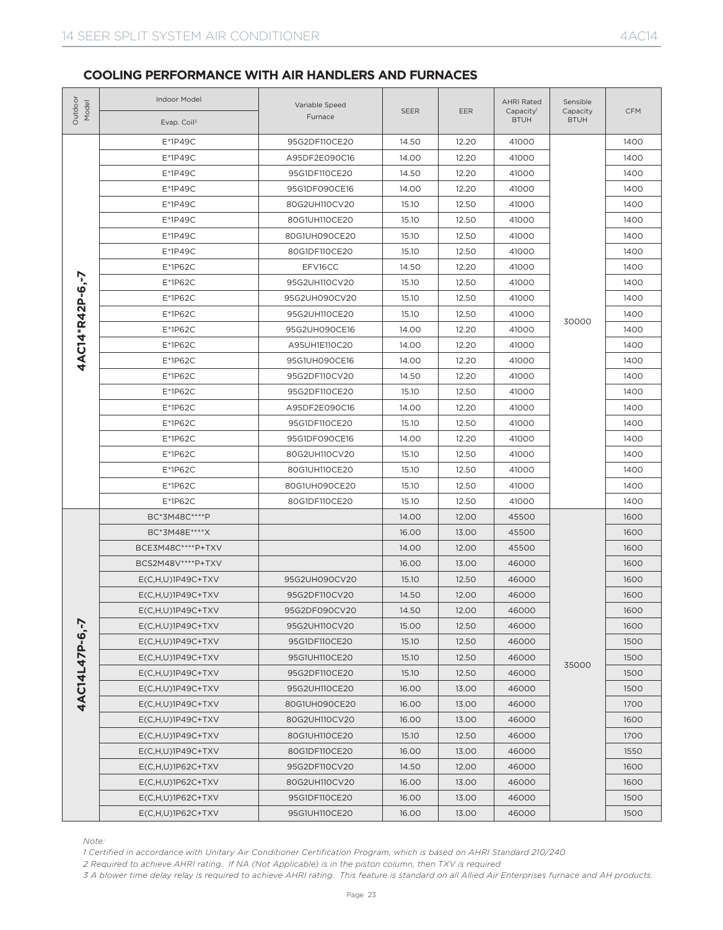| Outdoo<br>Model | Indoor Model<br>Evap. Coil <sup>3</sup>                                                                                                                                                                                                                                                                                                                                             | Variable Speed<br>Furnace | <b>SEER</b> | <b>EER</b> | <b>AHRI Rated</b><br>Capacity <sup>1</sup><br><b>BTUH</b> | Sensible<br>Capacity<br><b>BTUH</b> | <b>CFM</b> |
|-----------------|-------------------------------------------------------------------------------------------------------------------------------------------------------------------------------------------------------------------------------------------------------------------------------------------------------------------------------------------------------------------------------------|---------------------------|-------------|------------|-----------------------------------------------------------|-------------------------------------|------------|
|                 | E*1P49C                                                                                                                                                                                                                                                                                                                                                                             | 95G2DF110CE20             | 14.50       | 12.20      | 41000                                                     |                                     | 1400       |
|                 | E*1P49C                                                                                                                                                                                                                                                                                                                                                                             | A95DF2E090C16             | 14.00       | 12.20      | 41000                                                     |                                     | 1400       |
|                 | $E*1P49C$                                                                                                                                                                                                                                                                                                                                                                           | 95G1DF110CE20             | 14.50       | 12.20      | 41000                                                     |                                     | 1400       |
|                 | E*1P49C                                                                                                                                                                                                                                                                                                                                                                             | 95G1DF090CE16             | 14.00       | 12.20      | 41000                                                     |                                     | 1400       |
|                 | E*1P49C                                                                                                                                                                                                                                                                                                                                                                             | 80G2UH110CV20             | 15.10       | 12.50      | 41000                                                     |                                     | 1400       |
|                 | $E*1P49C$                                                                                                                                                                                                                                                                                                                                                                           | 80G1UH110CE20             | 15.10       | 12.50      | 41000                                                     |                                     | 1400       |
|                 | E*1P49C                                                                                                                                                                                                                                                                                                                                                                             | 80G1UH090CE20             | 15.10       | 12.50      | 41000                                                     |                                     | 1400       |
|                 | E*1P49C                                                                                                                                                                                                                                                                                                                                                                             | 80G1DF110CE20             | 15.10       | 12.50      | 41000                                                     |                                     | 1400       |
|                 | E*1P62C                                                                                                                                                                                                                                                                                                                                                                             | EFV16CC                   | 14.50       | 12.20      | 41000                                                     |                                     | 1400       |
|                 | E*1P62C                                                                                                                                                                                                                                                                                                                                                                             | 95G2UH110CV20             | 15.10       | 12.50      | 41000                                                     |                                     | 1400       |
|                 | E*1P62C                                                                                                                                                                                                                                                                                                                                                                             | 95G2UH090CV20             | 15.10       | 12.50      | 41000                                                     |                                     | 1400       |
|                 | E*1P62C                                                                                                                                                                                                                                                                                                                                                                             | 95G2UH110CE20             | 15.10       | 12.50      | 41000                                                     | 30000<br>35000                      | 1400       |
|                 | $E*1P62C$                                                                                                                                                                                                                                                                                                                                                                           | 95G2UH090CE16             | 14.00       | 12.20      | 41000                                                     |                                     | 1400       |
| 4AC14*R42P-6,-7 | $E*1P62C$                                                                                                                                                                                                                                                                                                                                                                           | A95UH1E110C20             | 14.00       | 12.20      | 41000                                                     |                                     | 1400       |
|                 | $E*1P62C$                                                                                                                                                                                                                                                                                                                                                                           | 95G1UH090CE16             | 14.00       | 12.20      | 41000                                                     |                                     | 1400       |
|                 | $E*1P62C$                                                                                                                                                                                                                                                                                                                                                                           | 95G2DF110CV20             | 14.50       | 12.20      | 41000                                                     |                                     | 1400       |
|                 | E*1P62C                                                                                                                                                                                                                                                                                                                                                                             | 95G2DF110CE20             | 15.10       | 12.50      | 41000                                                     |                                     | 1400       |
|                 | $E*1P62C$                                                                                                                                                                                                                                                                                                                                                                           | A95DF2E090C16             | 14.00       | 12.20      | 41000                                                     |                                     | 1400       |
|                 | E*1P62C                                                                                                                                                                                                                                                                                                                                                                             | 95G1DF110CE20             | 15.10       | 12.50      | 41000                                                     |                                     | 1400       |
|                 | $E*1P62C$                                                                                                                                                                                                                                                                                                                                                                           | 95G1DF090CE16             | 14.00       | 12.20      | 41000                                                     |                                     | 1400       |
|                 | $E*1P62C$                                                                                                                                                                                                                                                                                                                                                                           | 80G2UH110CV20             | 15.10       | 12.50      | 41000                                                     |                                     | 1400       |
|                 | E*1P62C                                                                                                                                                                                                                                                                                                                                                                             | 80G1UH110CE20             | 15.10       | 12.50      | 41000                                                     |                                     | 1400       |
|                 | $E*1P62C$                                                                                                                                                                                                                                                                                                                                                                           | 80G1UH090CE20             | 15.10       | 12.50      | 41000                                                     |                                     | 1400       |
|                 | $E*1P62C$                                                                                                                                                                                                                                                                                                                                                                           | 80G1DF110CE20             | 15.10       | 12.50      | 41000                                                     |                                     | 1400       |
|                 | BC*3M48C****P                                                                                                                                                                                                                                                                                                                                                                       |                           | 14.00       | 12.00      | 45500                                                     |                                     | 1600       |
|                 | BC*3M48E****X                                                                                                                                                                                                                                                                                                                                                                       |                           | 16.00       | 13.00      | 45500                                                     |                                     | 1600       |
|                 | BCE3M48C****P+TXV                                                                                                                                                                                                                                                                                                                                                                   |                           | 14.00       | 12.00      | 45500                                                     |                                     | 1600       |
|                 | BCS2M48V****P+TXV                                                                                                                                                                                                                                                                                                                                                                   |                           | 16.00       | 13.00      | 46000                                                     |                                     | 1600       |
|                 | $E(C,H,U)$ 1P49C+TXV                                                                                                                                                                                                                                                                                                                                                                | 95G2UH090CV20             | 15.10       | 12.50      | 46000                                                     |                                     | 1600       |
|                 | $E(C, H, U)$ 1P49C+TXV                                                                                                                                                                                                                                                                                                                                                              | 95G2DF110CV20             | 14.50       | 12.00      | 46000                                                     |                                     | 1600       |
|                 | $E(C,H,U)1P49C+TXV$                                                                                                                                                                                                                                                                                                                                                                 | 95G2DF090CV20             | 14.50       | 12.00      | 46000                                                     |                                     | 1600       |
|                 | $E(C,H,U)1P49C+TXV$                                                                                                                                                                                                                                                                                                                                                                 | 95G2UH110CV20             | 15.00       | 12.50      | 46000                                                     |                                     | 1600       |
|                 | $E(C,H,U)1P49C+TXV$                                                                                                                                                                                                                                                                                                                                                                 | 95G1DF110CE20             | 15.10       | 12.50      | 46000                                                     |                                     | 1500       |
|                 | $E(C,H,U)1P49C+TXV$                                                                                                                                                                                                                                                                                                                                                                 | 95G1UH110CE20             | 15.10       | 12.50      | 46000                                                     |                                     | 1500       |
| 4AC14L47P-6,-7  | $E(C,H,U)1P49C+TXV$                                                                                                                                                                                                                                                                                                                                                                 | 95G2DF110CE20             | 15.10       | 12.50      | 46000                                                     |                                     | 1500       |
|                 | $E(C,H,U)1P49C+TXV$                                                                                                                                                                                                                                                                                                                                                                 | 95G2UH110CE20             | 16.00       | 13.00      | 46000                                                     |                                     | 1500       |
|                 | $E(C,H,U)1P49C+TXV$                                                                                                                                                                                                                                                                                                                                                                 | 80G1UH090CE20             | 16.00       | 13.00      | 46000                                                     |                                     | 1700       |
|                 | $E(C,H,U)1P49C+TXV$                                                                                                                                                                                                                                                                                                                                                                 | 80G2UH110CV20             | 16.00       | 13.00      | 46000                                                     |                                     | 1600       |
|                 | $E(C,H,U)1P49C+TXV$                                                                                                                                                                                                                                                                                                                                                                 | 80G1UH110CE20             | 15.10       | 12.50      | 46000                                                     |                                     | 1700       |
|                 | $E(C,H,U)1P49C+TXV$                                                                                                                                                                                                                                                                                                                                                                 | 80G1DF110CE20             | 16.00       | 13.00      | 46000                                                     |                                     | 1550       |
|                 | $E(C,H,U)$ 1P62C+TXV                                                                                                                                                                                                                                                                                                                                                                | 95G2DF110CV20             | 14.50       | 12.00      | 46000                                                     |                                     | 1600       |
|                 | $E(C,H,U)1P62C+TXV$                                                                                                                                                                                                                                                                                                                                                                 | 80G2UH110CV20             | 16.00       | 13.00      | 46000                                                     |                                     | 1600       |
|                 | $E(C,H,U)1P62C+TXV$                                                                                                                                                                                                                                                                                                                                                                 | 95G1DF110CE20             | 16.00       | 13.00      | 46000                                                     |                                     | 1500       |
|                 | $E(C,H,U)1P62C+TXV$                                                                                                                                                                                                                                                                                                                                                                 | 95G1UH110CE20             | 16.00       | 13.00      | 46000                                                     |                                     | 1500       |
| Note:           | 1 Certified in accordance with Unitary Air Conditioner Certification Program, which is based on AHRI Standard 210/240<br>2 Required to achieve AHRI rating. If NA (Not Applicable) is in the piston column, then TXV is required<br>3 A blower time delay relay is required to achieve AHRI rating. This feature is standard on all Allied Air Enterprises furnace and AH products. |                           |             |            |                                                           |                                     |            |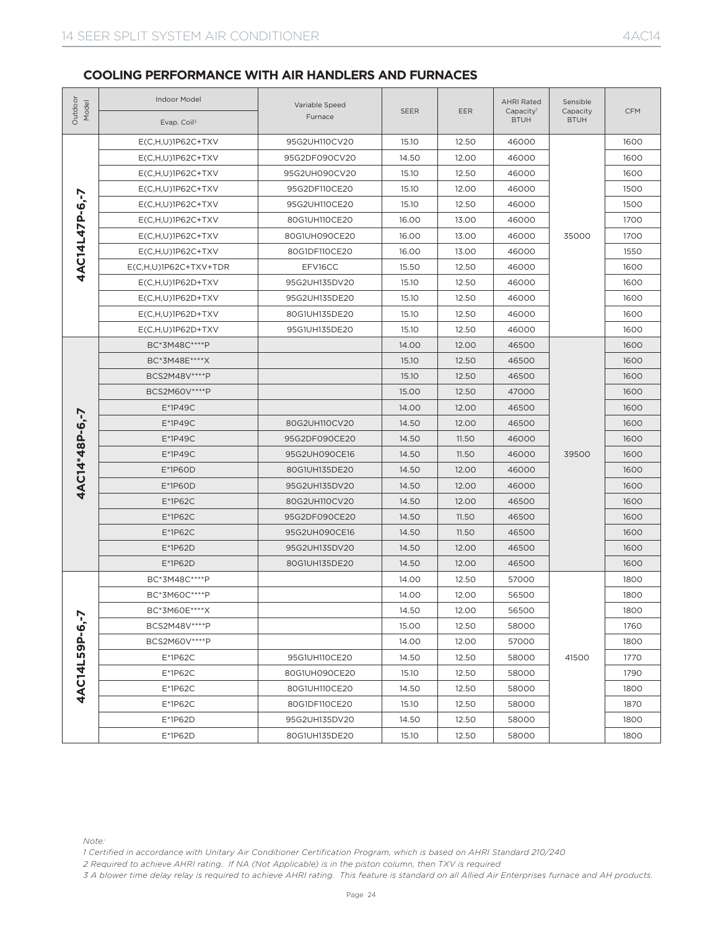| Outdoor<br>Model | Indoor Model<br>Evap. Coil <sup>3</sup>                                                                                                                                                                                          | Variable Speed<br>Furnace | <b>SEER</b> | EER   | <b>AHRI Rated</b><br>Capacity <sup>1</sup><br><b>BTUH</b> | Sensible<br>Capacity<br><b>BTUH</b> | <b>CFM</b> |
|------------------|----------------------------------------------------------------------------------------------------------------------------------------------------------------------------------------------------------------------------------|---------------------------|-------------|-------|-----------------------------------------------------------|-------------------------------------|------------|
|                  | $E(C, H, U) 1P62C+TXV$                                                                                                                                                                                                           | 95G2UH110CV20             | 15.10       | 12.50 | 46000                                                     |                                     | 1600       |
|                  | $E(C, H, U) 1P62C+TXV$                                                                                                                                                                                                           | 95G2DF090CV20             | 14.50       | 12.00 | 46000                                                     |                                     | 1600       |
|                  | $E(C, H, U) 1P62C+TXV$                                                                                                                                                                                                           | 95G2UH090CV20             | 15.10       | 12.50 | 46000                                                     |                                     | 1600       |
|                  | $E(C,H,U)1P62C+TXV$                                                                                                                                                                                                              | 95G2DF110CE20             | 15.10       | 12.00 | 46000                                                     |                                     | 1500       |
| 4AC14L47P-6.-7   | $E(C,H,U)1P62C+TXV$                                                                                                                                                                                                              | 95G2UH110CE20             | 15.10       | 12.50 | 46000                                                     |                                     | 1500       |
|                  | $E(C, H, U) 1P62C+TXV$                                                                                                                                                                                                           | 80G1UH110CE20             | 16.00       | 13.00 | 46000                                                     |                                     | 1700       |
|                  | $E(C,H,U)$ 1P62C+TXV                                                                                                                                                                                                             | 80G1UH090CE20             | 16.00       | 13.00 | 46000                                                     | 35000                               | 1700       |
|                  | $E(C, H, U) 1 P62C + TXY$                                                                                                                                                                                                        | 80G1DF110CE20             | 16.00       | 13.00 | 46000                                                     |                                     | 1550       |
|                  | $E(C, H, U) 1 P62C+TXV+TDR$                                                                                                                                                                                                      | EFV16CC                   | 15.50       | 12.50 | 46000                                                     |                                     | 1600       |
|                  | $E(C,H,U)$ 1P62D+TXV                                                                                                                                                                                                             | 95G2UH135DV20             | 15.10       | 12.50 | 46000                                                     |                                     | 1600       |
|                  | $E(C,H,U)$ 1P62D+TXV                                                                                                                                                                                                             | 95G2UH135DE20             | 15.10       | 12.50 | 46000                                                     |                                     | 1600       |
|                  | $E(C,H,U)1P62D+TXV$                                                                                                                                                                                                              | 80G1UH135DE20             | 15.10       | 12.50 | 46000                                                     |                                     | 1600       |
|                  | $E(C,H,U)1P62D+TXV$                                                                                                                                                                                                              | 95G1UH135DE20             | 15.10       | 12.50 | 46000                                                     |                                     | 1600       |
|                  | BC*3M48C****P                                                                                                                                                                                                                    |                           | 14.00       | 12.00 | 46500                                                     |                                     | 1600       |
|                  | BC*3M48E****X                                                                                                                                                                                                                    |                           | 15.10       | 12.50 | 46500                                                     |                                     | 1600       |
|                  | BCS2M48V****P                                                                                                                                                                                                                    |                           | 15.10       | 12.50 | 46500                                                     |                                     | 1600       |
|                  | BCS2M60V **** P                                                                                                                                                                                                                  |                           | 15.00       | 12.50 | 47000                                                     |                                     | 1600       |
|                  | $E*1P49C$                                                                                                                                                                                                                        |                           | 14.00       | 12.00 | 46500                                                     |                                     | 1600       |
|                  | $E*1P49C$                                                                                                                                                                                                                        | 80G2UH110CV20             | 14.50       | 12.00 | 46500                                                     |                                     | 1600       |
|                  | $E*1P49C$                                                                                                                                                                                                                        | 95G2DF090CE20             | 14.50       | 11.50 | 46000                                                     | 39500                               | 1600       |
|                  | E*1P49C                                                                                                                                                                                                                          | 95G2UH090CE16             | 14.50       | 11.50 | 46000                                                     |                                     | 1600       |
|                  | E*1P60D                                                                                                                                                                                                                          | 80G1UH135DE20             | 14.50       | 12.00 | 46000                                                     |                                     | 1600       |
| 4AC14*48P-6,-7   | E*1P60D                                                                                                                                                                                                                          | 95G2UH135DV20             | 14.50       | 12.00 | 46000                                                     |                                     | 1600       |
|                  | E*1P62C                                                                                                                                                                                                                          | 80G2UH110CV20             | 14.50       | 12.00 | 46500                                                     |                                     | 1600       |
|                  | E*1P62C                                                                                                                                                                                                                          | 95G2DF090CE20             | 14.50       | 11.50 | 46500                                                     |                                     | 1600       |
|                  | $E*1P62C$                                                                                                                                                                                                                        | 95G2UH090CE16             | 14.50       | 11.50 | 46500                                                     |                                     | 1600       |
|                  | E*1P62D                                                                                                                                                                                                                          | 95G2UH135DV20             | 14.50       | 12.00 | 46500                                                     |                                     | 1600       |
|                  | $E*1P62D$                                                                                                                                                                                                                        | 80G1UH135DE20             | 14.50       | 12.00 | 46500                                                     |                                     | 1600       |
|                  | BC*3M48C****P                                                                                                                                                                                                                    |                           | 14.00       | 12.50 | 57000                                                     |                                     | 1800       |
|                  | BC*3M60C****P                                                                                                                                                                                                                    |                           | 14.00       | 12.00 | 56500                                                     |                                     | 1800       |
|                  | BC*3M60E****X                                                                                                                                                                                                                    |                           | 14.50       | 12.00 | 56500                                                     |                                     | 1800       |
| 4AC14L59P-6,-7   | BCS2M48V****P                                                                                                                                                                                                                    |                           | 15.00       | 12.50 | 58000                                                     |                                     | 1760       |
|                  | BCS2M60V **** P                                                                                                                                                                                                                  |                           | 14.00       | 12.00 | 57000                                                     |                                     | 1800       |
|                  | E*1P62C                                                                                                                                                                                                                          | 95G1UH110CE20             | 14.50       | 12.50 | 58000                                                     | 41500                               | 1770       |
|                  | E*1P62C                                                                                                                                                                                                                          | 80G1UH090CE20             | 15.10       | 12.50 | 58000                                                     |                                     | 1790       |
|                  | E*1P62C                                                                                                                                                                                                                          | 80G1UH110CE20             | 14.50       | 12.50 | 58000                                                     |                                     | 1800       |
|                  | E*1P62C                                                                                                                                                                                                                          | 80G1DF110CE20             | 15.10       | 12.50 | 58000                                                     |                                     | 1870       |
|                  | E*1P62D                                                                                                                                                                                                                          | 95G2UH135DV20             | 14.50       | 12.50 | 58000                                                     |                                     | 1800       |
|                  | E*1P62D                                                                                                                                                                                                                          | 80G1UH135DE20             | 15.10       | 12.50 | 58000                                                     |                                     | 1800       |
| Note:            | 1 Certified in accordance with Unitary Air Conditioner Certification Program, which is based on AHRI Standard 210/240<br>2 Required to achieve AHRI rating. If NA (Not Applicable) is in the piston column, then TXV is required |                           |             |       |                                                           |                                     |            |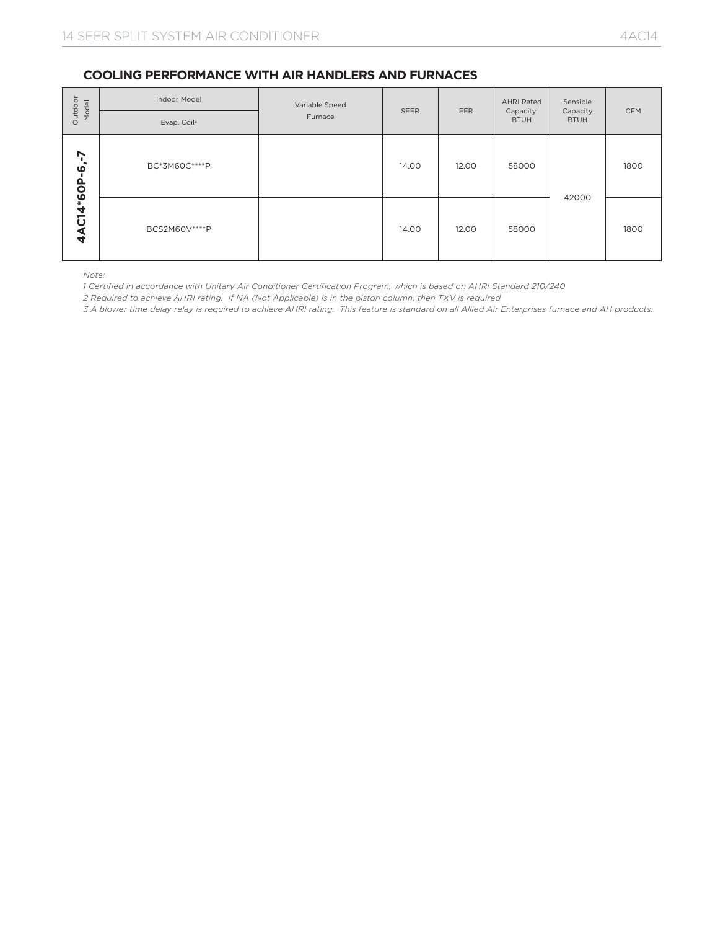| Outdoor<br>Model                                                                                                                                                                                                                                                                                                                                                                             | Indoor Model<br>Evap. Coil <sup>3</sup> | Variable Speed<br>Furnace | SEER  | EER   | <b>AHRI Rated</b><br>Capacity <sup>1</sup><br><b>BTUH</b> | Sensible<br>Capacity<br><b>BTUH</b> | CFM  |  |  |
|----------------------------------------------------------------------------------------------------------------------------------------------------------------------------------------------------------------------------------------------------------------------------------------------------------------------------------------------------------------------------------------------|-----------------------------------------|---------------------------|-------|-------|-----------------------------------------------------------|-------------------------------------|------|--|--|
|                                                                                                                                                                                                                                                                                                                                                                                              | BC*3M60C****P                           |                           | 14.00 | 12.00 | 58000                                                     |                                     | 1800 |  |  |
| 4AC14*60P-6,-7                                                                                                                                                                                                                                                                                                                                                                               | BCS2M60V **** P                         |                           | 14.00 | 12.00 | 58000                                                     | 42000                               | 1800 |  |  |
| Note:<br>1 Certified in accordance with Unitary Air Conditioner Certification Program, which is based on AHRI Standard 210/240<br>2 Required to achieve AHRI rating. If NA (Not Applicable) is in the piston column, then TXV is required<br>3 A blower time delay relay is required to achieve AHRI rating. This feature is standard on all Allied Air Enterprises furnace and AH products. |                                         |                           |       |       |                                                           |                                     |      |  |  |
|                                                                                                                                                                                                                                                                                                                                                                                              |                                         |                           |       |       |                                                           |                                     |      |  |  |
|                                                                                                                                                                                                                                                                                                                                                                                              |                                         |                           |       |       |                                                           |                                     |      |  |  |
|                                                                                                                                                                                                                                                                                                                                                                                              |                                         |                           |       |       |                                                           |                                     |      |  |  |
|                                                                                                                                                                                                                                                                                                                                                                                              |                                         |                           |       |       |                                                           |                                     |      |  |  |
|                                                                                                                                                                                                                                                                                                                                                                                              |                                         |                           |       |       |                                                           |                                     |      |  |  |
|                                                                                                                                                                                                                                                                                                                                                                                              |                                         |                           |       |       |                                                           |                                     |      |  |  |
|                                                                                                                                                                                                                                                                                                                                                                                              |                                         |                           |       |       |                                                           |                                     |      |  |  |
|                                                                                                                                                                                                                                                                                                                                                                                              |                                         |                           |       |       |                                                           |                                     |      |  |  |
|                                                                                                                                                                                                                                                                                                                                                                                              |                                         |                           |       |       |                                                           |                                     |      |  |  |
|                                                                                                                                                                                                                                                                                                                                                                                              |                                         |                           |       |       |                                                           |                                     |      |  |  |
|                                                                                                                                                                                                                                                                                                                                                                                              |                                         |                           |       |       |                                                           |                                     |      |  |  |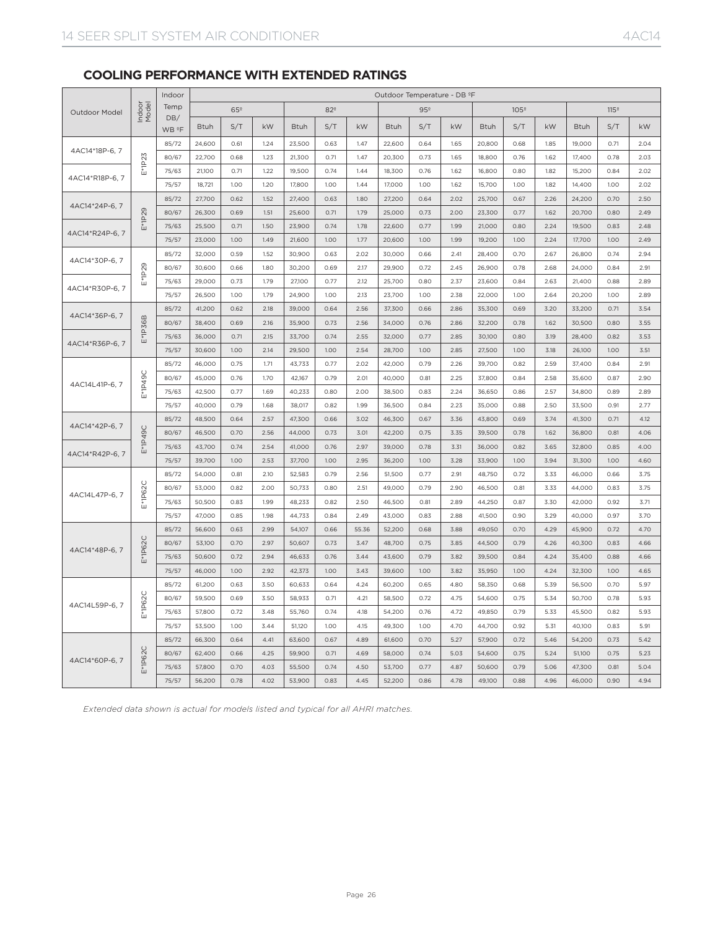### **COOLING PERFORMANCE WITH EXTENDED RATINGS**

|                 |                 | Indoor                   | Outdoor Temperature - DB ºF |                 |              |                  |                 |              |                  |                 |              |                  |                  |              |                  |                  |              |
|-----------------|-----------------|--------------------------|-----------------------------|-----------------|--------------|------------------|-----------------|--------------|------------------|-----------------|--------------|------------------|------------------|--------------|------------------|------------------|--------------|
| Outdoor Model   | Indoor<br>Model | Temp                     |                             | 65 <sup>°</sup> |              |                  | 82 <sup>°</sup> |              |                  | 95 <sup>°</sup> |              |                  | 105 <sup>°</sup> |              |                  | 115 <sup>°</sup> |              |
|                 |                 | DB/<br>WB <sup>2</sup> F | <b>Btuh</b>                 | S/T             | kW           | <b>Btuh</b>      | S/T             | kW           | <b>Btuh</b>      | S/T             | kW           | <b>Btuh</b>      | S/T              | kW           | Btuh             | S/T              | kW           |
|                 |                 | 85/72                    | 24,600                      | 0.61            | 1.24         | 23,500           | 0.63            | 1.47         | 22,600           | 0.64            | 1.65         | 20,800           | 0.68             | 1.85         | 19,000           | 0.71             | 2.04         |
| 4AC14*18P-6, 7  |                 | 80/67                    | 22,700                      | 0.68            | 1.23         | 21,300           | 0.71            | 1.47         | 20,300           | 0.73            | 1.65         | 18,800           | 0.76             | 1.62         | 17,400           | 0.78             | 2.03         |
|                 | E*1P23          | 75/63                    | 21,100                      | 0.71            | 1.22         | 19,500           | 0.74            | 1.44         | 18,300           | 0.76            | 1.62         | 16,800           | 0.80             | 1.82         | 15,200           | 0.84             | 2.02         |
| 4AC14*R18P-6, 7 |                 | 75/57                    | 18,721                      | 1.00            | 1.20         | 17,800           | 1.00            | 1.44         | 17,000           | 1.00            | 1.62         | 15,700           | 1.00             | 1.82         | 14,400           | 1.00             | 2.02         |
|                 |                 | 85/72                    | 27,700                      | 0.62            | 1.52         | 27,400           | 0.63            | 1.80         | 27,200           | 0.64            | 2.02         | 25,700           | 0.67             | 2.26         | 24,200           | 0.70             | 2.50         |
| 4AC14*24P-6, 7  |                 | 80/67                    | 26,300                      | 0.69            | 1.51         | 25,600           | 0.71            | 1.79         | 25,000           | 0.73            | 2.00         | 23,300           | 0.77             | 1.62         | 20,700           | 0.80             | 2.49         |
|                 | $E*1P29$        | 75/63                    | 25,500                      | 0.71            | 1.50         | 23,900           | 0.74            | 1.78         | 22,600           | 0.77            | 1.99         | 21,000           | 0.80             | 2.24         | 19,500           | 0.83             | 2.48         |
| 4AC14*R24P-6, 7 |                 | 75/57                    | 23,000                      | 1.00            | 1.49         | 21,600           | 1.00            | 1.77         | 20,600           | 1.00            | 1.99         | 19,200           | 1.00             | 2.24         | 17,700           | 1.00             | 2.49         |
| 4AC14*30P-6, 7  | $E*1P29$        | 85/72                    | 32,000                      | 0.59            | 1.52         | 30,900           | 0.63            | 2.02         | 30,000           | 0.66            | 2.41         | 28,400           | 0.70             | 2.67         | 26,800           | 0.74             | 2.94         |
|                 |                 | 80/67                    | 30,600                      | 0.66            | 1.80         | 30,200           | 0.69            | 2.17         | 29,900           | 0.72            | 2.45         | 26,900           | 0.78             | 2.68         | 24,000           | 0.84             | 2.91         |
| 4AC14*R30P-6, 7 |                 | 75/63                    | 29,000                      | 0.73            | 1.79         | 27,100           | 0.77            | 2.12         | 25,700           | 0.80            | 2.37         | 23,600           | 0.84             | 2.63         | 21,400           | 0.88             | 2.89         |
|                 |                 | 75/57                    | 26,500                      | 1.00            | 1.79         | 24,900           | 1.00            | 2.13         | 23,700           | 1.00            | 2.38         | 22,000           | 1.00             | 2.64         | 20,200           | 1.00             | 2.89         |
| 4AC14*36P-6, 7  |                 | 85/72                    | 41,200                      | 0.62            | 2.18         | 39,000           | 0.64            | 2.56         | 37,300           | 0.66            | 2.86         | 35,300           | 0.69             | 3.20         | 33,200           | 0.71             | 3.54         |
|                 | E*1P36B         | 80/67                    | 38,400                      | 0.69            | 2.16         | 35,900           | 0.73            | 2.56         | 34,000           | 0.76            | 2.86         | 32,200           | 0.78             | 1.62         | 30,500           | 0.80             | 3.55         |
| 4AC14*R36P-6, 7 |                 | 75/63                    | 36,000                      | 0.71            | 2.15         | 33,700           | 0.74            | 2.55         | 32,000           | 0.77            | 2.85         | 30,100           | 0.80             | 3.19         | 28,400           | 0.82             | 3.53         |
|                 |                 | 75/57                    | 30,600                      | 1.00            | 2.14         | 29,500           | 1.00            | 2.54         | 28,700           | 1.00            | 2.85         | 27,500           | 1.00             | 3.18         | 26,100           | 1.00             | 3.51         |
|                 |                 | 85/72                    | 46,000                      | 0.75            | 1.71         | 43,733           | 0.77            | 2.02         | 42,000           | 0.79            | 2.26         | 39,700           | 0.82             | 2.59         | 37,400           | 0.84             | 2.91         |
| 4AC14L41P-6, 7  | E*1P49C         | 80/67                    | 45,000                      | 0.76            | 1.70         | 42,167           | 0.79            | 2.01         | 40,000           | 0.81            | 2.25         | 37,800           | 0.84             | 2.58         | 35,600           | 0.87             | 2.90         |
|                 |                 | 75/63                    | 42,500                      | 0.77            | 1.69         | 40,233           | 0.80            | 2.00         | 38,500           | 0.83            | 2.24         | 36,650           | 0.86             | 2.57         | 34,800           | 0.89             | 2.89         |
|                 |                 | 75/57                    | 40,000                      | 0.79            | 1.68         | 38,017           | 0.82            | 1.99         | 36,500           | 0.84            | 2.23         | 35,000           | 0.88             | 2.50         | 33,500           | 0.91             | 2.77         |
| 4AC14*42P-6, 7  |                 | 85/72                    | 48,500                      | 0.64            | 2.57         | 47,300           | 0.66            | 3.02         | 46,300           | 0.67            | 3.36         | 43,800           | 0.69             | 3.74         | 41,300           | 0.71             | 4.12         |
|                 | E*1P49C         | 80/67                    | 46,500                      | 0.70            | 2.56         | 44,000           | 0.73            | 3.01         | 42,200           | 0.75            | 3.35         | 39,500           | 0.78             | 1.62         | 36,800           | 0.81             | 4.06         |
| 4AC14*R42P-6, 7 |                 | 75/63                    | 43,700                      | 0.74            | 2.54         | 41,000           | 0.76            | 2.97         | 39,000           | 0.78            | 3.31         | 36,000           | 0.82             | 3.65         | 32,800           | 0.85             | 4.00         |
|                 |                 | 75/57                    | 39,700                      | 1.00            | 2.53         | 37,700           | 1.00            | 2.95         | 36,200           | 1.00            | 3.28         | 33,900           | 1.00             | 3.94         | 31,300           | 1.00             | 4.60         |
|                 |                 | 85/72                    | 54,000                      | 0.81            | 2.10         | 52,583           | 0.79            | 2.56         | 51,500           | 0.77            | 2.91         | 48,750           | 0.72             | 3.33         | 46,000           | 0.66             | 3.75         |
| 4AC14L47P-6, 7  | E*1P62C         | 80/67                    | 53,000                      | 0.82            | 2.00         | 50,733           | 0.80            | 2.51         | 49,000           | 0.79            | 2.90         | 46,500           | 0.81             | 3.33         | 44,000           | 0.83             | 3.75         |
|                 |                 | 75/63                    | 50,500                      | 0.83            | 1.99         | 48,233           | 0.82            | 2.50         | 46,500           | 0.81            | 2.89         | 44,250           | 0.87             | 3.30         | 42,000           | 0.92             | 3.71         |
|                 |                 | 75/57                    | 47,000                      | 0.85            | 1.98         | 44,733           | 0.84            | 2.49         | 43,000           | 0.83            | 2.88         | 41,500           | 0.90             | 3.29         | 40,000           | 0.97             | 3.70         |
|                 |                 | 85/72                    | 56,600                      | 0.63            | 2.99         | 54,107           | 0.66            | 55.36        | 52,200           | 0.68            | 3.88         | 49,050           | 0.70             | 4.29         | 45,900           | 0.72             | 4.70         |
| 4AC14*48P-6, 7  | E*1P62C         | 80/67                    | 53,100                      | 0.70            | 2.97         | 50,607           | 0.73            | 3.47         | 48,700           | 0.75            | 3.85         | 44,500           | 0.79             | 4.26         | 40,300           | 0.83             | 4.66         |
|                 |                 | 75/63                    | 50,600                      | 0.72            | 2.94         | 46,633           | 0.76            | 3.44         | 43,600           | 0.79            | 3.82         | 39,500           | 0.84             | 4.24         | 35,400           | 0.88             | 4.66         |
|                 |                 | 75/57                    | 46,000                      | 1.00            | 2.92         | 42,373           | 1.00            | 3.43         | 39,600           | 1.00            | 3.82         | 35,950           | 1.00             | 4.24         | 32,300           | 1.00<br>0.70     | 4.65         |
|                 | 2C<br>$E*1P6$   | 85/72                    | 61,200                      | 0.63            | 3.50         | 60,633           | 0.64            | 4.24         | 60,200           | 0.65            | 4.80         | 58,350           | 0.68             | 5.39         | 56,500           |                  | 5.97         |
| 4AC14L59P-6, 7  |                 | 80/67<br>75/63           | 59,500<br>57,800            | 0.69<br>0.72    | 3.50<br>3.48 | 58,933<br>55,760 | 0.71<br>0.74    | 4.21<br>4.18 | 58,500           | 0.72<br>0.76    | 4.75<br>4.72 | 54,600<br>49,850 | 0.75<br>0.79     | 5.34         | 50,700<br>45,500 | 0.78<br>0.82     | 5.93<br>5.93 |
|                 |                 | 75/57                    | 53,500                      | 1.00            | 3.44         | 51,120           | 1.00            | 4.15         | 54,200           | 1.00            | 4.70         |                  | 0.92             | 5.33<br>5.31 | 40,100           | 0.83             | 5.91         |
|                 |                 | 85/72                    | 66,300                      | 0.64            | 4.41         | 63,600           | 0.67            | 4.89         | 49,300<br>61,600 | 0.70            | 5.27         | 44,700<br>57,900 | 0.72             | 5.46         | 54,200           | 0.73             | 5.42         |
|                 |                 | 80/67                    | 62,400                      | 0.66            | 4.25         | 59,900           | 0.71            | 4.69         | 58,000           | 0.74            | 5.03         | 54,600           | 0.75             | 5.24         | 51,100           | 0.75             | 5.23         |
| 4AC14*60P-6, 7  | E*1P62C         | 75/63                    | 57,800                      | 0.70            | 4.03         | 55,500           | 0.74            | 4.50         | 53,700           | 0.77            | 4.87         | 50,600           | 0.79             | 5.06         | 47,300           | 0.81             | 5.04         |
|                 |                 | 75/57                    | 56,200                      | 0.78            | 4.02         | 53,900           | 0.83            | 4.45         | 52,200           | 0.86            | 4.78         | 49,100           | 0.88             | 4.96         | 46,000           | 0.90             | 4.94         |
|                 |                 |                          |                             |                 |              |                  |                 |              |                  |                 |              |                  |                  |              |                  |                  |              |

*Extended data shown is actual for models listed and typical for all AHRI matches.*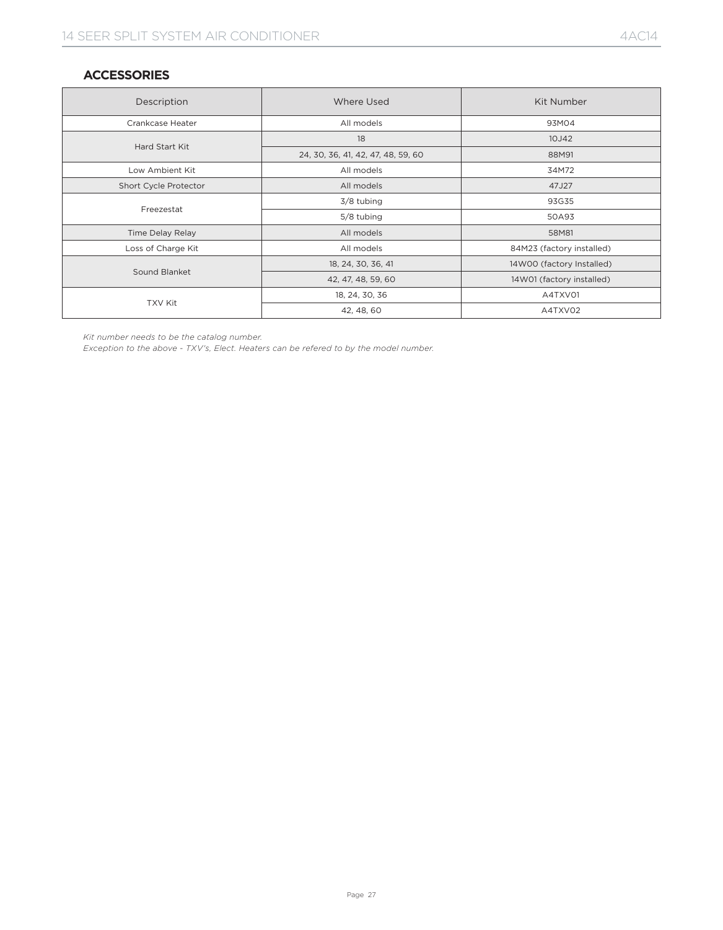# **ACCESSORIES**

| Description             | Where Used                         | Kit Number                |  |  |  |  |
|-------------------------|------------------------------------|---------------------------|--|--|--|--|
| Crankcase Heater        | All models                         | 93M04                     |  |  |  |  |
| Hard Start Kit          | 18                                 | 10J42                     |  |  |  |  |
|                         | 24, 30, 36, 41, 42, 47, 48, 59, 60 | 88M91                     |  |  |  |  |
| Low Ambient Kit         | All models                         | 34M72                     |  |  |  |  |
| Short Cycle Protector   | All models                         | 47J27                     |  |  |  |  |
|                         | 3/8 tubing                         | 93G35                     |  |  |  |  |
| Freezestat              | 5/8 tubing                         | 50A93                     |  |  |  |  |
| <b>Time Delay Relay</b> | All models                         | 58M81                     |  |  |  |  |
| Loss of Charge Kit      | All models                         | 84M23 (factory installed) |  |  |  |  |
|                         | 18, 24, 30, 36, 41                 | 14W00 (factory Installed) |  |  |  |  |
| Sound Blanket           | 42, 47, 48, 59, 60                 | 14W01 (factory installed) |  |  |  |  |
|                         | 18, 24, 30, 36                     | A4TXV01                   |  |  |  |  |
| <b>TXV Kit</b>          | 42, 48, 60                         | A4TXV02                   |  |  |  |  |

*Kit number needs to be the catalog number.*

*Exception to the above - TXV's, Elect. Heaters can be refered to by the model number.*